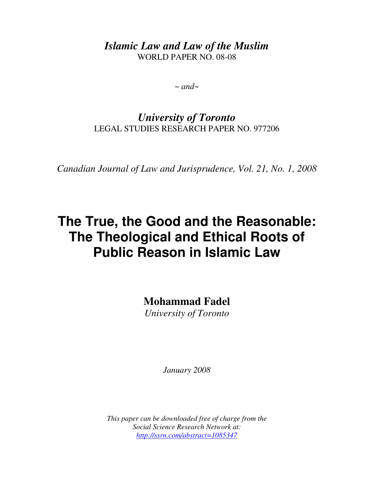*Islamic Law and Law of the Muslim*  WORLD PAPER NO. 08-08

*~ and~* 

# *University of Toronto*  LEGAL STUDIES RESEARCH PAPER NO. 977206

*Canadian Journal of Law and Jurisprudence, Vol. 21, No. 1, 2008*

# **The True, the Good and the Reasonable: The Theological and Ethical Roots of Public Reason in Islamic Law**

**Mohammad Fadel** 

*University of Toronto* 

*January 2008* 

*This paper can be downloaded free of charge from the Social Science Research Network at: http://ssrn.com/abstract=1085347*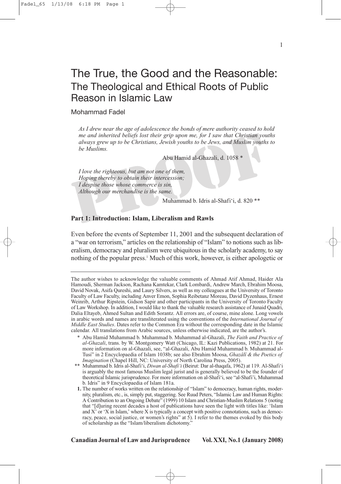# The True, the Good and the Reasonable: The Theological and Ethical Roots of Public Reason in Islamic Law

# Mohammad Fadel

*As I drew near the age of adolescence the bonds of mere authority ceased to hold me and inherited beliefs lost their grip upon me, for I saw that Christian youths always grew up to be Christians, Jewish youths to be Jews, and Muslim youths to be Muslims.*

Abu Hamid al-Ghazali, d. 1058 \*

*I love the righteous, but am not one of them, Hoping thereby to obtain their intercession; I despise those whose commerce is sin, Although our merchandise is the same.*

Muhammad b. Idris al-Shafi'i, d. 820 \*\*

# **Part 1: Introduction: Islam, Liberalism and Rawls**

Even before the events of September 11, 2001 and the subsequent declaration of a "war on terrorism," articles on the relationship of "Islam" to notions such as liberalism, democracy and pluralism were ubiquitous in the scholarly academy, to say nothing of the popular press.<sup>1</sup> Much of this work, however, is either apologetic or

**Canadian Journal of Law and Jurisprudence Vol. XXI, No.1 (January 2008)**

The author wishes to acknowledge the valuable comments of Ahmad Atif Ahmad, Haider Ala Hamoudi, Sherman Jackson, Rachana Kamtekar, Clark Lombardi, Andrew March, Ebrahim Moosa, David Novak, Asifa Qureshi, and Laury Silvers, as well as my colleagues at the University of Toronto Faculty of Law Faculty, including Anver Emon, Sophia Reibetanz Moreau, David Dyzenhaus, Ernest Weinrib, Arthur Ripstein, Gidson Sapir and other participants in the University of Toronto Faculty of Law Workshop. In addition, I would like to thank the valuable research assistance of Junaid Quadri, Dalia Eltayeb, Ahmed Sultan and Edith Sorantz. All errors are, of course, mine alone. Long vowels in arabic words and names are transliterated using the conventions of the *International Journal of Middle East Studies*. Dates refer to the Common Era without the corresponding date in the Islamic calendar. All translations from Arabic sources, unless otherwise indicated, are the author's.

<sup>\*</sup>**.** Abu Hamid Muhammad b. Muhammad b. Muhammad al-Ghazali, *The Faith and Practice of al-Ghazali*, trans. by W. Montgomery Watt (Chicago, IL: Kazi Publications, 1982) at 21. For more information on al-Ghazali, see, "al-Ghazali, Abu Hamid Muhammad b. Muhammad al-Tusi" in 2 Encyclopaedia of Islam 1038b; see also Ebrahim Moosa, *Ghazâlî & the Poetics of Imagination* (Chapel Hill, NC: University of North Carolina Press, 2005).

<sup>\*\*</sup>**.** Muhammad b. Idris al-Shafi'i, *Diwan al-Shafi'i* (Beirut: Dar al-thaqafa, 1962) at 119. Al-Shafi'i is arguably the most famous Muslim legal jurist and is generally believed to be the founder of theoretical Islamic jurisprudence. For more information on al-Shafi'i, see "al-Shafi'i, Muhammad b. Idris" in 9 Encyclopaedia of Islam 181a.

**<sup>1.</sup>** The number of works written on the relationship of "Islam" to democracy, human rights, modernity, pluralism, etc., is, simply put, staggering. See Ruud Peters, "Islamic Law and Human Rights: A Contribution to an Ongoing Debate" (1999) 10 Islam and Christian-Muslim Relations 5 (noting that "[d]uring recent decades a host of publications have seen the light with titles like: 'Islam and  $X'$  or 'X in Islam,' where X is typically a concept with positive connotations, such as democracy, peace, social justice, or women's rights" at 5). I refer to the themes evoked by this body of scholarship as the "Islam/liberalism dichotomy."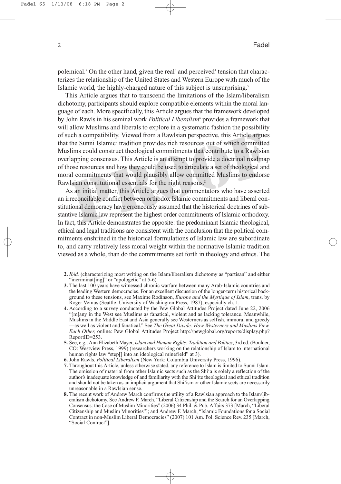polemical.<sup>2</sup> On the other hand, given the real<sup>3</sup> and perceived<sup>4</sup> tension that characterizes the relationship of the United States and Western Europe with much of the Islamic world, the highly-charged nature of this subject is unsurprising.<sup>5</sup>

This Article argues that to transcend the limitations of the Islam/liberalism dichotomy, participants should explore compatible elements within the moral language of each. More specifically, this Article argues that the framework developed by John Rawls in his seminal work *Political Liberalism*<sup>6</sup> provides a framework that will allow Muslims and liberals to explore in a systematic fashion the possibility of such a compatibility. Viewed from a Rawlsian perspective, this Article argues that the Sunni Islamic<sup>7</sup> tradition provides rich resources out of which committed Muslims could construct theological commitments that contribute to a Rawlsian overlapping consensus. This Article is an attempt to provide a doctrinal roadmap of those resources and how they could be used to articulate a set of theological and moral commitments that would plausibly allow committed Muslims to endorse Rawlsian constitutional essentials for the right reasons.<sup>8</sup>

As an initial matter, this Article argues that commentators who have asserted an irreconcilable conflict between orthodox Islamic commitments and liberal constitutional democracy have erroneously assumed that the historical doctrines of substantive Islamic law represent the highest order commitments of Islamic orthodoxy. In fact, this Article demonstrates the opposite: the predominant Islamic theological, ethical and legal traditions are consistent with the conclusion that the political commitments enshrined in the historical formulations of Islamic law are subordinate to, and carry relatively less moral weight within the normative Islamic tradition viewed as a whole, than do the commitments set forth in theology and ethics. The

**<sup>2.</sup>** *Ibid.* (characterizing most writing on the Islam/liberalism dichotomy as "partisan" and either "incriminat[ing]" or "apologetic" at 5-6).

**<sup>3.</sup>** The last 100 years have witnessed chronic warfare between many Arab-Islamic countries and the leading Western democracies. For an excellent discussion of the longer-term historical background to these tensions, see Maxime Rodinson, *Europe and the Mystique of Islam*, trans. by Roger Veinus (Seattle: University of Washington Press, 1987), especially ch. 1.

**<sup>4.</sup>** According to a survey conducted by the Pew Global Attitudes Project dated June 22, 2006 "[m]any in the West see Muslims as fanatical, violent and as lacking tolerance. Meanwhile, Muslims in the Middle East and Asia generally see Westerners as selfish, immoral and greedy —as well as violent and fanatical." See *The Great Divide: How Westerners and Muslims View Each Other,* online: Pew Global Attitudes Project http://pewglobal.org/reports/display.php? ReportID=253.

**<sup>5.</sup>** See, e.g., Ann Elizabeth Mayer, *Islam and Human Rights: Tradition and Politics*, 3rd ed. (Boulder, CO: Westview Press, 1999) (researchers working on the relationship of Islam to international human rights law "step[] into an ideological minefield" at 3).

**<sup>6.</sup>** John Rawls, *Political Liberalism* (New York: Columbia University Press, 1996).

**<sup>7.</sup>** Throughout this Article, unless otherwise stated, any reference to Islam is limited to Sunni Islam. The omission of material from other Islamic sects such as the Shi'a is solely a reflection of the author's inadequate knowledge of and familiarity with the Shi'ite theological and ethical tradition and should not be taken as an implicit argument that Shi'ism or other Islamic sects are necessarily unreasonable in a Rawlsian sense.

**<sup>8.</sup>** The recent work of Andrew March confirms the utility of a Rawlsian approach to the Islam/liberalism dichotomy. See Andrew F. March, "Liberal Citizenship and the Search for an Overlapping Consensus: the Case of Muslim Minorities" (2006) 34 Phil. & Pub. Affairs 373 [March, "Liberal Citizenship and Muslim Minorities"]; and Andrew F. March, "Islamic Foundations for a Social Contract in non-Muslim Liberal Democracies" (2007) 101 Am. Pol. Science Rev. 235 [March, "Social Contract"].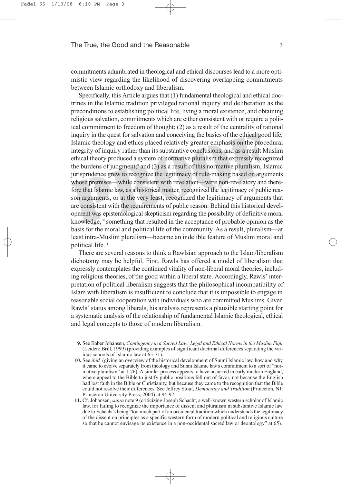commitments adumbrated in theological and ethical discourses lead to a more optimistic view regarding the likelihood of discovering overlapping commitments between Islamic orthodoxy and liberalism.

Specifically, this Article argues that (1) fundamental theological and ethical doctrines in the Islamic tradition privileged rational inquiry and deliberation as the preconditions to establishing political life, living a moral existence, and obtaining religious salvation, commitments which are either consistent with or require a political commitment to freedom of thought; (2) as a result of the centrality of rational inquiry in the quest for salvation and conceiving the basics of the ethical good life, Islamic theology and ethics placed relatively greater emphasis on the procedural integrity of inquiry rather than its substantive conclusions, and as a result Muslim ethical theory produced a system of normative pluralism that expressly recognized the burdens of judgment; $\alpha$  and (3) as a result of this normative pluralism, Islamic jurisprudence grew to recognize the legitimacy of rule-making based on arguments whose premises—while consistent with revelation—were non-revelatory and therefore that Islamic law, as a historical matter, recognized the legitimacy of public reason arguments, or at the very least, recognized the legitimacy of arguments that are consistent with the requirements of public reason. Behind this historical development was epistemological skepticism regarding the possibility of definitive moral knowledge,<sup>10</sup> something that resulted in the acceptance of probable opinion as the basis for the moral and political life of the community. As a result, pluralism—at least intra-Muslim pluralism—became an indelible feature of Muslim moral and political life.<sup>11</sup>

There are several reasons to think a Rawlsian approach to the Islam/liberalism dichotomy may be helpful. First, Rawls has offered a model of liberalism that expressly contemplates the continued vitality of non-liberal moral theories, including religious theories, of the good within a liberal state. Accordingly, Rawls' interpretation of political liberalism suggests that the philosophical incompatibility of Islam with liberalism is insufficient to conclude that it is impossible to engage in reasonable social cooperation with individuals who are committed Muslims. Given Rawls' status among liberals, his analysis represents a plausible starting point for a systematic analysis of the relationship of fundamental Islamic theological, ethical and legal concepts to those of modern liberalism.

**<sup>9.</sup>** See Baber Johansen, *Contingency in a Sacred Law: Legal and Ethical Norms in the Muslim Fiqh* (Leiden: Brill, 1999) (providing examples of significant doctrinal differences separating the various schools of Islamic law at 65-71).

**<sup>10.</sup>** See *ibid.* (giving an overview of the historical development of Sunni Islamic law, how and why it came to evolve separately from theology and Sunni Islamic law's commitment to a sort of "normative pluralism" at 1-76). A similar process appears to have occurred in early modern England, where appeal to the Bible to justify public positions fell out of favor, not because the English had lost faith in the Bible or Christianity, but because they came to the recognition that the Bible could not resolve their differences. See Jeffrey Stout, *Democracy and Tradition* (Princeton, NJ: Princeton University Press, 2004) at 94-97.

**<sup>11.</sup>** Cf. Johansen, *supra* note 9 (criticizing Joseph Schacht, a well-known western scholar of Islamic law, for failing to recognize the importance of dissent and pluralism in substantive Islamic law due to Schacht's being "too much part of an occidental tradition which understands the legitimacy of the dissent on principles as a specific western form of modern political and religious culture so that he cannot envisage its existence in a non-occidental sacred law or deontology" at 65).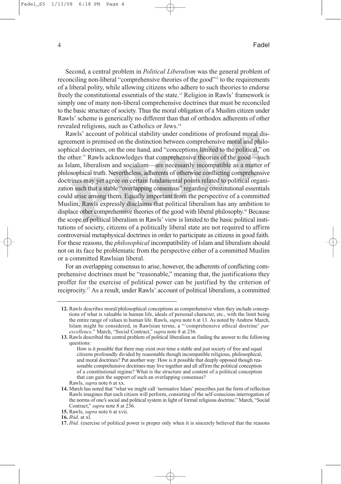Second, a central problem in *Political Liberalism* was the general problem of reconciling non-liberal "comprehensive theories of the good"12 to the requirements of a liberal polity, while allowing citizens who adhere to such theories to endorse freely the constitutional essentials of the state.13 Religion in Rawls' framework is simply one of many non-liberal comprehensive doctrines that must be reconciled to the basic structure of society. Thus the moral obligation of a Muslim citizen under Rawls' scheme is generically no different than that of orthodox adherents of other revealed religions, such as Catholics or Jews.14

Rawls' account of political stability under conditions of profound moral disagreement is premised on the distinction between comprehensive moral and philosophical doctrines, on the one hand, and "conceptions limited to the political," on the other.15 Rawls acknowledges that comprehensive theories of the good—such as Islam, liberalism and socialism—are necessarily incompatible as a matter of philosophical truth. Nevertheless, adherents of otherwise conflicting comprehensive doctrines may yet agree on certain fundamental points related to political organization such that a stable "overlapping consensus" regarding constitutional essentials could arise among them. Equally important from the perspective of a committed Muslim, Rawls expressly disclaims that political liberalism has any ambition to displace other comprehensive theories of the good with liberal philosophy.16 Because the scope of political liberalism in Rawls' view is limited to the basic political institutions of society, citizens of a politically liberal state are not required to affirm controversial metaphysical doctrines in order to participate as citizens in good faith. For these reasons, the *philosophical* incompatibility of Islam and liberalism should not on its face be problematic from the perspective either of a committed Muslim or a committed Rawlsian liberal.

For an overlapping consensus to arise, however, the adherents of conflicting comprehensive doctrines must be "reasonable," meaning that, the justifications they proffer for the exercise of political power can be justified by the criterion of reciprocity. <sup>17</sup> As a result, under Rawls' account of political liberalism, a committed

**<sup>12.</sup>** Rawls describes moral/philosophical conceptions as comprehensive when they include conceptions of what is valuable in human life, ideals of personal character, etc., with the limit being the entire range of values in human life. Rawls, *supra* note 6 at 13. As noted by Andrew March, Islam might be considered, in Rawlsian terms, a "'comprehensive ethical doctrine' *par excellence.*" March, "Social Contract," *supra* note 8 at 236.

**<sup>13.</sup>** Rawls described the central problem of political liberalism as finding the answer to the following questions:

How is it possible that there may exist over time a stable and just society of free and equal citizens profoundly divided by reasonable though incompatible religious, philosophical, and moral doctrines? Put another way: How is it possible that deeply opposed though reasonable comprehensive doctrines may live together and all affirm the political conception of a constitutional regime? What is the structure and content of a political conception that can gain the support of such an overlapping consensus?

Rawls, *supra* note 6 at xx.

**<sup>14.</sup>** March has noted that "what we might call 'normative Islam' prescribes just the form of reflection Rawls imagines that each citizen will perform, consisting of the self-conscious interrogation of the norms of one's social and political system in light of formal religious doctrine." March, "Social Contract," *supra* note 8 at 236.

**<sup>15.</sup>** Rawls, *supra* note 6 at xvii.

**<sup>16.</sup>** *Ibid.* at xl.

**<sup>17.</sup>** *Ibid.* (exercise of political power is proper only when it is sincerely believed that the reasons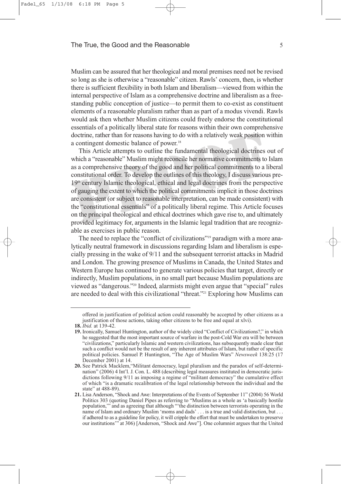Muslim can be assured that her theological and moral premises need not be revised so long as she is otherwise a "reasonable" citizen. Rawls' concern, then, is whether there is sufficient flexibility in both Islam and liberalism—viewed from within the internal perspective of Islam as a comprehensive doctrine and liberalism as a freestanding public conception of justice—to permit them to co-exist as constituent elements of a reasonable pluralism rather than as part of a modus vivendi. Rawls would ask then whether Muslim citizens could freely endorse the constitutional essentials of a politically liberal state for reasons within their own comprehensive doctrine, rather than for reasons having to do with a relatively weak position within a contingent domestic balance of power.<sup>18</sup>

This Article attempts to outline the fundamental theological doctrines out of which a "reasonable" Muslim might reconcile her normative commitments to Islam as a comprehensive theory of the good and her political commitments to a liberal constitutional order. To develop the outlines of this theology, I discuss various pre-19<sup>th</sup> century Islamic theological, ethical and legal doctrines from the perspective of gauging the extent to which the political commitments implicit in those doctrines are consistent (or subject to reasonable interpretation, can be made consistent) with the "constitutional essentials" of a politically liberal regime. This Article focuses on the principal theological and ethical doctrines which gave rise to, and ultimately provided legitimacy for, arguments in the Islamic legal tradition that are recognizable as exercises in public reason.

The need to replace the "conflict of civilizations"<sup>19</sup> paradigm with a more analytically neutral framework in discussions regarding Islam and liberalism is especially pressing in the wake of 9/11 and the subsequent terrorist attacks in Madrid and London. The growing presence of Muslims in Canada, the United States and Western Europe has continued to generate various policies that target, directly or indirectly, Muslim populations, in no small part because Muslim populations are viewed as "dangerous."20 Indeed, alarmists might even argue that "special" rules are needed to deal with this civilizational "threat."21 Exploring how Muslims can

offered in justification of political action could reasonably be accepted by other citizens as a justification of those actions, taking other citizens to be free and equal at xlvi).

**<sup>18.</sup>** *Ibid.* at 139-42.

**<sup>19.</sup>** Ironically, Samuel Huntington, author of the widely cited "Conflict of Civilizations?," in which he suggested that the most important source of warfare in the post-Cold War era will be between "civilizations," particularly Islamic and western civilizations, has subsequently made clear that such a conflict would not be the result of any inherent attributes of Islam, but rather of specific political policies. Samuel P. Huntington, "The Age of Muslim Wars" *Newsweek* 138:25 (17 December 2001) at 14.

**<sup>20.</sup>** See Patrick Macklem,"Militant democracy, legal pluralism and the paradox of self-determination" (2006) 4 Int'l. J. Con. L. 488 (describing legal measures instituted in democratic jurisdictions following 9/11 as imposing a regime of "militant democracy" the cumulative effect of which "is a dramatic recalibration of the legal relationship between the individual and the state" at 488-89).

**<sup>21.</sup>** Lisa Anderson, "Shock and Awe: Interpretations of the Events of September 11" (2004) 56 World Politics 303 (quoting Daniel Pipes as referring to "Muslims as a whole as 'a basically hostile population,'" and as agreeing that although "'the distinction between terrorists operating in the name of Islam and ordinary Muslim 'moms and dads' . . . is a true and valid distinction, but . . . if adhered to as a guideline for policy, it will cripple the effort that must be undertaken to preserve our institutions'" at 306) [Anderson, "Shock and Awe"]. One columnist argues that the United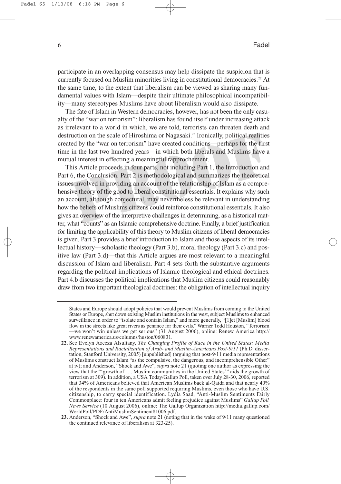participate in an overlapping consensus may help dissipate the suspicion that is currently focused on Muslim minorities living in constitutional democracies.<sup>22</sup> At the same time, to the extent that liberalism can be viewed as sharing many fundamental values with Islam—despite their ultimate philosophical incompatibility—many stereotypes Muslims have about liberalism would also dissipate.

The fate of Islam in Western democracies, however, has not been the only casualty of the "war on terrorism": liberalism has found itself under increasing attack as irrelevant to a world in which, we are told, terrorists can threaten death and destruction on the scale of Hiroshima or Nagasaki.<sup>23</sup> Ironically, political realities created by the "war on terrorism" have created conditions—perhaps for the first time in the last two hundred years—in which both liberals and Muslims have a mutual interest in effecting a meaningful rapprochement.

This Article proceeds in four parts, not including Part 1, the Introduction and Part 6, the Conclusion. Part 2 is methodological and summarizes the theoretical issues involved in providing an account of the relationship of Islam as a comprehensive theory of the good to liberal constitutional essentials. It explains why such an account, although conjectural, may nevertheless be relevant in understanding how the beliefs of Muslims citizens could reinforce constitutional essentials. It also gives an overview of the interpretive challenges in determining, as a historical matter, what "counts" as an Islamic comprehensive doctrine. Finally, a brief justification for limiting the applicability of this theory to Muslim citizens of liberal democracies is given. Part 3 provides a brief introduction to Islam and those aspects of its intellectual history—scholastic theology (Part 3.b), moral theology (Part 3.c) and positive law (Part 3.d)—that this Article argues are most relevant to a meaningful discussion of Islam and liberalism. Part 4 sets forth the substantive arguments regarding the political implications of Islamic theological and ethical doctrines. Part 4.b discusses the political implications that Muslim citizens could reasonably draw from two important theological doctrines: the obligation of intellectual inquiry

States and Europe should adopt policies that would prevent Muslims from coming to the United States or Europe, shut down existing Muslim institutions in the west, subject Muslims to enhanced surveillance in order to "isolate and contain Islam," and more generally, "[1]et [Muslim] blood flow in the streets like great rivers as penance for their evils." Warner Todd Houston, "Terrorism —we won't win unless we get serious" (31 August 2006), online: Renew America http:// www.renewamerica.us/columns/huston/060831.

**<sup>22.</sup>** See Evelyn Azeeza Alsultany, *The Changing Profile of Race in the United States: Media Representations and Racialization of Arab- and Muslim-Americans Post-9/11* (Ph.D. dissertation, Stanford University, 2005) [unpublished] (arguing that post-9/11 media representations of Muslims construct Islam "as the compulsive, the dangerous, and incomprehensible Other" at iv); and Anderson, "Shock and Awe", *supra* note 21 (quoting one author as expressing the view that the "'growth of . . . Muslim communities in the United States'" aids the growth of terrorism at 309). In addition, a USA Today/Gallup Poll, taken over July 28-30, 2006, reported that 34% of Americans believed that American Muslims back al-Qaida and that nearly 40% of the respondents in the same poll supported requiring Muslims, even those who have U.S. citizenship, to carry special identification. Lydia Saad, "Anti-Muslim Sentiments Fairly Commonplace: four in ten Americans admit feeling prejudice against Muslims" *Gallup Poll News Service* (10 August 2006), online: The Gallup Organization http://media.gallup.com/ WorldPoll/PDF/AntiMuslimSentiment81006.pdf.

**<sup>23.</sup>** Anderson, "Shock and Awe", *supra* note 21 (noting that in the wake of 9/11 many questioned the continued relevance of liberalism at 323-25).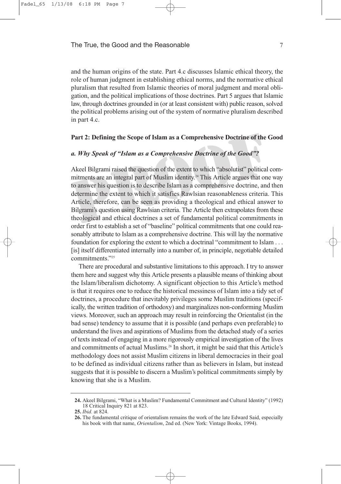and the human origins of the state. Part 4.c discusses Islamic ethical theory, the role of human judgment in establishing ethical norms, and the normative ethical pluralism that resulted from Islamic theories of moral judgment and moral obligation, and the political implications of those doctrines. Part 5 argues that Islamic law, through doctrines grounded in (or at least consistent with) public reason, solved the political problems arising out of the system of normative pluralism described in part 4.c.

#### **Part 2: Defining the Scope of Islam as a Comprehensive Doctrine of the Good**

#### *a. Why Speak of "Islam as a Comprehensive Doctrine of the Good"?*

Akeel Bilgrami raised the question of the extent to which "absolutist" political commitments are an integral part of Muslim identity. <sup>24</sup> This Article argues that one way to answer his question is to describe Islam as a comprehensive doctrine, and then determine the extent to which it satisfies Rawlsian reasonableness criteria. This Article, therefore, can be seen as providing a theological and ethical answer to Bilgrami's question using Rawlsian criteria. The Article then extrapolates from these theological and ethical doctrines a set of fundamental political commitments in order first to establish a set of "baseline" political commitments that one could reasonably attribute to Islam as a comprehensive doctrine. This will lay the normative foundation for exploring the extent to which a doctrinal "commitment to Islam . . . [is] itself differentiated internally into a number of, in principle, negotiable detailed commitments."25

There are procedural and substantive limitations to this approach. I try to answer them here and suggest why this Article presents a plausible means of thinking about the Islam/liberalism dichotomy. A significant objection to this Article's method is that it requires one to reduce the historical messiness of Islam into a tidy set of doctrines, a procedure that inevitably privileges some Muslim traditions (specifically, the written tradition of orthodoxy) and marginalizes non-conforming Muslim views. Moreover, such an approach may result in reinforcing the Orientalist (in the bad sense) tendency to assume that it is possible (and perhaps even preferable) to understand the lives and aspirations of Muslims from the detached study of a series of texts instead of engaging in a more rigorously empirical investigation of the lives and commitments of actual Muslims.26 In short, it might be said that this Article's methodology does not assist Muslim citizens in liberal democracies in their goal to be defined as individual citizens rather than as believers in Islam, but instead suggests that it is possible to discern a Muslim's political commitments simply by knowing that she is a Muslim.

**<sup>24.</sup>** Akeel Bilgrami, "What is a Muslim? Fundamental Commitment and Cultural Identity" (1992) 18 Critical Inquiry 821 at 823.

**<sup>25.</sup>** *Ibid.* at 824.

**<sup>26.</sup>** The fundamental critique of orientalism remains the work of the late Edward Said, especially his book with that name, *Orientalism*, 2nd ed. (New York: Vintage Books, 1994).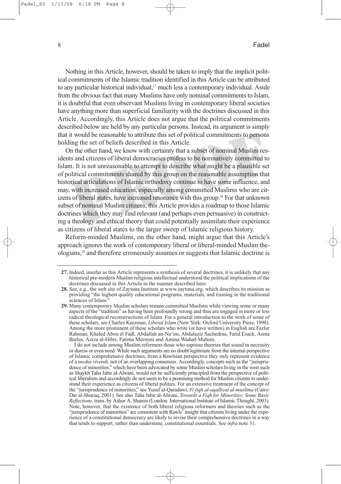Nothing in this Article, however, should be taken to imply that the implicit political commitments of the Islamic tradition identified in this Article can be attributed to any particular historical individual, $2<sup>7</sup>$  much less a contemporary individual. Aside from the obvious fact that many Muslims have only nominal commitments to Islam, it is doubtful that even observant Muslims living in contemporary liberal societies have anything more than superficial familiarity with the doctrines discussed in this Article. Accordingly, this Article does not argue that the political commitments described below are held by any particular persons. Instead, its argument is simply that it would be reasonable to attribute this set of political commitments to persons holding the set of beliefs described in this Article.

On the other hand, we know with certainty that a subset of nominal Muslim residents and citizens of liberal democracies profess to be normatively committed to Islam. It is not unreasonable to attempt to describe what might be a plausible set of political commitments shared by this group on the reasonable assumption that historical articulations of Islamic orthodoxy continue to have some influence, and may, with increased education, especially among committed Muslims who are citizens of liberal states, have increased resonance with this group.<sup>28</sup> For that unknown subset of nominal Muslim citizens, this Article provides a roadmap to those Islamic doctrines which they may find relevant (and perhaps even persuasive) in constructing a theology and ethical theory that could potentially assimilate their experience as citizens of liberal states to the larger sweep of Islamic religious history.

Reform-minded Muslims, on the other hand, might argue that this Article's approach ignores the work of contemporary liberal or liberal-minded Muslim theologians,29 and therefore erroneously assumes or suggests that Islamic doctrine is

**<sup>27.</sup>** Indeed, insofar as this Article represents a synthesis of several doctrines, it is unlikely that any historical pre-modern Muslim religious intellectual understood the political implications of the doctrines discussed in this Article in the manner described here.

**<sup>28.</sup>** See, e.g., the web site of Zaytuna Institute at www.zaytuna.org, which describes its mission as providing "the highest quality educational programs, materials, and training in the traditional sciences of Islam."

**<sup>29.</sup>** Many contemporary Muslim scholars remain committed Muslims while viewing some or many aspects of the "tradition" as having been profoundly wrong and thus are engaged in more or less radical theological reconstructions of Islam. For a general introduction to the work of some of these scholars, see Charles Kurzman, *Liberal Islam* (New York: Oxford University Press, 1998). Among the more prominent of these scholars who write (or have written) in English are Fazlur Rahman, Khaled Abou el Fadl, Abdallah an-Na'im, Abdalaziz Sachedina, Farid Esack, Asma Barlas, Aziza al-Hibri, Fatima Mernissi and Amina Wadud-Muhsin.

I do not include among Muslim reformers those who espouse theories that sound in necessity or duress or even need. While such arguments are no doubt legitimate from the internal perspective of Islamic comprehensive doctrines, from a Rawlsian perspective they only represent evidence of a *modus vivendi*, not of an overlapping consensus. Accordingly, concepts such as the "jurisprudence of minorities," which have been advocated by some Muslim scholars living in the west such as Shaykh Taha Jabir al-Alwani, would not be sufficiently principled from the perspective of political liberalism and accordingly do not seem to be a promising method for Muslim citizens to understand their experience as citizens of liberal polities. For an extensive treatment of the concept of the "jurisprudence of minorities," see Yusuf al-Qaradawi, *Fi fiqh al-aqalliyat al-muslima* (Cairo: Dar al-Shuruq, 2001). See also Taha Jabir al-Alwani, *Towards a Fiqh for Minorities: Some Basic Reflections*, trans. by Ashur A. Shamis (London: International Institute of Islamic Thought, 2003). Note, however, that the existence of both liberal religious reformers and theories such as the "jurisprudence of minorities" are consistent with Rawls' insight that citizens living under the experience of a constitutional democracy are likely to revise their comprehensive doctrines in a way that tends to support, rather than undermine, constitutional essentials. See *infra* note 31.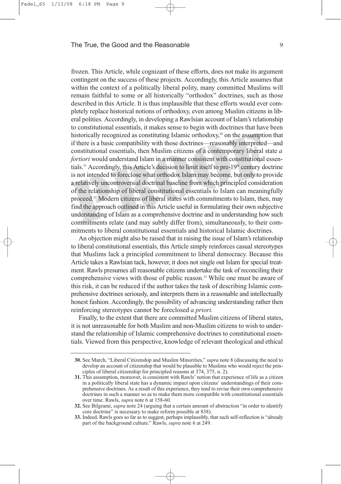frozen. This Article, while cognizant of these efforts, does not make its argument contingent on the success of these projects. Accordingly, this Article assumes that within the context of a politically liberal polity, many committed Muslims will remain faithful to some or all historically "orthodox" doctrines, such as those described in this Article. It is thus implausible that these efforts would ever completely replace historical notions of orthodoxy, even among Muslim citizens in liberal polities. Accordingly, in developing a Rawlsian account of Islam's relationship to constitutional essentials, it makes sense to begin with doctrines that have been historically recognized as constituting Islamic orthodoxy,<sup>30</sup> on the assumption that if there is a basic compatibility with those doctrines—reasonably interpreted—and constitutional essentials, then Muslim citizens of a contemporary liberal state *a fortiori* would understand Islam in a manner consistent with constitutional essentials.<sup>31</sup> Accordingly, this Article's decision to limit itself to pre-19<sup>th</sup> century doctrine is not intended to foreclose what orthodox Islam may become, but only to provide a relatively uncontroversial doctrinal baseline from which principled consideration of the relationship of liberal constitutional essentials to Islam can meaningfully proceed.32 Modern citizens of liberal states with commitments to Islam, then, may find the approach outlined in this Article useful in formulating their own subjective understanding of Islam as a comprehensive doctrine and in understanding how such commitments relate (and may subtly differ from), simultaneously, to their commitments to liberal constitutional essentials and historical Islamic doctrines.

An objection might also be raised that in raising the issue of Islam's relationship to liberal constitutional essentials, this Article simply reinforces casual stereotypes that Muslims lack a principled commitment to liberal democracy. Because this Article takes a Rawlsian tack, however, it does not single out Islam for special treatment. Rawls presumes all reasonable citizens undertake the task of reconciling their comprehensive views with those of public reason.<sup>33</sup> While one must be aware of this risk, it can be reduced if the author takes the task of describing Islamic comprehensive doctrines seriously, and interprets them in a reasonable and intellectually honest fashion. Accordingly, the possibility of advancing understanding rather then reinforcing stereotypes cannot be foreclosed *a priori.*

Finally, to the extent that there are committed Muslim citizens of liberal states, it is not unreasonable for both Muslim and non-Muslim citizens to wish to understand the relationship of Islamic comprehensive doctrines to constitutional essentials. Viewed from this perspective, knowledge of relevant theological and ethical

**<sup>30.</sup>** See March, "Liberal Citizenship and Muslim Minorities," *supra* note 8 (discussing the need to develop an account of citizenship that would be plausible to Muslims who would reject the principles of liberal citizenship for principled reasons at 374, 375, n. 2).

**<sup>31.</sup>** This assumption, moreover, is consistent with Rawls' notion that experience of life as a citizen in a politically liberal state has a dynamic impact upon citizens' understandings of their comprehensive doctrines. As a result of this experience, they tend to revise their own comprehensive doctrines in such a manner so as to make them more compatible with constitutional essentials over time. Rawls, *supra* note 6 at 158-60.

**<sup>32.</sup>** See Bilgrami, *supra* note 24 (arguing that a certain amount of abstraction "in order to identify core doctrine" is necessary to make reform possible at 838).

**<sup>33.</sup>** Indeed, Rawls goes so far as to suggest, perhaps implausibly, that such self-reflection is "already part of the background culture." Rawls, *supra* note 6 at 249.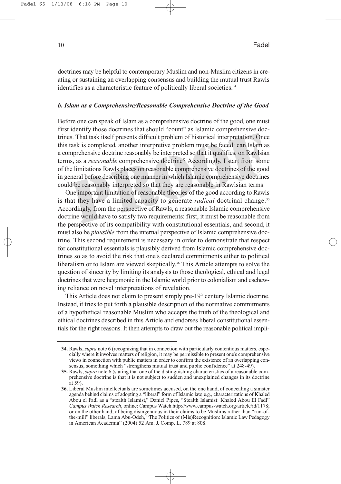doctrines may be helpful to contemporary Muslim and non-Muslim citizens in creating or sustaining an overlapping consensus and building the mutual trust Rawls identifies as a characteristic feature of politically liberal societies.<sup>34</sup>

#### *b. Islam as a Comprehensive/Reasonable Comprehensive Doctrine of the Good*

Before one can speak of Islam as a comprehensive doctrine of the good, one must first identify those doctrines that should "count" as Islamic comprehensive doctrines. That task itself presents difficult problem of historical interpretation. Once this task is completed, another interpretive problem must be faced: can Islam as a comprehensive doctrine reasonably be interpreted so that it qualifies, on Rawlsian terms, as a *reasonable* comprehensive doctrine? Accordingly, I start from some of the limitations Rawls places on reasonable comprehensive doctrines of the good in general before describing one manner in which Islamic comprehensive doctrines could be reasonably interpreted so that they are reasonable in Rawlsian terms.

One important limitation of reasonable theories of the good according to Rawls is that they have a limited capacity to generate *radical* doctrinal change.<sup>35</sup> Accordingly, from the perspective of Rawls, a reasonable Islamic comprehensive doctrine would have to satisfy two requirements: first, it must be reasonable from the perspective of its compatibility with constitutional essentials, and second, it must also be *plausible* from the internal perspective of Islamic comprehensive doctrine. This second requirement is necessary in order to demonstrate that respect for constitutional essentials is plausibly derived from Islamic comprehensive doctrines so as to avoid the risk that one's declared commitments either to political liberalism or to Islam are viewed skeptically.<sup>36</sup> This Article attempts to solve the question of sincerity by limiting its analysis to those theological, ethical and legal doctrines that were hegemonic in the Islamic world prior to colonialism and eschewing reliance on novel interpretations of revelation.

This Article does not claim to present simply pre-19<sup>th</sup> century Islamic doctrine. Instead, it tries to put forth a plausible description of the normative commitments of a hypothetical reasonable Muslim who accepts the truth of the theological and ethical doctrines described in this Article and endorses liberal constitutional essentials for the right reasons. It then attempts to draw out the reasonable political impli-

**<sup>34.</sup>** Rawls, *supra* note 6 (recognizing that in connection with particularly contentious matters, especially where it involves matters of religion, it may be permissible to present one's comprehensive views in connection with public matters in order to confirm the existence of an overlapping consensus, something which "strengthens mutual trust and public confidence" at 248-49).

**<sup>35.</sup>** Rawls, *supra* note 6 (stating that one of the distinguishing characteristics of a reasonable comprehensive doctrine is that it is not subject to sudden and unexplained changes in its doctrine at 59).

**<sup>36.</sup>** Liberal Muslim intellectuals are sometimes accused, on the one hand, of concealing a sinister agenda behind claims of adopting a "liberal" form of Islamic law, e.g., characterizations of Khaled Abou el Fadl as a "stealth Islamist," Daniel Pipes, "Stealth Islamist: Khaled Abou El Fadl" *Campus Watch Research*, online: Campus Watch http://www.campus-watch.org/article/id/1178; or on the other hand, of being disingenuous in their claims to be Muslims rather than "run-ofthe-mill" liberals, Lama Abu-Odeh, "The Politics of (Mis)Recognition: Islamic Law Pedagogy in American Academia" (2004) 52 Am. J. Comp. L. 789 at 808.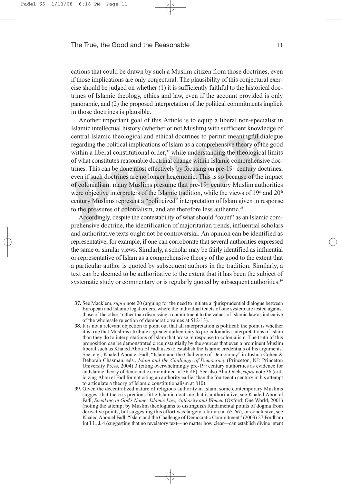cations that could be drawn by such a Muslim citizen from those doctrines, even if those implications are only conjectural. The plausibility of this conjectural exercise should be judged on whether (1) it is sufficiently faithful to the historical doctrines of Islamic theology, ethics and law, even if the account provided is only panoramic, and (2) the proposed interpretation of the political commitments implicit in those doctrines is plausible.

Another important goal of this Article is to equip a liberal non-specialist in Islamic intellectual history (whether or not Muslim) with sufficient knowledge of central Islamic theological and ethical doctrines to permit meaningful dialogue regarding the political implications of Islam as a comprehensive theory of the good within a liberal constitutional order, $37$  while understanding the theological limits of what constitutes reasonable doctrinal change within Islamic comprehensive doctrines. This can be done most effectively by focusing on pre- $19<sup>th</sup>$  century doctrines, even if such doctrines are no longer hegemonic. This is so because of the impact of colonialism: many Muslims presume that pre-19<sup>th</sup> century Muslim authorities were objective interpreters of the Islamic tradition, while the views of  $19<sup>th</sup>$  and  $20<sup>th</sup>$ century Muslims represent a "politicized" interpretation of Islam given in response to the pressures of colonialism, and are therefore less authentic.<sup>38</sup>

Accordingly, despite the contestability of what should "count" as an Islamic comprehensive doctrine, the identification of majoritarian trends, influential scholars and authoritative texts ought not be controversial. An opinion can be identified as representative, for example, if one can corroborate that several authorities expressed the same or similar views. Similarly, a scholar may be fairly identified as influential or representative of Islam as a comprehensive theory of the good to the extent that a particular author is quoted by subsequent authors in the tradition. Similarly, a text can be deemed to be authoritative to the extent that it has been the subject of systematic study or commentary or is regularly quoted by subsequent authorities.<sup>39</sup>

**<sup>37.</sup>** See Macklem, *supra* note 20 (arguing for the need to initiate a "jurisprudential dialogue between European and Islamic legal orders, where the individual tenets of one system are tested against those of the other" rather than dismissing a commitment to the values of Islamic law as indicative of the wholesale rejection of democratic values at 512-13).

**<sup>38.</sup>** It is not a relevant objection to point out that all interpretation is political: the point is whether it is true that Muslims attribute a greater authenticity to pre-colonialist interpretations of Islam than they do to interpretations of Islam that arose in response to colonialism. The truth of this proposition can be demonstrated circumstantially by the sources that even a prominent Muslim liberal such as Khaled Abou El Fadl uses to establish the Islamic credentials of his arguments. See, e.g., Khaled Abou el Fadl, "Islam and the Challenge of Democracy" in Joshua Cohen & Deborah Chasman, eds., *Islam and the Challenge of Democracy* (Princeton, NJ: Princeton University Press, 2004) 3 (citing overwhelmingly pre-19<sup>th</sup> century authorities as evidence for an Islamic theory of democratic commitment at 36-46). See also Abu-Odeh, *supra* note 36 (criticizing Abou el Fadl for not citing an authority earlier than the fourteenth century in his attempt to articulate a theory of Islamic constitutionalism at 810).

**<sup>39.</sup>** Given the decentralized nature of religious authority in Islam, some contemporary Muslims suggest that there is precious little Islamic doctrine that is authoritative, see Khaled Abou el Fadl, *Speaking in God's Name: Islamic Law, Authority and Women* (Oxford: One World, 2001) (noting the attempt by Muslim theologians to distinguish fundamental points of dogma from derivative points, but suggesting this effort was largely a failure at 65-66), or conclusive, see Khaled Abou el Fadl, "Islam and the Challenge of Democratic Commitment" (2003) 27 Fordham Int'l L. J. 4 (suggesting that no revelatory text—no matter how clear—can establish divine intent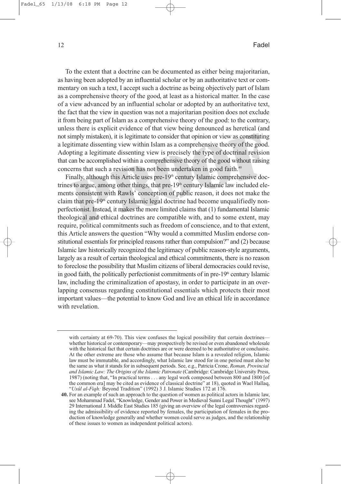To the extent that a doctrine can be documented as either being majoritarian, as having been adopted by an influential scholar or by an authoritative text or commentary on such a text, I accept such a doctrine as being objectively part of Islam as a comprehensive theory of the good, at least as a historical matter. In the case of a view advanced by an influential scholar or adopted by an authoritative text, the fact that the view in question was not a majoritarian position does not exclude it from being part of Islam as a comprehensive theory of the good: to the contrary, unless there is explicit evidence of that view being denounced as heretical (and not simply mistaken), it is legitimate to consider that opinion or view as constituting a legitimate dissenting view within Islam as a comprehensive theory of the good. Adopting a legitimate dissenting view is precisely the type of doctrinal revision that can be accomplished within a comprehensive theory of the good without raising concerns that such a revision has not been undertaken in good faith.<sup>40</sup>

Finally, although this Article uses pre- $19<sup>th</sup>$  century Islamic comprehensive doctrines to argue, among other things, that pre- $19<sup>th</sup>$  century Islamic law included elements consistent with Rawls' conception of public reason, it does not make the claim that pre-19<sup>th</sup> century Islamic legal doctrine had become unqualifiedly nonperfectionist. Instead, it makes the more limited claims that (1) fundamental Islamic theological and ethical doctrines are compatible with, and to some extent, may require, political commitments such as freedom of conscience, and to that extent, this Article answers the question "Why would a committed Muslim endorse constitutional essentials for principled reasons rather than compulsion?" and (2) because Islamic law historically recognized the legitimacy of public reason-style arguments, largely as a result of certain theological and ethical commitments, there is no reason to foreclose the possibility that Muslim citizens of liberal democracies could revise, in good faith, the politically perfectionist commitments of in pre- $19<sup>th</sup>$  century Islamic law, including the criminalization of apostasy, in order to participate in an overlapping consensus regarding constitutional essentials which protects their most important values—the potential to know God and live an ethical life in accordance with revelation.

with certainty at 69-70). This view confuses the logical possibility that certain doctrines whether historical or contemporary—may prospectively be revised or even abandoned wholesale with the historical fact that certain doctrines are or were deemed to be authoritative or conclusive. At the other extreme are those who assume that because Islam is a revealed religion, Islamic law must be immutable, and accordingly, what Islamic law stood for in one period must also be the same as what it stands for in subsequent periods. See, e.g., Patricia Crone, *Roman, Provincial and Islamic Law: The Origins of the Islamic Patronate* (Cambridge: Cambridge University Press, 1987) (noting that, "In practical terms . . . any legal work composed between 800 and 1800 [of the common era] may be cited as evidence of classical doctrine" at 18), quoted in Wael Hallaq, "*Usûl al-Fiqh:* Beyond Tradition" (1992) 3 J. Islamic Studies 172 at 176.

**<sup>40.</sup>** For an example of such an approach to the question of women as political actors in Islamic law, see Mohammad Fadel, "Knowledge, Gender and Power in Medieval Sunni Legal Thought" (1997) 29 International J. Middle East Studies 185 (giving an overview of the legal controversies regarding the admissibility of evidence reported by females, the participation of females in the production of knowledge generally and whether women could serve as judges, and the relationship of these issues to women as independent political actors).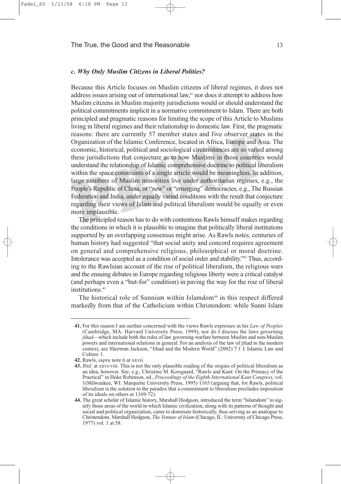# *c. Why Only Muslim Citizens in Liberal Polities?*

Because this Article focuses on Muslim citizens of liberal regimes, it does not address issues arising out of international law,<sup>41</sup> nor does it attempt to address how Muslim citizens in Muslim majority jurisdictions would or should understand the political commitments implicit in a normative commitment to Islam. There are both principled and pragmatic reasons for limiting the scope of this Article to Muslims living in liberal regimes and their relationship to domestic law. First, the pragmatic reasons: there are currently 57 member states and five observer states in the Organization of the Islamic Conference, located in Africa, Europe and Asia. The economic, historical, political and sociological circumstances are so varied among these jurisdictions that conjecture as to how Muslims in those countries would understand the relationship of Islamic comprehensive doctrine to political liberalism within the space constraints of a single article would be meaningless. In addition, large numbers of Muslim minorities live under authoritarian regimes, e.g., the People's Republic of China, or "new" or "emerging" democracies, e.g., The Russian Federation and India, under equally varied conditions with the result that conjecture regarding their views of Islam and political liberalism would be equally or even more implausible.

The principled reason has to do with contentions Rawls himself makes regarding the conditions in which it is plausible to imagine that politically liberal institutions supported by an overlapping consensus might arise. As Rawls notes, centuries of human history had suggested "that social unity and concord requires agreement on general and comprehensive religious, philosophical or moral doctrine. Intolerance was accepted as a condition of social order and stability.<sup>242</sup> Thus, according to the Rawlsian account of the rise of political liberalism, the religious wars and the ensuing debates in Europe regarding religious liberty were a critical catalyst (and perhaps even a "but-for" condition) in paving the way for the rise of liberal institutions.<sup>43</sup>

The historical role of Sunnism within Islamdom<sup>44</sup> in this respect differed markedly from that of the Catholicism within Christendom: while Sunni Islam

**<sup>41.</sup>** For this reason I am neither concerned with the views Rawls expresses in his *Law of Peoples* (Cambridge, MA: Harvard University Press, 1999), nor do I discuss the laws governing *jihad*—which include both the rules of law governing warfare between Muslim and non-Muslim powers and international relations in general. For an analysis of the law of jihad in the modern context, see Sherman Jackson, "Jihad and the Modern World" (2002) 7:1 J. Islamic Law and Culture 1.

**<sup>42.</sup>** Rawls, *supra* note 6 at xxvii.

**<sup>43.</sup>** *Ibid.* at xxvi-viii. This is not the only plausible reading of the origins of political liberalism as an idea, however. See, e.g., Christine M. Korsgaard, "Rawls and Kant: On the Primacy of the Practical" in Hoke Robinson, ed., *Proceedings of the Eighth International Kant Congress*, vol. 1(Milwaukee, WI: Marquette University Press, 1995) 1165 (arguing that, for Rawls, political liberalism is the solution to the paradox that a commitment to liberalism precludes imposition of its ideals on others at 1169-72).

**<sup>44.</sup>** The great scholar of Islamic history, Marshall Hodgson, introduced the term "Islamdom" to signify those areas of the world in which Islamic civilization, along with its patterns of thought and social and political organization, came to dominate historically, thus serving as an analogue to Christendom. Marshall Hodgson, *The Venture of Islam* (Chicago, IL: University of Chicago Press, 1977) vol. 1 at 58.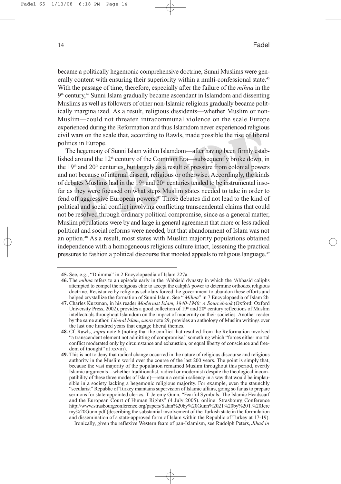became a politically hegemonic comprehensive doctrine, Sunni Muslims were generally content with ensuring their superiority within a multi-confessional state.<sup>45</sup> With the passage of time, therefore, especially after the failure of the *mihna* in the  $9<sup>th</sup>$  century,<sup>46</sup> Sunni Islam gradually became ascendant in Islamdom and dissenting Muslims as well as followers of other non-Islamic religions gradually became politically marginalized. As a result, religious dissidents—whether Muslim or non-Muslim—could not threaten intracommunal violence on the scale Europe experienced during the Reformation and thus Islamdom never experienced religious civil wars on the scale that, according to Rawls, made possible the rise of liberal politics in Europe.

The hegemony of Sunni Islam within Islamdom—after having been firmly established around the  $12<sup>th</sup>$  century of the Common Era—subsequently broke down, in the  $19<sup>th</sup>$  and  $20<sup>th</sup>$  centuries, but largely as a result of pressure from colonial powers and not because of internal dissent, religious or otherwise. Accordingly, the kinds of debates Muslims had in the  $19<sup>th</sup>$  and  $20<sup>th</sup>$  centuries tended to be instrumental insofar as they were focused on what steps Muslim states needed to take in order to fend off aggressive European powers.<sup>47</sup> Those debates did not lead to the kind of political and social conflict involving conflicting transcendental claims that could not be resolved through ordinary political compromise, since as a general matter, Muslim populations were by and large in general agreement that more or less radical political and social reforms were needed, but that abandonment of Islam was not an option.48 As a result, most states with Muslim majority populations obtained independence with a homogeneous religious culture intact, lessening the practical pressures to fashion a political discourse that mooted appeals to religious language.<sup>49</sup>

**<sup>45.</sup>** See, e.g., "Dhimma" in 2 Encyclopaedia of Islam 227a.

**<sup>46.</sup>** The *mihna* refers to an episode early in the 'Abbâsid dynasty in which the 'Abbasid caliphs attempted to compel the religious elite to accept the caliph's power to determine orthodox religious doctrine. Resistance by religious scholars forced the government to abandon these efforts and helped crystallize the formation of Sunni Islam. See " *Mihna*" in 7 Encyclopaedia of Islam 2b.

**<sup>47.</sup>** Charles Kurzman, in his reader *Modernist Islam, 1840-1940: A Sourcebook* (Oxford: Oxford University Press, 2002), provides a good collection of 19<sup>th</sup> and 20<sup>th</sup> century reflections of Muslim intellectuals throughout Islamdom on the impact of modernity on their societies. Another reader by the same author, *Liberal Islam*, *supra* note 29, provides an anthology of Muslim writings over the last one hundred years that engage liberal themes.

**<sup>48.</sup>** Cf. Rawls, *supra* note 6 (noting that the conflict that resulted from the Reformation involved "a transcendent element not admitting of compromise," something which "forces either mortal conflict moderated only by circumstance and exhaustion, or equal liberty of conscience and freedom of thought" at xxviii).

**<sup>49.</sup>** This is not to deny that radical change occurred in the nature of religious discourse and religious authority in the Muslim world over the course of the last 200 years. The point is simply that, because the vast majority of the population remained Muslim throughout this period, overtly Islamic arguments—whether traditionalist, radical or modernist (despite the theological incompatibility of these three modes of Islam)—retain a certain saliency in a way that would be implausible in a society lacking a hegemonic religious majority. For example, even the staunchly "secularist" Republic of Turkey maintains supervision of Islamic affairs, going so far as to prepare sermons for state-appointed clerics. T. Jeremy Gunn, "Fearful Symbols: The Islamic Headscarf and the European Court of Human Rights" (4 July 2005), online: Strasbourg Conference http://www.strasbourgconference.org/papers/Sahin%20by%20Gunn%2021%20by%20T.%20Jere my%20Gunn.pdf (describing the substantial involvement of the Turkish state in the formulation and dissemination of a state-approved form of Islam within the Republic of Turkey at 17-19).

Ironically, given the reflexive Western fears of pan-Islamism, see Rudolph Peters, *Jihad in*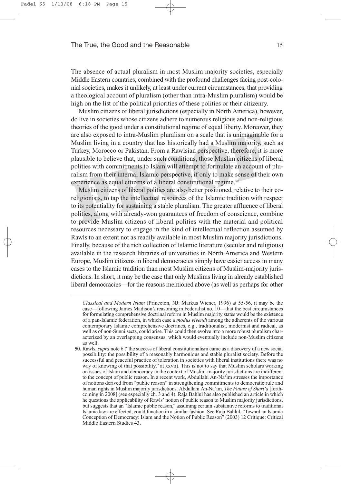The absence of actual pluralism in most Muslim majority societies, especially Middle Eastern countries, combined with the profound challenges facing post-colonial societies, makes it unlikely, at least under current circumstances, that providing a theological account of pluralism (other than intra-Muslim pluralism) would be high on the list of the political priorities of these polities or their citizenry.

Muslim citizens of liberal jurisdictions (especially in North America), however, do live in societies whose citizens adhere to numerous religious and non-religious theories of the good under a constitutional regime of equal liberty. Moreover, they are also exposed to intra-Muslim pluralism on a scale that is unimaginable for a Muslim living in a country that has historically had a Muslim majority, such as Turkey, Morocco or Pakistan. From a Rawlsian perspective, therefore, it is more plausible to believe that, under such conditions, those Muslim citizens of liberal polities with commitments to Islam will attempt to formulate an account of pluralism from their internal Islamic perspective, if only to make sense of their own experience as equal citizens of a liberal constitutional regime.<sup>50</sup>

Muslim citizens of liberal polities are also better positioned, relative to their coreligionists, to tap the intellectual resources of the Islamic tradition with respect to its potentiality for sustaining a stable pluralism. The greater affluence of liberal polities, along with already-won guarantees of freedom of conscience, combine to provide Muslim citizens of liberal polities with the material and political resources necessary to engage in the kind of intellectual reflection assumed by Rawls to an extent not as readily available in most Muslim majority jurisdictions. Finally, because of the rich collection of Islamic literature (secular and religious) available in the research libraries of universities in North America and Western Europe, Muslim citizens in liberal democracies simply have easier access in many cases to the Islamic tradition than most Muslim citizens of Muslim-majority jurisdictions. In short, it may be the case that only Muslims living in already established liberal democracies—for the reasons mentioned above (as well as perhaps for other

*Classical and Modern Islam* (Princeton, NJ: Markus Wiener, 1996) at 55-56, it may be the case—following James Madison's reasoning in Federalist no. 10—that the best circumstances for formulating comprehensive doctrinal reform in Muslim majority states would be the existence of a pan-Islamic federation, in which case a *modus vivendi* among the adherents of the various contemporary Islamic comprehensive doctrines, e.g., traditionalist, modernist and radical, as well as of non-Sunni sects, could arise. This could then evolve into a more robust pluralism characterized by an overlapping consensus, which would eventually include non-Muslim citizens as well.

**<sup>50.</sup>** Rawls, *supra* note 6 ("the success of liberal constitutionalism came as a discovery of a new social possibility: the possibility of a reasonably harmonious and stable pluralist society. Before the successful and peaceful practice of toleration in societies with liberal institutions there was no way of knowing of that possibility," at xxvii). This is not to say that Muslim scholars working on issues of Islam and democracy in the context of Muslim-majority jurisdictions are indifferent to the concept of public reason. In a recent work, Abdullahi An-Na'im stresses the importance of notions derived from "public reason" in strengthening commitments to democratic rule and human rights in Muslim majority jurisdictions. Abdullahi An-Na'im, *The Future of Shari'a* [forthcoming in 2008] (see especially ch. 3 and 4). Raja Bahlul has also published an article in which he questions the applicability of Rawls' notion of public reason to Muslim majority jurisdictions, but suggests that an "Islamic public reason," assuming certain substantive reforms to traditional Islamic law are effected, could function in a similar fashion. See Raja Bahlul, "Toward an Islamic Conception of Democracy: Islam and the Notion of Public Reason" (2003) 12 Critique: Critical Middle Eastern Studies 43.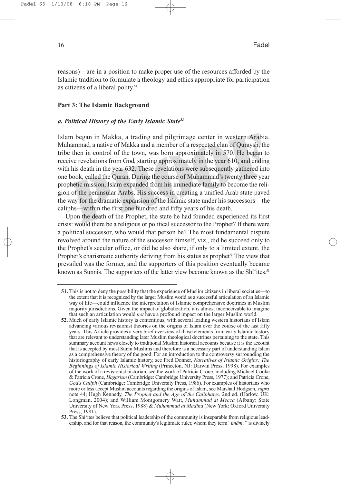reasons)—are in a position to make proper use of the resources afforded by the Islamic tradition to formulate a theology and ethics appropriate for participation as citizens of a liberal polity.<sup>51</sup>

#### **Part 3: The Islamic Background**

# *a. Political History of the Early Islamic State52*

Islam began in Makka, a trading and pilgrimage center in western Arabia. Muhammad, a native of Makka and a member of a respected clan of Quraysh, the tribe then in control of the town, was born approximately in 570. He began to receive revelations from God, starting approximately in the year 610, and ending with his death in the year 632. These revelations were subsequently gathered into one book, called the Quran. During the course of Muhammad's twenty three year prophetic mission, Islam expanded from his immediate family to become the religion of the peninsular Arabs. His success in creating a unified Arab state paved the way for the dramatic expansion of the Islamic state under his successors—the caliphs—within the first one hundred and fifty years of his death.

Upon the death of the Prophet, the state he had founded experienced its first crisis: would there be a religious or political successor to the Prophet? If there were a political successor, who would that person be? The most fundamental dispute revolved around the nature of the successor himself, viz., did he succeed only to the Prophet's secular office, or did he also share, if only to a limited extent, the Prophet's charismatic authority deriving from his status as prophet? The view that prevailed was the former, and the supporters of this position eventually became known as Sunnîs. The supporters of the latter view become known as the Shî'ites.<sup>53</sup>

**<sup>51.</sup>** This is not to deny the possibility that the experience of Muslim citizens in liberal societies—to the extent that it is recognized by the larger Muslim world as a successful articulation of an Islamic way of life—could influence the interpretation of Islamic comprehensive doctrines in Muslim majority jurisdictions. Given the impact of globalization, it is almost inconceivable to imagine that such an articulation would *not* have a profound impact on the larger Muslim world.

**<sup>52.</sup>** Much of early Islamic history is contentious, with several leading western historians of Islam advancing various revisionist theories on the origins of Islam over the course of the last fifty years. This Article provides a very brief overview of those elements from early Islamic history that are relevant to understanding later Muslim theological doctrines pertaining to the state. This summary account hews closely to traditional Muslim historical accounts because it is the account that is accepted by most Sunni Muslims and therefore is a necessary part of understanding Islam as a comprehensive theory of the good. For an introduction to the controversy surrounding the historiography of early Islamic history, see Fred Donner, *Narratives of Islamic Origins: The Beginnings of Islamic Historical Writing* (Princeton, NJ: Darwin Press, 1998). For examples of the work of a revisionist historian, see the work of Patricia Crone, including Michael Cooke & Patricia Crone, *Hagarism* (Cambridge: Cambridge University Press, 1977); and Patricia Crone, *God's Caliph* (Cambridge: Cambridge University Press, 1986). For examples of historians who more or less accept Muslim accounts regarding the origins of Islam, see Marshall Hodgson, *supra* note 44; Hugh Kennedy, *The Prophet and the Age of the Caliphates,* 2nd ed. (Harlow, UK: Longman, 2004); and William Montgomery Watt, *Muhammad at Mecca* (Albany: State University of New York Press, 1988) & *Muhammad at Madina* (New York: Oxford University Press, 1981).

**<sup>53.</sup>** The Shi'ites believe that political leadership of the community is inseparable from religious leadership, and for that reason, the community's legitimate ruler, whom they term "*imâm*, " is divinely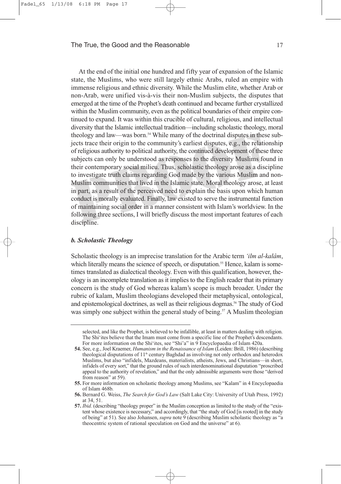At the end of the initial one hundred and fifty year of expansion of the Islamic state, the Muslims, who were still largely ethnic Arabs, ruled an empire with immense religious and ethnic diversity. While the Muslim elite, whether Arab or non-Arab, were unified vis-à-vis their non-Muslim subjects, the disputes that emerged at the time of the Prophet's death continued and became further crystallized within the Muslim community, even as the political boundaries of their empire continued to expand. It was within this crucible of cultural, religious, and intellectual diversity that the Islamic intellectual tradition—including scholastic theology, moral theology and law—was born.<sup>54</sup> While many of the doctrinal disputes in these subjects trace their origin to the community's earliest disputes, e.g., the relationship of religious authority to political authority, the continued development of these three subjects can only be understood as responses to the diversity Muslims found in their contemporary social milieu. Thus, scholastic theology arose as a discipline to investigate truth claims regarding God made by the various Muslim and non-Muslim communities that lived in the Islamic state. Moral theology arose, at least in part, as a result of the perceived need to explain the basis upon which human conduct is morally evaluated. Finally, law existed to serve the instrumental function of maintaining social order in a manner consistent with Islam's worldview. In the following three sections, I will briefly discuss the most important features of each discipline.

#### *b. Scholastic Theology*

Scholastic theology is an imprecise translation for the Arabic term *'ilm al-kalâm*, which literally means the science of speech, or disputation.<sup>55</sup> Hence, kalam is sometimes translated as dialectical theology. Even with this qualification, however, theology is an incomplete translation as it implies to the English reader that its primary concern is the study of God whereas kalam's scope is much broader. Under the rubric of kalam, Muslim theologians developed their metaphysical, ontological, and epistemological doctrines, as well as their religious dogmas.<sup>56</sup> The study of God was simply one subject within the general study of being.<sup>57</sup> A Muslim theologian

selected, and like the Prophet, is believed to be infallible, at least in matters dealing with religion. The Shi'ites believe that the Imam must come from a specific line of the Prophet's descendants. For more information on the Shi'ites, see "Shi'a" in 9 Encyclopaedia of Islam 420a.

**<sup>54.</sup>** See, e.g., Joel Kraemer, *Humanism in the Renaissance of Islam* (Leiden: Brill, 1986) (describing theological disputations of 11<sup>th</sup> century Baghdad as involving not only orthodox and heterodox Muslims, but also "infidels, Mazdeans, materialists, atheists, Jews, and Christians—in short, infidels of every sort," that the ground rules of such interdenominational disputation "proscribed appeal to the authority of revelation," and that the only admissible arguments were those "derived from reason" at 59).

**<sup>55.</sup>** For more information on scholastic theology among Muslims, see "Kalam" in 4 Encyclopaedia of Islam 468b.

**<sup>56.</sup>** Bernard G. Weiss, *The Search for God's Law* (Salt Lake City: University of Utah Press, 1992) at 34, 51.

**<sup>57.</sup>** *Ibid.* (describing "theology proper" in the Muslim conception as limited to the study of the "existent whose existence is necessary," and accordingly, that "the study of God [is rooted] in the study of being" at 51). See also Johansen, *supra* note 9 (describing Muslim scholastic theology as "a theocentric system of rational speculation on God and the universe" at 6).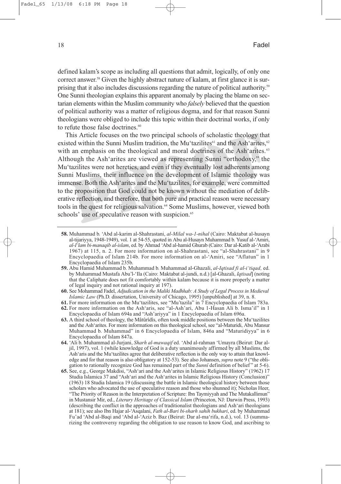defined kalam's scope as including all questions that admit, logically, of only one correct answer.<sup>58</sup> Given the highly abstract nature of kalam, at first glance it is surprising that it also includes discussions regarding the nature of political authority.<sup>59</sup> One Sunni theologian explains this apparent anomaly by placing the blame on sectarian elements within the Muslim community who *falsely* believed that the question of political authority was a matter of religious dogma, and for that reason Sunni theologians were obliged to include this topic within their doctrinal works, if only to refute those false doctrines.<sup>60</sup>

This Article focuses on the two principal schools of scholastic theology that existed within the Sunni Muslim tradition, the Mu'tazilites<sup>61</sup> and the Ash'arites,<sup>62</sup> with an emphasis on the theological and moral doctrines of the Ash'arites.<sup>63</sup> Although the Ash'arites are viewed as representing Sunni "orthodoxy," the Mu'tazilites were not heretics, and even if they eventually lost adherents among Sunni Muslims, their influence on the development of Islamic theology was immense. Both the Ash'arites and the Mu'tazilites, for example, were committed to the proposition that God could not be known without the mediation of deliberative reflection, and therefore, that both pure and practical reason were necessary tools in the quest for religious salvation.<sup>64</sup> Some Muslims, however, viewed both schools' use of speculative reason with suspicion.<sup>65</sup>

**<sup>58.</sup>** Muhammad b. 'Abd al-karim al-Shahrastani, *al-Milal wa-1-nihal* (Cairo: Maktabat al-husayn al-tijariyya, 1948-1949), vol. 1 at 54-55, quoted in Abu al-Husayn Muhammad b. Yusuf al-'Amiri, *al-I'lam bi-manaqib al-islam*, ed. by Ahmad 'Abd al-hamid Ghurab (Cairo: Dar al-Katib al-'Arabi 1967) at 115, n. 2. For more information on al-Shahrastani, see "al-Shahrastani" in 9 Encyclopaedia of Islam 214b. For more information on al-'Amiri, see "Aflatun" in 1 Encyclopaedia of Islam 235b.

**<sup>59.</sup>** Abu Hamid Muhammad b. Muhammad b. Muhammad al-Ghazali, *al-Iqtisad fi al-i'tiqad,* ed. by Muhammad Mustafa Abu'l-'Ila (Cairo: Maktabat al-jundi, n.d.) [al-Ghazali, *Iqtisad*] (noting that the Caliphate does not fit comfortably within kalam because it is more properly a matter of legal inquiry and not rational inquiry at 197).

**<sup>60.</sup>** See Mohammad Fadel, *Adjudication in the Maliki Madhhab: A Study of Legal Process in Medieval Islamic Law* (Ph.D. dissertation, University of Chicago, 1995) [unpublished] at 39, n. 8.

**<sup>61.</sup>** For more information on the Mu'tazilites, see "Mu'tazila" in 7 Encyclopaedia of Islam 783a.

**<sup>62.</sup>** For more information on the Ash'aris, see "al-Ash'ari, Abu 1-Hasan Ali b. Isma'il" in 1 Encyclopaedia of Islam 694a and "Ash'ariyya" in 1 Encyclopaedia of Islam 696a.

**<sup>63.</sup>** A third school of theology, the Mâtûrîdîs, often took middle positions between the Mu'tazilites and the Ash'arites. For more information on this theological school, see "al-Maturidi, Abu Mansur Muhammad b. Muhammad" in 6 Encyclopaedia of Islam, 846a and "Maturidiyya" in 6 Encyclopaedia of Islam 847a.

**<sup>64.</sup>** 'Ali b. Muhammad al-Jurjani, *Sharh al-mawaqif* ed. 'Abd al-rahman 'Umayra (Beirut: Dar aljil, 1997), vol. 1 (while knowledge of God is a duty unanimously affirmed by all Muslims, the Ash'aris and the Mu'tazilites agree that deliberative reflection is the only way to attain that knowledge and for that reason is also obligatory at 152-53). See also Johansen, *supra* note 9 ("the obligation to rationally recognize God has remained part of the *Sunnî* definition of belief " at 5-6).

**<sup>65.</sup>** See, e.g., George Makdisi, "Ash'ari and the Ash'arites in Islamic Religious History" (1962) 17 Studia Islamica 37 and "Ash'ari and the Ash'arites in Islamic Religious History (Conclusion)" (1963) 18 Studia Islamica 19 (discussing the battle in Islamic theological history between those scholars who advocated the use of speculative reason and those who shunned it); Nicholas Heer, "The Priority of Reason in the Interpretation of Scripture: Ibn Taymiyyah and The Mutakallimun" in Mustansir Mir, ed., *Literary Heritage of Classical Islam* (Princeton, NJ: Darwin Press, 1993) (describing the conflict in the approaches of traditionalist theologians and Ash'ari theologians at 181); see also Ibn Hajar al-'Asqalani, *Fath al-Bari bi-sharh sahih bukhari*, ed. by Muhammad Fu'ad 'Abd al-Baqi and 'Abd al-'Aziz b. Baz (Beirut: Dar al-ma'rifa, n.d.), vol. 13 (summarizing the controversy regarding the obligation to use reason to know God, and ascribing to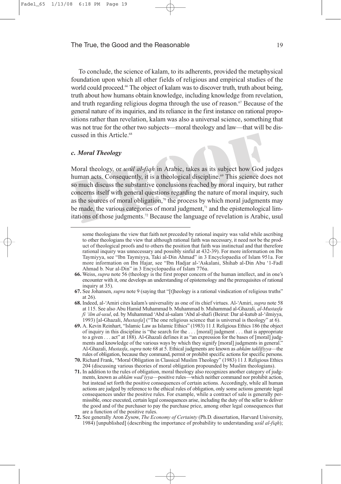To conclude, the science of kalam, to its adherents, provided the metaphysical foundation upon which all other fields of religious and empirical studies of the world could proceed.<sup>66</sup> The object of kalam was to discover truth, truth about being, truth about how humans obtain knowledge, including knowledge from revelation, and truth regarding religious dogma through the use of reason.<sup>67</sup> Because of the general nature of its inquiries, and its reliance in the first instance on rational propositions rather than revelation, kalam was also a universal science, something that was not true for the other two subjects—moral theology and law—that will be discussed in this Article.<sup>68</sup>

#### *c. Moral Theology*

Moral theology, or *usûl al-fiqh* in Arabic, takes as its subject how God judges human acts. Consequently, it is a theological discipline.<sup>69</sup> This science does not so much discuss the substantive conclusions reached by moral inquiry, but rather concerns itself with general questions regarding the nature of moral inquiry, such as the sources of moral obligation,<sup>70</sup> the process by which moral judgments may be made, the various categories of moral judgment, $\alpha$  and the epistemological limitations of those judgments.<sup>72</sup> Because the language of revelation is Arabic, usul

some theologians the view that faith not preceded by rational inquiry was valid while ascribing to other theologians the view that although rational faith was necessary, it need not be the product of theological proofs and to others the position that faith was instinctual and that therefore rational inquiry was unnecessary and possibly sinful at 432-39). For more information on Ibn Taymiyya, see "Ibn Taymiyya, Taki al-Din Ahmad" in 3 Encyclopaedia of Islam 951a. For more information on Ibn Hajar, see "Ibn Hadjar al-'Askalani, Shihab al-Din Abu '1-Fadl Ahmad b. Nur al-Din" in 3 Encyclopaedia of Islam 776a.

**<sup>66.</sup>** Weiss, *supra* note 56 (theology is the first proper concern of the human intellect, and in one's encounter with it, one develops an understanding of epistemology and the prerequisites of rational inquiry at 35).

**<sup>67.</sup>** See Johansen, *supra* note 9 (saying that "[t]heology is a rational vindication of religious truths" at 26).

**<sup>68.</sup>** Indeed, al-'Amiri cites kalam's universality as one of its chief virtues. Al-'Amiri, *supra* note 58 at 115. See also Abu Hamid Muhammad b. Muhammad b. Muhammad al-Ghazali, *al-Mustasfa fi 'ilm al-usul*, ed. by Muhammad 'Abd al-salam 'Abd al-shafi (Beirut: Dar al-kutub al-'ilmiyya, 1993) [al-Ghazali, *Mustasfa*] ("The one religious science that is universal is theology" at 6).

**<sup>69.</sup>** A. Kevin Reinhart, "Islamic Law as Islamic Ethics" (1983) 11 J. Religious Ethics 186 (the object of inquiry in this discipline is "the search for the . . . [moral] judgment . . . that is appropriate to a given . . . act" at 188). Al-Ghazali defines it as "an expression for the bases of [moral] judgments and knowledge of the various ways by which they signify [moral] judgments in general." Al-Ghazali, *Mustasfa*, *supra* note 68 at 5. Ethical judgments are known as *ahkâm taklîfiyya*—the rules of obligation, because they command, permit or prohibit specific actions for specific persons.

**<sup>70.</sup>** Richard Frank, "Moral Obligation in Classical Muslim Theology" (1983) 11 J. Religious Ethics 204 (discussing various theories of moral obligation propounded by Muslim theologians).

**<sup>71.</sup>** In addition to the rules of obligation, moral theology also recognizes another category of judgments, known as *ahkâm wad'iyya*—positive rules—which neither command nor prohibit action, but instead set forth the positive consequences of certain actions. Accordingly, while all human actions are judged by reference to the ethical rules of obligation, only some actions generate legal consequences under the positive rules. For example, while a contract of sale is generally permissible, once executed, certain legal consequences arise, including the duty of the seller to deliver the good and of the purchaser to pay the purchase price, among other legal consequences that are a function of the positive rules.

**<sup>72.</sup>** See generally Aron Zysow, *The Economy of Certainty* (Ph.D. dissertation, Harvard University, 1984) [unpublished] (describing the importance of probability to understanding *usûl al-fiqh*);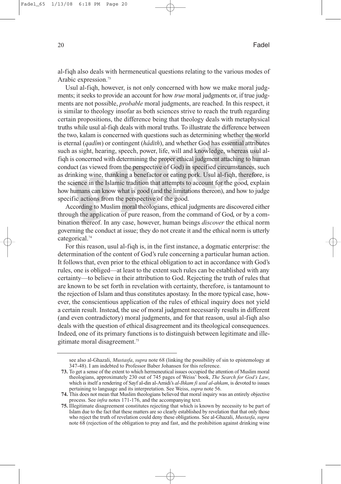al-fiqh also deals with hermeneutical questions relating to the various modes of Arabic expression.<sup>73</sup>

Usul al-fiqh, however, is not only concerned with how we make moral judgments; it seeks to provide an account for how *true* moral judgments or, if true judgments are not possible, *probable* moral judgments, are reached. In this respect, it is similar to theology insofar as both sciences strive to reach the truth regarding certain propositions, the difference being that theology deals with metaphysical truths while usul al-fiqh deals with moral truths. To illustrate the difference between the two, kalam is concerned with questions such as determining whether the world is eternal (*qadîm*) or contingent (*hâdith*), and whether God has essential attributes such as sight, hearing, speech, power, life, will and knowledge, whereas usul alfiqh is concerned with determining the proper ethical judgment attaching to human conduct (as viewed from the perspective of God) in specified circumstances, such as drinking wine, thanking a benefactor or eating pork. Usul al-fiqh, therefore, is the science in the Islamic tradition that attempts to account for the good, explain how humans can know what is good (and the limitations thereon), and how to judge specific actions from the perspective of the good.

According to Muslim moral theologians, ethical judgments are discovered either through the application of pure reason, from the command of God, or by a combination thereof. In any case, however, human beings *discover* the ethical norm governing the conduct at issue; they do not create it and the ethical norm is utterly categorical.<sup>74</sup>

For this reason, usul al-fiqh is, in the first instance, a dogmatic enterprise: the determination of the content of God's rule concerning a particular human action. It follows that, even prior to the ethical obligation to act in accordance with God's rules, one is obliged—at least to the extent such rules can be established with any certainty—to believe in their attribution to God. Rejecting the truth of rules that are known to be set forth in revelation with certainty, therefore, is tantamount to the rejection of Islam and thus constitutes apostasy. In the more typical case, however, the conscientious application of the rules of ethical inquiry does not yield a certain result. Instead, the use of moral judgment necessarily results in different (and even contradictory) moral judgments, and for that reason, usul al-fiqh also deals with the question of ethical disagreement and its theological consequences. Indeed, one of its primary functions is to distinguish between legitimate and illegitimate moral disagreement.75

see also al-Ghazali, *Mustasfa*, *supra* note 68 (linking the possibility of sin to epistemology at 347-48). I am indebted to Professor Baber Johansen for this reference.

**<sup>73.</sup>** To get a sense of the extent to which hermeneutical issues occupied the attention of Muslim moral theologians, approximately 230 out of 745 pages of Weiss' book, *The Search for God's Law*, which is itself a rendering of Sayf al-din al-Amidi's *al-Ihkam fi usul al-ahkam*, is devoted to issues pertaining to language and its interpretation. See Weiss, *supra* note 56.

**<sup>74.</sup>** This does not mean that Muslim theologians believed that moral inquiry was an entirely objective process. See *infra* notes 171-176, and the accompanying text.

**<sup>75.</sup>** Illegitimate disagreement constitutes rejecting that which is known by necessity to be part of Islam due to the fact that these matters are so clearly established by revelation that that only those who reject the truth of revelation could deny these obligations. See al-Ghazali, *Mustasfa*, *supra* note 68 (rejection of the obligation to pray and fast, and the prohibition against drinking wine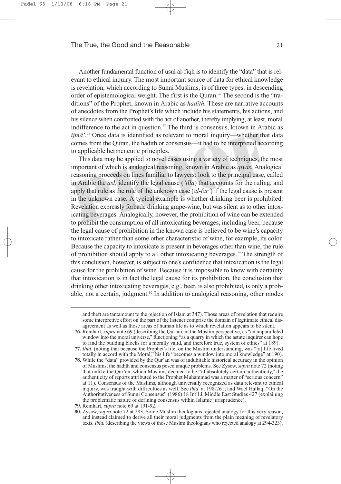Another fundamental function of usul al-fiqh is to identify the "data" that is relevant to ethical inquiry. The most important source of data for ethical knowledge is revelation, which according to Sunni Muslims, is of three types, in descending order of epistemological weight. The first is the Quran.76 The second is the "traditions" of the Prophet, known in Arabic as *hadîth.* These are narrative accounts of anecdotes from the Prophet's life which include his statements, his actions, and his silence when confronted with the act of another, thereby implying, at least, moral indifference to the act in question.<sup>77</sup> The third is consensus, known in Arabic as *ijmâ'.*<sup>78</sup> Once data is identified as relevant to moral inquiry—whether that data comes from the Quran, the hadith or consensus—it had to be interpreted according to applicable hermeneutic principles.

This data may be applied to novel cases using a variety of techniques, the most important of which is analogical reasoning, known in Arabic as *qiyâs.* Analogical reasoning proceeds on lines familiar to lawyers: look to the principal case, called in Arabic the *asl*, identify the legal cause (*'illa*) that accounts for the ruling, and apply that rule as the rule of the unknown case (*al-far'*) if the legal cause is present in the unknown case. A typical example is whether drinking beer is prohibited. Revelation expressly forbade drinking grape-wine, but was silent as to other intoxicating beverages. Analogically, however, the prohibition of wine can be extended to prohibit the consumption of all intoxicating beverages, including beer, because the legal cause of prohibition in the known case is believed to be wine's capacity to intoxicate rather than some other characteristic of wine, for example, its color. Because the capacity to intoxicate is present in beverages other than wine, the rule of prohibition should apply to all other intoxicating beverages.<sup>79</sup> The strength of this conclusion, however, is subject to one's confidence that intoxication is the legal cause for the prohibition of wine. Because it is impossible to know with certainty that intoxication is in fact the legal cause for its prohibition, the conclusion that drinking other intoxicating beverages, e.g., beer, is also prohibited, is only a probable, not a certain, judgment.<sup>80</sup> In addition to analogical reasoning, other modes

**79.** Reinhart, *supra* note 69 at 191-92.

and theft are tantamount to the rejection of Islam at 347). Those areas of revelation that require some interpretive effort on the part of the listener comprise the domain of legitimate ethical disagreement as well as those areas of human life as to which revelation appears to be silent.

**<sup>76.</sup>** Reinhart, *supra* note 69 (describing the Qur'an, in the Muslim perspective, as "an unparalleled window into the moral universe," functioning "as a quarry in which the astute inquirer can hope to find the building blocks for a morally valid, and therefore true, system of ethics" at 189).

**<sup>77.</sup>** *Ibid.* (noting that because the Prophet's life, on the Muslim understanding, was "[a] life lived totally in accord with the Moral," his life "becomes a window into moral knowledge" at 190).

**<sup>78.</sup>** While the "data" provided by the Qur'an was of indubitable historical accuracy in the opinion of Muslims, the hadith and consensus posed unique problems. See Zysow, *supra* note 72 (noting that unlike the Qur'an, which Muslims deemed to be "of absolutely certain authenticity," the authenticity of reports attributed to the Prophet Muhammad was a matter of "serious concern" at 11). Consensus of the Muslims, although universally recognized as data relevant to ethical inquiry, was fraught with difficulties as well. See *ibid.* at 198-261; and Wael Hallaq, "On the Authoritativeness of Sunni Consensus" (1986) 18 Int'l J. Middle East Studies 427 (explaining the problematic nature of defining consensus within Islamic jurisprudence).

**<sup>80.</sup>** Zysow, *supra* note 72 at 283. Some Muslim theologians rejected analogy for this very reason, and instead claimed to derive all their moral judgments from the plain meaning of revelatory texts. *Ibid.* (describing the views of those Muslim theologians who rejected analogy at 294-323).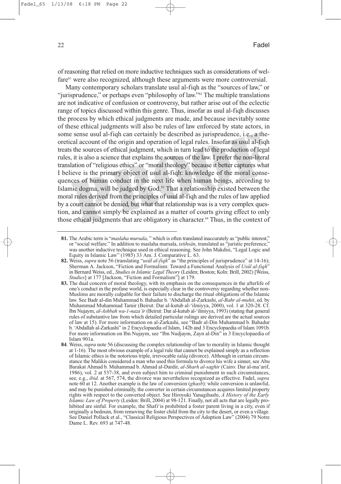of reasoning that relied on more inductive techniques such as considerations of welfare<sup>81</sup> were also recognized, although these arguments were more controversial.

Many contemporary scholars translate usul al-fiqh as the "sources of law," or "jurisprudence," or perhaps even "philosophy of law."82 The multiple translations are not indicative of confusion or controversy, but rather arise out of the eclectic range of topics discussed within this genre. Thus, insofar as usul al-fiqh discusses the process by which ethical judgments are made, and because inevitably some of these ethical judgments will also be rules of law enforced by state actors, in some sense usul al-fiqh can certainly be described as jurisprudence, i.e., a theoretical account of the origin and operation of legal rules. Insofar as usul al-fiqh treats the sources of ethical judgment, which in turn lead to the production of legal rules, it is also a science that explains the sources of the law. I prefer the non-literal translation of "religious ethics" or "moral theology" because it better captures what I believe is the primary object of usul al-fiqh: knowledge of the moral consequences of human conduct in the next life when human beings, according to Islamic dogma, will be judged by God.83 That a relationship existed between the moral rules derived from the principles of usul al-fiqh and the rules of law applied by a court cannot be denied, but what that relationship was is a very complex question, and cannot simply be explained as a matter of courts giving effect to only those ethical judgments that are obligatory in character.<sup>84</sup> Thus, in the context of

**<sup>81.</sup>** The Arabic term is "*maslaha mursala*, " which is often translated inaccurately as "public interest," or "social welfare." In addition to maslaha mursala, *istihsân*, translated as "juristic preference," was another inductive technique used in ethical reasoning. See John Makdisi, "Legal Logic and Equity in Islamic Law" (1985) 33 Am. J. Comparative L. 63.

**<sup>82.</sup>** Weiss, *supra* note 56 (translating "*usûl al-fiqh*" as "the principles of jurisprudence" at 14-16); Sherman A. Jackson, "Fiction and Formalism: Toward a Functional Analysis of *Usûl al-fiqh*" in Bernard Weiss, ed., *Studies in Islamic Legal Theory* (Leiden; Boston; Koln: Brill, 2002) [Weiss, *Studies*] at 177 [Jackson, "Fiction and Formalism"] at 179.

**<sup>83.</sup>** The dual concern of moral theology, with its emphasis on the consequences in the afterlife of one's conduct in the profane world, is especially clear in the controversy regarding whether non-Muslims are morally culpable for their failure to discharge the ritual obligations of the Islamic law. See Badr al-din Muhammad b. Bahadur b. 'Abdallah al-Zarkashi, *al-Bahr al-muhit*, ed. by Muhammad Muhammad Tamir (Beirut: Dar al-kutub al-'ilmiyya, 2000), vol. 1 at 320-28. Cf. Ibn Nujaym, *al-Ashbah wa-1-naza'ir* (Beirut: Dar al-kutub al-'ilmiyya, 1993) (stating that general rules of substantive law from which detailed particular rulings are derived are the actual sources of law at 15). For more information on al-Zarkashi, see "Badr al-Din Muhammad b. Bahadur b. 'Abdallah al-Zarkashi" in 2 Encyclopaedia of Islam, 142b and 3 Encyclopaedia of Islam 1091b. For more information on Ibn Nujaym, see "Ibn Nudjaym, Zayn al-Din" in 3 Encyclopaedia of Islam 901a.

**<sup>84</sup>**. Weiss, *supra* note 56 (discussing the complex relationship of law to morality in Islamic thought at 1-16). The most obvious example of a legal rule that cannot be explained simply as a reflection of Islamic ethics is the notorious triple, irrevocable *talâq* (divorce). Although in certain circumstance the Malikis considered a man who used this formula to divorce his wife a sinner, see Abu Barakat Ahmad b. Muhammad b. Ahmad al-Dardir, *al-Sharh al-saghir* (Cairo: Dar al-ma'arif, 1986), vol. 2 at 537-38, and even subject him to criminal punishment in such circumstances, see, e.g., *ibid.* at 567, 574, the divorce was nevertheless recognized as effective. Fadel, *supra* note 60 at 12. Another example is the law of conversion (*ghasb*): while conversion is unlawful, and may be punished criminally, the converter in certain circumstances acquires limited property rights with respect to the converted object. See Hiroyuki Yanagihashi, *A History of the Early Islamic Law of Property* (Leiden: Brill, 2004) at 98-121. Finally, not all acts that are legally prohibited are sinful. For example, the Shafi'is prohibited a foster parent living in a city, even if originally a bedouin, from removing the foster child from the city to the desert, or even a village. See Daniel Pollack et al., "Classical Religious Perspectives of Adoption Law" (2004) 79 Notre Dame L. Rev. 693 at 747-48.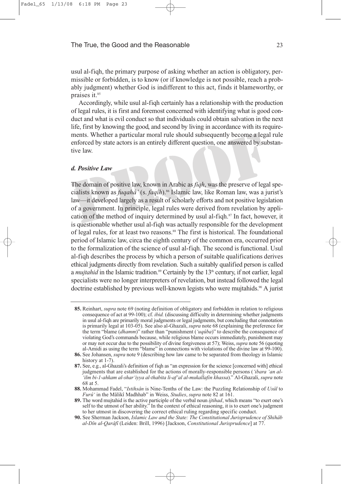usul al-fiqh, the primary purpose of asking whether an action is obligatory, permissible or forbidden, is to know (or if knowledge is not possible, reach a probably judgment) whether God is indifferent to this act, finds it blameworthy, or praises it.<sup>85</sup>

Accordingly, while usul al-fiqh certainly has a relationship with the production of legal rules, it is first and foremost concerned with identifying what is good conduct and what is evil conduct so that individuals could obtain salvation in the next life, first by knowing the good, and second by living in accordance with its requirements. Whether a particular moral rule should subsequently become a legal rule enforced by state actors is an entirely different question, one answered by substantive law.

#### *d. Positive Law*

The domain of positive law, known in Arabic as *fiqh*, was the preserve of legal specialists known as *fuqahâ'* (s. *faqîh*).86 Islamic law, like Roman law, was a jurist's law—it developed largely as a result of scholarly efforts and not positive legislation of a government. In principle, legal rules were derived from revelation by application of the method of inquiry determined by usul al-fiqh.87 In fact, however, it is questionable whether usul al-fiqh was actually responsible for the development of legal rules, for at least two reasons.<sup>88</sup> The first is historical. The foundational period of Islamic law, circa the eighth century of the common era, occurred prior to the formalization of the science of usul al-fiqh. The second is functional. Usul al-fiqh describes the process by which a person of suitable qualifications derives ethical judgments directly from revelation. Such a suitably qualified person is called a *mujtahid* in the Islamic tradition.<sup>89</sup> Certainly by the 13<sup>th</sup> century, if not earlier, legal specialists were no longer interpreters of revelation, but instead followed the legal doctrine established by previous well-known legists who were mujtahids.<sup>90</sup> A jurist

**<sup>85.</sup>** Reinhart, *supra* note 69 (noting definition of obligatory and forbidden in relation to religious consequence of act at 99-100); cf. *ibid.* (discussing difficulty in determining whether judgments in usul al-fiqh are primarily moral judgments or legal judgments, but concluding that connotation is primarily legal at 103-05). See also al-Ghazali, *supra* note 68 (explaining the preference for the term "blame (*dhamm*)" rather than "punishment (*'uqûba*)" to describe the consequence of violating God's commands because, while religious blame occurs immediately, punishment may or may not occur due to the possibility of divine forgiveness at 57); Weiss, *supra* note 56 (quoting al-Amidi as using the term "blame" in connections with violations of the divine law at 99-100).

**<sup>86.</sup>** See Johansen, *supra* note 9 (describing how law came to be separated from theology in Islamic history at 1-7).

**<sup>87.</sup>** See, e.g., al-Ghazali's definition of fiqh as "an expression for the science [concerned with] ethical judgments that are established for the actions of morally-responsible persons (*'ibara 'an al- 'ilm bi-1-ahkam al-shar'iyya al-thabita li-af'al al-mukallafin khassa*)." Al-Ghazali, *supra* note 68 at 5.

**<sup>88.</sup>** Mohammad Fadel, "*Istihsân* is Nine-Tenths of the Law: the Puzzling Relationship of *Usûl* to *Furû'* in the Mâlikî Madhhab" in Weiss, *Studies*, *supra* note 82 at 161.

**<sup>89.</sup>** The word mujtahid is the active participle of the verbal noun *ijtihad*, which means "to exert one's self to the utmost of her ability." In the context of ethical reasoning, it is to exert one's judgment to her utmost in discovering the correct ethical ruling regarding specific conduct.

**<sup>90.</sup>** See Sherman Jackson, *Islamic Law and the State: The Constitutional Jurisprudence of Shihâb al-Dîn al-Qarâfî* (Leiden: Brill, 1996) [Jackson, *Constitutional Jurisprudence*] at 77.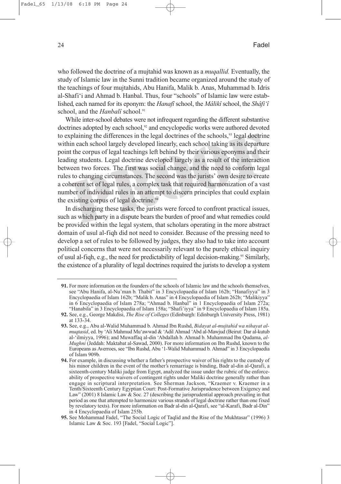who followed the doctrine of a mujtahid was known as a *muqallid.* Eventually, the study of Islamic law in the Sunni tradition became organized around the study of the teachings of four mujtahids, Abu Hanifa, Malik b. Anas, Muhammad b. Idris al-Shafi'i and Ahmad b. Hanbal. Thus, four "schools" of Islamic law were established, each named for its eponym: the *Hanafî* school, the *Mâlikî* school, the *Shâfi'î* school, and the *Hanbalî* school.<sup>91</sup>

While inter-school debates were not infrequent regarding the different substantive doctrines adopted by each school,<sup>92</sup> and encyclopedic works were authored devoted to explaining the differences in the legal doctrines of the schools,<sup>93</sup> legal doctrine within each school largely developed linearly, each school taking as its departure point the corpus of legal teachings left behind by their various eponyms and their leading students. Legal doctrine developed largely as a result of the interaction between two forces. The first was social change, and the need to conform legal rules to changing circumstances. The second was the jurists' own desire to create a coherent set of legal rules, a complex task that required harmonization of a vast number of individual rules in an attempt to discern principles that could explain the existing corpus of legal doctrine.<sup>94</sup>

In discharging these tasks, the jurists were forced to confront practical issues, such as which party in a dispute bears the burden of proof and what remedies could be provided within the legal system, that scholars operating in the more abstract domain of usul al-fiqh did not need to consider. Because of the pressing need to develop a set of rules to be followed by judges, they also had to take into account political concerns that were not necessarily relevant to the purely ethical inquiry of usul al-fiqh, e.g., the need for predictability of legal decision-making.<sup>95</sup> Similarly, the existence of a plurality of legal doctrines required the jurists to develop a system

**<sup>91.</sup>** For more information on the founders of the schools of Islamic law and the schools themselves, see "Abu Hanifa, al-Nu'man b. Thabit" in 3 Encyclopaedia of Islam 162b; "Hanafiyya" in 3 Encyclopaedia of Islam 162b; "Malik b. Anas" in 4 Encyclopaedia of Islam 262b; "Malikiyya" in 6 Encyclopaedia of Islam 278a; "Ahmad b. Hanbal" in 1 Encyclopaedia of Islam 272a; "Hanabila" in 3 Encyclopaedia of Islam 158a; "Shafi'iyya" in 9 Encyclopaedia of Islam 185a.

**<sup>92.</sup>** See, e.g., George Makdisi, *The Rise of Colleges* (Edinburgh: Edinburgh University Press, 1981) at 133-34.

**<sup>93.</sup>** See, e.g., Abu al-Walid Muhammad b. Ahmad Ibn Rushd, *Bidayat al-mujtahid wa nihayat almuqtasid*, ed. by 'Ali Mahmud Mu'awwad & 'Adil Ahmad 'Abd al-Mawjud (Beirut: Dar al-kutub al-'ilmiyya, 1996); and Muwaffaq al-din 'Abdallah b. Ahmad b. Muhammad Ibn Qudama, *al-Mughni* (Jeddah: Maktabat al-Sawad, 2000). For more information on Ibn Rushd, known to the Europeans as Averroes, see "Ibn Rushd, Abu '1-Walid Muhammad b. Ahmad" in 3 Encyclopaedia of Islam 909b.

**<sup>94.</sup>** For example, in discussing whether a father's prospective waiver of his rights to the custody of his minor children in the event of the mother's remarriage is binding, Badr al-din al-Qarafi, a sixteenth-century Maliki judge from Egypt, analyzed the issue under the rubric of the enforceability of prospective waivers of contingent rights under Maliki doctrine generally rather than engage in scriptural interpretation. See Sherman Jackson, "Kraemer v. Kraemer in a Tenth/Sixteenth Century Egyptian Court: Post-Formative Jurisprudence between Exigency and Law" (2001) 8 Islamic Law & Soc. 27 (describing the jurisprudential approach prevailing in that period as one that attempted to harmonize various strands of legal doctrine rather than one fixed by revelatory texts). For more information on Badr al-din al-Qarafi, see "al-Karafi, Badr al-Din" in 4 Encyclopaedia of Islam 255b.

**<sup>95.</sup>** See Mohammad Fadel, "The Social Logic of Taqlid and the Rise of the Mukhtasar" (1996) 3 Islamic Law & Soc. 193 [Fadel, "Social Logic"].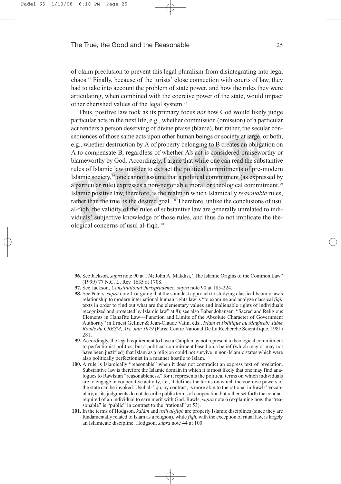of claim preclusion to prevent this legal pluralism from disintegrating into legal chaos.96 Finally, because of the jurists' close connection with courts of law, they had to take into account the problem of state power, and how the rules they were articulating, when combined with the coercive power of the state, would impact other cherished values of the legal system.<sup>97</sup>

Thus, positive law took as its primary focus *not* how God would likely judge particular acts in the next life, e.g., whether commission (omission) of a particular act renders a person deserving of divine praise (blame), but rather, the secular consequences of those same acts upon other human beings or society at large, or both, e.g., whether destruction by A of property belonging to B creates an obligation on A to compensate B, regardless of whether A's act is considered praiseworthy or blameworthy by God. Accordingly, I argue that while one can read the substantive rules of Islamic law in order to extract the political commitments of pre-modern Islamic society, <sup>98</sup> one cannot assume that a political commitment (as expressed by a particular rule) expresses a non-negotiable moral or theological commitment.<sup>99</sup> Islamic positive law, therefore, is the realm in which Islamically *reasonable* rules, rather than the true, is the desired goal.<sup>100</sup> Therefore, unlike the conclusions of usul al-fiqh, the validity of the rules of substantive law are generally unrelated to individuals' subjective knowledge of those rules, and thus do not implicate the theological concerns of usul al-fiqh.<sup>101</sup>

**<sup>96.</sup>** See Jackson, *supra* note 90 at 174; John A. Makdisi, "The Islamic Origins of the Common Law" (1999) 77 N.C. L. Rev. 1635 at 1708.

**<sup>97.</sup>** See Jackson, *Constitutional Jurisprudence*, *supra* note 90 at 185-224.

**<sup>98.</sup>** See Peters, *supra* note 1 (arguing that the soundest approach to studying classical Islamic law's relationship to modern international human rights law is "to examine and analyze classical *fiqh* texts in order to find out what are the elementary values and inalienable rights of individuals recognized and protected by Islamic law" at 8); see also Baber Johansen, "Sacred and Religious Elements in Hanafite Law—Function and Limits of the Absolute Character of Government Authority" in Ernest Gellner & Jean-Claude Vatin, eds., *Islam et Politique au Maghreb: Table Ronde du CRESM, Aix, Juin 1979* (Paris: Centre National De La Recherche Scientifique, 1981) 281.

**<sup>99.</sup>** Accordingly, the legal requirement to have a Caliph may not represent a theological commitment to perfectionist politics, but a political commitment based on a belief (which may or may not have been justified) that Islam as a religion could not survive in non-Islamic states which were also politically perfectionist in a manner hostile to Islam.

**<sup>100.</sup>** A rule is Islamically "reasonable" when it does not contradict an express text of revelation. Substantive law is therefore the Islamic domain in which it is most likely that one may find analogues to Rawlsian "reasonableness," for it represents the political terms on which individuals are to engage in cooperative activity, i.e., it defines the terms on which the coercive powers of the state can be invoked. Usul al-fiqh, by contrast, is more akin to the rational in Rawls' vocabulary, as its judgments do not describe public terms of cooperation but rather set forth the conduct required of an individual to earn merit with God. Rawls, *supra* note 6 (explaining how the "reasonable" is "public" in contrast to the "rational" at 53).

**<sup>101.</sup>** In the terms of Hodgson, *kalâm* and *usûl al-fiqh* are properly Islamic disciplines (since they are fundamentally related to Islam as a religion), while *fiqh*, with the exception of ritual law, is largely an Islamicate discipline. Hodgson, *supra* note 44 at 100.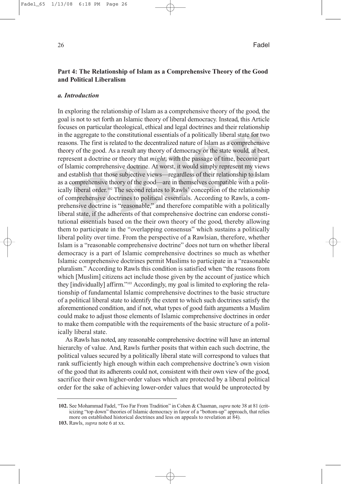# **Part 4: The Relationship of Islam as a Comprehensive Theory of the Good and Political Liberalism**

#### *a. Introduction*

In exploring the relationship of Islam as a comprehensive theory of the good, the goal is not to set forth an Islamic theory of liberal democracy. Instead, this Article focuses on particular theological, ethical and legal doctrines and their relationship in the aggregate to the constitutional essentials of a politically liberal state for two reasons. The first is related to the decentralized nature of Islam as a comprehensive theory of the good. As a result any theory of democracy or the state would, at best, represent a doctrine or theory that *might*, with the passage of time, become part of Islamic comprehensive doctrine. At worst, it would simply represent my views and establish that those subjective views—regardless of their relationship to Islam as a comprehensive theory of the good—are in themselves compatible with a politically liberal order.<sup>102</sup> The second relates to Rawls' conception of the relationship of comprehensive doctrines to political essentials. According to Rawls, a comprehensive doctrine is "reasonable," and therefore compatible with a politically liberal state, if the adherents of that comprehensive doctrine can endorse constitutional essentials based on the their own theory of the good, thereby allowing them to participate in the "overlapping consensus" which sustains a politically liberal polity over time. From the perspective of a Rawlsian, therefore, whether Islam is a "reasonable comprehensive doctrine" does not turn on whether liberal democracy is a part of Islamic comprehensive doctrines so much as whether Islamic comprehensive doctrines permit Muslims to participate in a "reasonable pluralism." According to Rawls this condition is satisfied when "the reasons from which [Muslim] citizens act include those given by the account of justice which they [individually] affirm."103 Accordingly, my goal is limited to exploring the relationship of fundamental Islamic comprehensive doctrines to the basic structure of a political liberal state to identify the extent to which such doctrines satisfy the aforementioned condition, and if not, what types of good faith arguments a Muslim could make to adjust those elements of Islamic comprehensive doctrines in order to make them compatible with the requirements of the basic structure of a politically liberal state.

As Rawls has noted, any reasonable comprehensive doctrine will have an internal hierarchy of value. And, Rawls further posits that within each such doctrine, the political values secured by a politically liberal state will correspond to values that rank sufficiently high enough within each comprehensive doctrine's own vision of the good that its adherents could not, consistent with their own view of the good, sacrifice their own higher-order values which are protected by a liberal political order for the sake of achieving lower-order values that would be unprotected by

**<sup>102.</sup>** See Mohammad Fadel, "Too Far From Tradition" in Cohen & Chasman, *supra* note 38 at 81 (criticizing "top down" theories of Islamic democracy in favor of a "bottom-up" approach, that relies more on established historical doctrines and less on appeals to revelation at 84).

**<sup>103.</sup>** Rawls, *supra* note 6 at xx.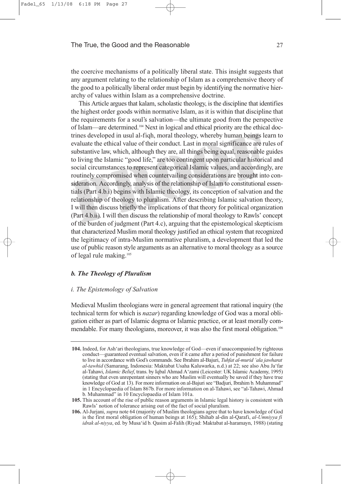the coercive mechanisms of a politically liberal state. This insight suggests that any argument relating to the relationship of Islam as a comprehensive theory of the good to a politically liberal order must begin by identifying the normative hierarchy of values within Islam as a comprehensive doctrine.

This Article argues that kalam, scholastic theology, is the discipline that identifies the highest order goods within normative Islam, as it is within that discipline that the requirements for a soul's salvation—the ultimate good from the perspective of Islam—are determined.104 Next in logical and ethical priority are the ethical doctrines developed in usul al-fiqh, moral theology, whereby human beings learn to evaluate the ethical value of their conduct. Last in moral significance are rules of substantive law, which, although they are, all things being equal, reasonable guides to living the Islamic "good life," are too contingent upon particular historical and social circumstances to represent categorical Islamic values, and accordingly, are routinely compromised when countervailing considerations are brought into consideration. Accordingly, analysis of the relationship of Islam to constitutional essentials (Part 4.b.i) begins with Islamic theology, its conception of salvation and the relationship of theology to pluralism. After describing Islamic salvation theory, I will then discuss briefly the implications of that theory for political organization (Part 4.b.ii). I will then discuss the relationship of moral theology to Rawls' concept of the burden of judgment (Part 4.c), arguing that the epistemological skepticism that characterized Muslim moral theology justified an ethical system that recognized the legitimacy of intra-Muslim normative pluralism, a development that led the use of public reason style arguments as an alternative to moral theology as a source of legal rule making.105

# *b. The Theology of Pluralism*

# *i. The Epistemology of Salvation*

Medieval Muslim theologians were in general agreement that rational inquiry (the technical term for which is *nazar*) regarding knowledge of God was a moral obligation either as part of Islamic dogma or Islamic practice, or at least morally commendable. For many theologians, moreover, it was also the first moral obligation.106

**<sup>104.</sup>** Indeed, for Ash'ari theologians, true knowledge of God—even if unaccompanied by righteous conduct—guaranteed eventual salvation, even if it came after a period of punishment for failure to live in accordance with God's commands. See Ibrahim al-Bajuri, *Tuhfat al-murid 'ala jawharat al-tawhid* (Samarang, Indonesia: Maktabat Usaha Kaluwarka, n.d.) at 22; see also Abu Ja'far al-Tahawi, *Islamic Belief*, trans. by Iqbal Ahmad A'zami (Leicester: UK Islamic Academy, 1995) (stating that even unrepentant sinners who are Muslim will eventually be saved if they have true knowledge of God at 13). For more information on al-Bajuri see "Badjuri, Ibrahim b. Muhammad" in 1 Encyclopaedia of Islam 867b. For more information on al-Tahawi, see "al-Tahawi, Ahmad b. Muhammad" in 10 Encyclopaedia of Islam 101a.

**<sup>105.</sup>** This account of the rise of public reason arguments in Islamic legal history is consistent with Rawls' notion of tolerance arising out of the fact of social pluralism.

**<sup>106.</sup>** Al-Jurjani, *supra* note 64 (majority of Muslim theologians agree that to have knowledge of God is the first moral obligation of human beings at 165); Shihab al-din al-Qarafi, *al-Umniyya fi idrak al-niyya*, ed. by Musa'id b. Qasim al-Falih (Riyad: Maktabat al-haramayn, 1988) (stating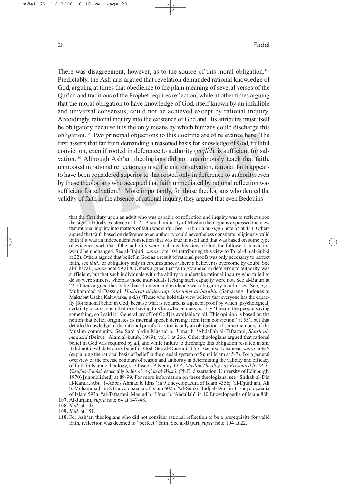There was disagreement, however, as to the source of this moral obligation.<sup>107</sup> Predictably, the Ash'aris argued that revelation demanded rational knowledge of God, arguing at times that obedience to the plain meaning of several verses of the Qur'an and traditions of the Prophet requires reflection, while at other times arguing that the moral obligation to have knowledge of God, itself known by an infallible and universal consensus, could not be achieved except by rational inquiry. Accordingly, rational inquiry into the existence of God and His attributes must itself be obligatory because it is the only means by which humans could discharge this obligation.108 Two principal objections to this doctrine are of relevance here. The first asserts that far from demanding a reasoned basis for knowledge of God, truthful conviction, even if rooted in deference to authority (*taqlîd*), is sufficient for salvation.109 Although Ash'ari theologians did not unanimously teach that faith, unmoored in rational reflection, is insufficient for salvation, rational faith appears to have been considered superior to that rooted only in deference to authority, even by those theologians who accepted that faith unmediated by rational reflection was sufficient for salvation.<sup>110</sup> More importantly, for those theologians who denied the validity of faith in the absence of rational inquiry, they argued that even Bedouins—

that the first duty upon an adult who was capable of reflection and inquiry was to reflect upon the signs of God's existence at 112). A small minority of Muslim theologians expressed the view that rational inquiry into matters of faith was sinful. See 13 Ibn Hajar, *supra* note 65 at 433. Others argued that faith based on deference to an authority could nevertheless constitute religiously valid faith if it was an independent conviction that was true in itself and that was based on some type of evidence, such that if the authority were to change his view of God, the follower's conviction would be unchanged. See al-Bajuri, *supra* note 104 (attributing this view to Taj al-din al-Subki at 22). Others argued that belief in God as a result of rational proofs was only necessary to perfect faith, see *ibid.*, or obligatory only in circumstances where a believer is overcome by doubt. See al-Ghazali, *supra* note 59 at 8. Others argued that faith grounded in deference to authority was sufficient, but that such individuals with the ability to undertake rational inquiry who failed to do so were sinners, whereas those individuals lacking such capacity were not. See al-Bajuri at 22. Others argued that belief based on general evidence was obligatory in all cases, See, e.g., Muhammad al-Dassuqi, *Hashiyat al-dassuqi 'ala umm al-barahin* (Samarang, Indonesia: Maktabat Usaha Kaluwarka, n.d.) ("Those who hold this view believe that everyone has the capacity [for rational belief in God] because what is required is a general proof by which [psychological] certainty occurs, such that one having this knowledge does not say 'I heard the people saying something, so I said it.' General proof [of God] is available to all. This opinion is based on the notion that belief originates as internal speech deriving from firm conviction" at 55), but that detailed knowledge of the rational proofs for God is only an obligation of some members of the Muslim community. See Sa'd al-din Mas'ud b. 'Umar b. 'Abdallah al-Taftazani, *Sharh almaqasid* (Beirut: 'Alam al-kutub, 1989), vol. 1 at 266. Other theologians argued that rational belief in God was required by all, and while failure to discharge this obligation resulted in sin, it did not invalidate one's belief in God. See al-Dassuqi at 55. See also Johansen, *supra* note 9 (explaining the rational basis of belief in the creedal system of Sunni Islam at 5-7). For a general overview of the precise contours of reason and authority in determining the validity and efficacy of faith in Islamic theology, see Joseph P. Kenny, O.P., *Muslim Theology as Presented by M. b. Yûsuf as-Sanûsî*, especially *in* his *al-'Aqîda al-Wustâ*, (Ph.D. dissertation, University of Edinburgh, 1970) [unpublished] at 89-99. For more information on these theologians, see "Shihab al-Din al-Karafi, Abu '1-Abbas Ahmad b. Idris" in 9 Encyclopaedia of Islam 435b; "al-Djurdjani, Ali b. Muhammad" in 2 Encyclopaedia of Islam 602b; "al-Subki, Tadj al-Din" in 1 Encyclopaedia of Islam 593a; "al-Taftazani, Mas'ud b. 'Umar b. 'Abdallah" in 10 Encyclopaedia of Islam 88b. **107.** Al-Jurjani, *supra* note 64 at 147-48.

**<sup>108.</sup>** *Ibid.* at 148.

**<sup>109.</sup>** *Ibid.* at 151.

**<sup>110.</sup>** For Ash'ari theologians who did not consider rational reflection to be a prerequisite for valid faith, reflection was deemed to "perfect" faith. See al-Bajuri, *supra* note 104 at 22.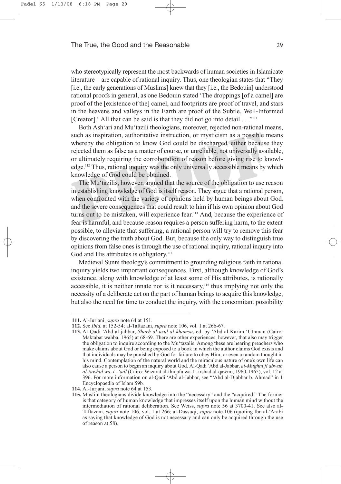who stereotypically represent the most backwards of human societies in Islamicate literature—are capable of rational inquiry. Thus, one theologian states that "They [i.e., the early generations of Muslims] knew that they [i.e., the Bedouin] understood rational proofs in general, as one Bedouin stated 'The droppings [of a camel] are proof of the [existence of the] camel, and footprints are proof of travel, and stars in the heavens and valleys in the Earth are proof of the Subtle, Well-Informed [Creator].' All that can be said is that they did not go into detail . . .''<sup>111</sup>

Both Ash'ari and Mu'tazili theologians, moreover, rejected non-rational means, such as inspiration, authoritative instruction, or mysticism as a possible means whereby the obligation to know God could be discharged, either because they rejected them as false as a matter of course, or unreliable, not universally available, or ultimately requiring the corroboration of reason before giving rise to knowledge.112 Thus, rational inquiry was the only universally accessible means by which knowledge of God could be obtained.

The Mu'tazilis, however, argued that the source of the obligation to use reason in establishing knowledge of God is itself reason. They argue that a rational person, when confronted with the variety of opinions held by human beings about God, and the severe consequences that could result to him if his own opinion about God turns out to be mistaken, will experience fear.<sup>113</sup> And, because the experience of fear is harmful, and because reason requires a person suffering harm, to the extent possible, to alleviate that suffering, a rational person will try to remove this fear by discovering the truth about God. But, because the only way to distinguish true opinions from false ones is through the use of rational inquiry, rational inquiry into God and His attributes is obligatory.<sup>114</sup>

Medieval Sunni theology's commitment to grounding religious faith in rational inquiry yields two important consequences. First, although knowledge of God's existence, along with knowledge of at least some of His attributes, is rationally accessible, it is neither innate nor is it necessary, $115$  thus implying not only the necessity of a deliberate act on the part of human beings to acquire this knowledge, but also the need for time to conduct the inquiry, with the concomitant possibility

**<sup>111.</sup>** Al-Jurjani, *supra* note 64 at 151.

**<sup>112.</sup>** See *Ibid.* at 152-54; al-Taftazani, *supra* note 106, vol. 1 at 266-67.

**<sup>113.</sup>** Al-Qadi 'Abd al-jabbar, *Sharh al-usul al-khamsa*, ed. by 'Abd al-Karim 'Uthman (Cairo: Maktabat wahba, 1965) at 68-69. There are other experiences, however, that also may trigger the obligation to inquire according to the Mu'tazalis. Among these are hearing preachers who make claims about God or being exposed to a book in which the author claims God exists and that individuals may be punished by God for failure to obey Him, or even a random thought in his mind. Contemplation of the natural world and the miraculous nature of one's own life can also cause a person to begin an inquiry about God. Al-Qadi 'Abd al-Jabbar, *al-Mughni fi abwab al-tawhid wa-1 -'adl* (Cairo: Wizarat al-thiqafa wa-1 -irshad al-qawmi, 1960-1965), vol. 12 at 396. For more information on al-Qadi 'Abd al-Jabbar, see "'Abd al-Djabbar b. Ahmad" in 1 Encyclopaedia of Islam 59b.

**<sup>114.</sup>** Al-Jurjani, *supra* note 64 at 153.

**<sup>115.</sup>** Muslim theologians divide knowledge into the "necessary" and the "acquired." The former is that category of human knowledge that impresses itself upon the human mind without the intermediation of rational deliberation. See Weiss, *supra* note 56 at 3700-41. See also al-Taftazani, *supra* note 106, vol. 1 at 266; al-Dassuqi, *supra* note 106 (quoting Ibn al-'Arabi as saying that knowledge of God is not necessary and can only be acquired through the use of reason at 58).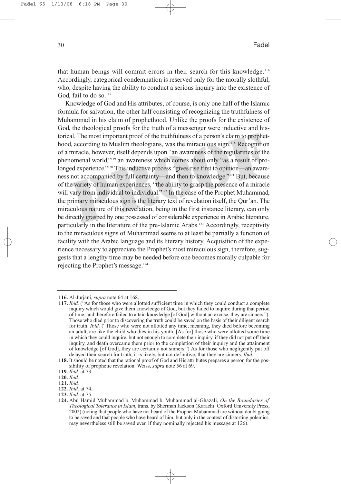that human beings will commit errors in their search for this knowledge.116 Accordingly, categorical condemnation is reserved only for the morally slothful, who, despite having the ability to conduct a serious inquiry into the existence of God, fail to do so.<sup>117</sup>

Knowledge of God and His attributes, of course, is only one half of the Islamic formula for salvation, the other half consisting of recognizing the truthfulness of Muhammad in his claim of prophethood. Unlike the proofs for the existence of God, the theological proofs for the truth of a messenger were inductive and historical. The most important proof of the truthfulness of a person's claim to prophethood, according to Muslim theologians, was the miraculous sign.<sup>118</sup> Recognition of a miracle, however, itself depends upon "an awareness of the regularities of the phenomenal world,"119 an awareness which comes about only "as a result of prolonged experience."120 This inductive process "gives rise first to opinion—an awareness not accompanied by full certainty—and then to knowledge."121 But, because of the variety of human experiences, "the ability to grasp the presence of a miracle will vary from individual to individual."<sup>122</sup> In the case of the Prophet Muhammad, the primary miraculous sign is the literary text of revelation itself, the Qur'an. The miraculous nature of this revelation, being in the first instance literary, can only be directly grasped by one possessed of considerable experience in Arabic literature, particularly in the literature of the pre-Islamic Arabs.<sup>123</sup> Accordingly, receptivity to the miraculous signs of Muhammad seems to at least be partially a function of facility with the Arabic language and its literary history. Acquisition of the experience necessary to appreciate the Prophet's most miraculous sign, therefore, suggests that a lengthy time may be needed before one becomes morally culpable for rejecting the Prophet's message.124

**<sup>116.</sup>** Al-Jurjani, *supra* note 64 at 168.

**<sup>117.</sup>** *Ibid.* ("As for those who were allotted sufficient time in which they could conduct a complete inquiry which would give them knowledge of God, but they failed to inquire during that period of time, and therefore failed to attain knowledge [of God] without an excuse, they are sinners."). Those who died prior to discovering the truth could be saved on the basis of their diligent search for truth. *Ibid.* ("Those who were not allotted any time, meaning, they died before becoming an adult, are like the child who dies in his youth. [As for] those who were allotted some time in which they could inquire, but not enough to complete their inquiry, if they did not put off their inquiry, and death overcame them prior to the completion of their inquiry and the attainment of knowledge [of God], they are certainly not sinners.") As for those who negligently put off delayed their search for truth, it is likely, but not definitive, that they are sinners. *Ibid.*

**<sup>118.</sup>** It should be noted that the rational proof of God and His attributes prepares a person for the possibility of prophetic revelation. Weiss, *supra* note 56 at 69.

**<sup>119.</sup>** *Ibid.* at 73.

**<sup>120.</sup>** *Ibid.*

**<sup>121.</sup>** *Ibid.*

**<sup>122.</sup>** *Ibid.* at 74.

**<sup>123.</sup>** *Ibid.* at 75.

**<sup>124.</sup>** Abu Hamid Muhammad b. Muhammad b. Muhammad al-Ghazali, *On the Boundaries of Theological Tolerance in Islam*, trans. by Sherman Jackson (Karachi: Oxford University Press, 2002) (noting that people who have not heard of the Prophet Muhammad are without doubt going to be saved and that people who have heard of him, but only in the context of distorting polemics, may nevertheless still be saved even if they nominally rejected his message at 126).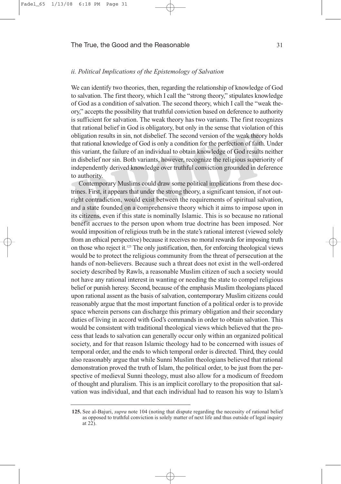# *ii. Political Implications of the Epistemology of Salvation*

We can identify two theories, then, regarding the relationship of knowledge of God to salvation. The first theory, which I call the "strong theory," stipulates knowledge of God as a condition of salvation. The second theory, which I call the "weak theory," accepts the possibility that truthful conviction based on deference to authority is sufficient for salvation. The weak theory has two variants. The first recognizes that rational belief in God is obligatory, but only in the sense that violation of this obligation results in sin, not disbelief. The second version of the weak theory holds that rational knowledge of God is only a condition for the perfection of faith. Under this variant, the failure of an individual to obtain knowledge of God results neither in disbelief nor sin. Both variants, however, recognize the religious superiority of independently derived knowledge over truthful conviction grounded in deference to authority.

Contemporary Muslims could draw some political implications from these doctrines. First, it appears that under the strong theory, a significant tension, if not outright contradiction, would exist between the requirements of spiritual salvation, and a state founded on a comprehensive theory which it aims to impose upon in its citizens, even if this state is nominally Islamic. This is so because no rational benefit accrues to the person upon whom true doctrine has been imposed. Nor would imposition of religious truth be in the state's rational interest (viewed solely from an ethical perspective) because it receives no moral rewards for imposing truth on those who reject it.125 The only justification, then, for enforcing theological views would be to protect the religious community from the threat of persecution at the hands of non-believers. Because such a threat does not exist in the well-ordered society described by Rawls, a reasonable Muslim citizen of such a society would not have any rational interest in wanting or needing the state to compel religious belief or punish heresy. Second, because of the emphasis Muslim theologians placed upon rational assent as the basis of salvation, contemporary Muslim citizens could reasonably argue that the most important function of a political order is to provide space wherein persons can discharge this primary obligation and their secondary duties of living in accord with God's commands in order to obtain salvation. This would be consistent with traditional theological views which believed that the process that leads to salvation can generally occur only within an organized political society, and for that reason Islamic theology had to be concerned with issues of temporal order, and the ends to which temporal order is directed. Third, they could also reasonably argue that while Sunni Muslim theologians believed that rational demonstration proved the truth of Islam, the political order, to be just from the perspective of medieval Sunni theology, must also allow for a modicum of freedom of thought and pluralism. This is an implicit corollary to the proposition that salvation was individual, and that each individual had to reason his way to Islam's

**<sup>125.</sup>** See al-Bajuri, *supra* note 104 (noting that dispute regarding the necessity of rational belief as opposed to truthful conviction is solely matter of next life and thus outside of legal inquiry at  $22$ ).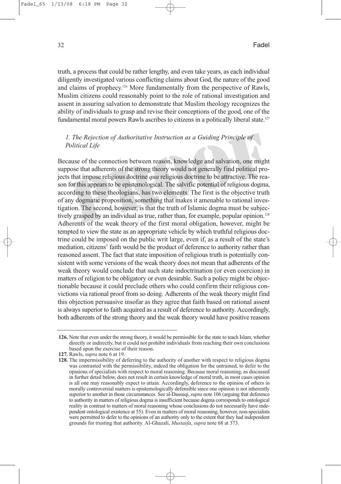truth, a process that could be rather lengthy, and even take years, as each individual diligently investigated various conflicting claims about God, the nature of the good and claims of prophecy.126 More fundamentally from the perspective of Rawls, Muslim citizens could reasonably point to the role of rational investigation and assent in assuring salvation to demonstrate that Muslim theology recognizes the ability of individuals to grasp and revise their conceptions of the good, one of the fundamental moral powers Rawls ascribes to citizens in a politically liberal state.<sup>127</sup>

# *1. The Rejection of Authoritative Instruction as a Guiding Principle of Political Life*

Because of the connection between reason, knowledge and salvation, one might suppose that adherents of the strong theory would not generally find political projects that impose religious doctrine *qua* religious doctrine to be attractive. The reason for this appears to be epistemological. The salvific potential of religious dogma, according to these theologians, has two elements. The first is the objective truth of any dogmatic proposition, something that makes it amenable to rational investigation. The second, however, is that the truth of Islamic dogma must be subjectively grasped by an individual as true, rather than, for example, popular opinion.<sup>128</sup> Adherents of the weak theory of the first moral obligation, however, might be tempted to view the state as an appropriate vehicle by which truthful religious doctrine could be imposed on the public writ large, even if, as a result of the state's mediation, citizens' faith would be the product of deference to authority rather than reasoned assent. The fact that state imposition of religious truth is potentially consistent with some versions of the weak theory does not mean that adherents of the weak theory would conclude that such state indoctrination (or even coercion) in matters of religion to be obligatory or even desirable. Such a policy might be objectionable because it could preclude others who could confirm their religious convictions via rational proof from so doing. Adherents of the weak theory might find this objection persuasive insofar as they agree that faith based on rational assent is always superior to faith acquired as a result of deference to authority. Accordingly, both adherents of the strong theory and the weak theory would have positive reasons

**<sup>126.</sup>** Note that even under the strong theory, it would be permissible for the state to teach Islam, whether directly or indirectly, but it could not prohibit individuals from reaching their own conclusions based upon the exercise of their reason.

**<sup>127.</sup>** Rawls, *supra* note 6 at 19.

**<sup>128.</sup>** The impermissibility of deferring to the authority of another with respect to religious dogma was contrasted with the permissibility, indeed the obligation for the untrained, to defer to the opinions of specialists with respect to moral reasoning. Because moral reasoning, as discussed in further detail below, does not result in certain knowledge of moral truth, in most cases opinion is all one may reasonably expect to attain. Accordingly, deference to the opinion of others in morally controversial matters is epistemologically defensible since one opinion is not inherently superior to another in those circumstances. See al-Dassuqi, *supra* note 106 (arguing that deference to authority in matters of religious dogma is insufficient because dogma corresponds to ontological reality in contrast to matters of moral reasoning whose conclusions do not necessarily have independent ontological existence at 55). Even in matters of moral reasoning, however, non-specialists were permitted to defer to the opinions of an authority only to the extent that they had independent grounds for trusting that authority. Al-Ghazali, *Mustasfa*, *supra* note 68 at 373.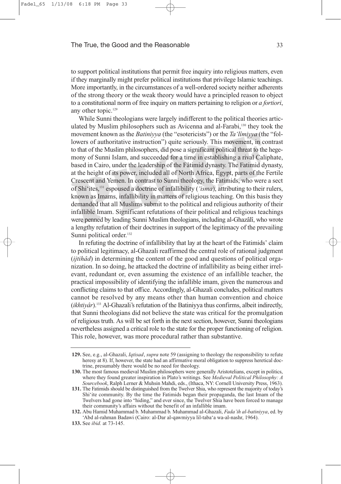to support political institutions that permit free inquiry into religious matters, even if they marginally might prefer political institutions that privilege Islamic teachings. More importantly, in the circumstances of a well-ordered society neither adherents of the strong theory or the weak theory would have a principled reason to object to a constitutional norm of free inquiry on matters pertaining to religion or *a fortiori*, any other topic.<sup>129</sup>

While Sunni theologians were largely indifferent to the political theories articulated by Muslim philosophers such as Avicenna and al-Farabi,<sup>130</sup> they took the movement known as the *Batiniyya* (the "esotericists") or the *Ta'lîmiyya* (the "followers of authoritative instruction") quite seriously. This movement, in contrast to that of the Muslim philosophers, did pose a significant political threat to the hegemony of Sunni Islam, and succeeded for a time in establishing a rival Caliphate, based in Cairo, under the leadership of the Fâtimid dynasty. The Fatimid dynasty, at the height of its power, included all of North Africa, Egypt, parts of the Fertile Crescent and Yemen. In contrast to Sunni theology, the Fatimids, who were a sect of Shi'ites,131 espoused a doctrine of infallibility (*'isma*), attributing to their rulers, known as Imams, infallibility in matters of religious teaching. On this basis they demanded that all Muslims submit to the political and religious authority of their infallible Imam. Significant refutations of their political and religious teachings were penned by leading Sunni Muslim theologians, including al-Ghazâlî, who wrote a lengthy refutation of their doctrines in support of the legitimacy of the prevailing Sunni political order.<sup>132</sup>

In refuting the doctrine of infallibility that lay at the heart of the Fatimids' claim to political legitimacy, al-Ghazali reaffirmed the central role of rational judgment (*ijtihâd*) in determining the content of the good and questions of political organization. In so doing, he attacked the doctrine of infallibility as being either irrelevant, redundant or, even assuming the existence of an infallible teacher, the practical impossibility of identifying the infallible imam, given the numerous and conflicting claims to that office. Accordingly, al-Ghazali concludes, political matters cannot be resolved by any means other than human convention and choice (*ikhtiyâr*).133 Al-Ghazali's refutation of the Batiniyya thus confirms, albeit indirectly, that Sunni theologians did not believe the state was critical for the promulgation of religious truth. As will be set forth in the next section, however, Sunni theologians nevertheless assigned a critical role to the state for the proper functioning of religion. This role, however, was more procedural rather than substantive.

**<sup>129.</sup>** See, e.g., al-Ghazali, *Iqtisad*, *supra* note 59 (assigning to theology the responsibility to refute heresy at 8). If, however, the state had an affirmative moral obligation to suppress heretical doctrine, presumably there would be no need for theology.

**<sup>130.</sup>** The most famous medieval Muslim philosophers were generally Aristotelians, except in politics, where they found greater inspiration in Plato's writings. See *Medieval Political Philosophy: A Sourcebook*, Ralph Lerner & Muhsin Mahdi, eds., (Ithaca, NY: Cornell University Press, 1963).

**<sup>131.</sup>** The Fatimids should be distinguished from the Twelver Shia, who represent the majority of today's Shi'ite community. By the time the Fatimids began their propaganda, the last Imam of the Twelvers had gone into "hiding," and ever since, the Twelver Shia have been forced to manage their community's affairs without the benefit of an infallible imam.

**<sup>132.</sup>** Abu Hamid Muhammad b. Muhammad b. Muhammad al-Ghazali, *Fada'ih al-batiniyya*, ed. by 'Abd al-rahman Badawi (Cairo: al-Dar al-qawmiyya lil-taba'a wa-al-nashr, 1964).

**<sup>133.</sup>** See *ibid.* at 73-145.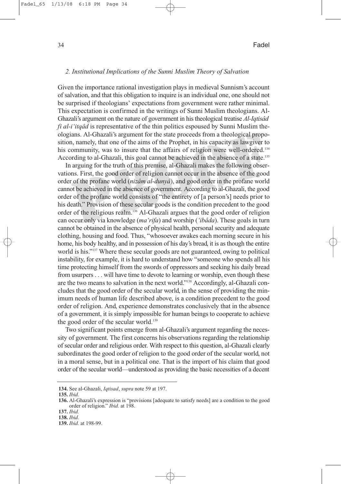#### *2. Institutional Implications of the Sunni Muslim Theory of Salvation*

Given the importance rational investigation plays in medieval Sunnism's account of salvation, and that this obligation to inquire is an individual one, one should not be surprised if theologians' expectations from government were rather minimal. This expectation is confirmed in the writings of Sunni Muslim theologians. Al-Ghazali's argument on the nature of government in his theological treatise *Al-Iqtisâd fi al-i'itqâd* is representative of the thin politics espoused by Sunni Muslim theologians. Al-Ghazali's argument for the state proceeds from a theological proposition, namely, that one of the aims of the Prophet, in his capacity as lawgiver to his community, was to insure that the affairs of religion were well-ordered.<sup>134</sup> According to al-Ghazali, this goal cannot be achieved in the absence of a state.135

In arguing for the truth of this premise, al-Ghazali makes the following observations. First, the good order of religion cannot occur in the absence of the good order of the profane world (*nizâm al-dunyâ*), and good order in the profane world cannot be achieved in the absence of government. According to al-Ghazali, the good order of the profane world consists of "the entirety of [a person's] needs prior to his death." Provision of these secular goods is the condition precedent to the good order of the religious realm.<sup>136</sup> Al-Ghazali argues that the good order of religion can occur only via knowledge (*ma'rifa*) and worship (*'ibâda*). These goals in turn cannot be obtained in the absence of physical health, personal security and adequate clothing, housing and food. Thus, "whosoever awakes each morning secure in his home, his body healthy, and in possession of his day's bread, it is as though the entire world is his."<sup>137</sup> Where these secular goods are not guaranteed, owing to political instability, for example, it is hard to understand how "someone who spends all his time protecting himself from the swords of oppressors and seeking his daily bread from usurpers . . . will have time to devote to learning or worship, even though these are the two means to salvation in the next world."138 Accordingly, al-Ghazali concludes that the good order of the secular world, in the sense of providing the minimum needs of human life described above, is a condition precedent to the good order of religion. And, experience demonstrates conclusively that in the absence of a government, it is simply impossible for human beings to cooperate to achieve the good order of the secular world.<sup>139</sup>

Two significant points emerge from al-Ghazali's argument regarding the necessity of government. The first concerns his observations regarding the relationship of secular order and religious order. With respect to this question, al-Ghazali clearly subordinates the good order of religion to the good order of the secular world, not in a moral sense, but in a political one. That is the import of his claim that good order of the secular world—understood as providing the basic necessities of a decent

**<sup>134.</sup>** See al-Ghazali, *Iqtisad*, *supra* note 59 at 197.

**<sup>135.</sup>** *Ibid.*

**<sup>136.</sup>** Al-Ghazali's expression is "provisions [adequate to satisfy needs] are a condition to the good order of religion." *Ibid.* at 198.

**<sup>137.</sup>** *Ibid.* **138.** *Ibid.*

**<sup>139.</sup>** *Ibid.* at 198-99.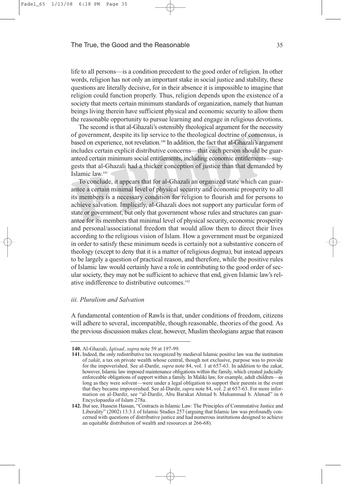life to all persons—is a condition precedent to the good order of religion. In other words, religion has not only an important stake in social justice and stability, these questions are literally decisive, for in their absence it is impossible to imagine that religion could function properly. Thus, religion depends upon the existence of a society that meets certain minimum standards of organization, namely that human beings living therein have sufficient physical and economic security to allow them the reasonable opportunity to pursue learning and engage in religious devotions.

The second is that al-Ghazali's ostensibly theological argument for the necessity of government, despite its lip service to the theological doctrine of consensus, is based on experience, not revelation.<sup>140</sup> In addition, the fact that al-Ghazali's argument includes certain explicit distributive concerns—that each person should be guaranteed certain minimum social entitlements, including economic entitlements—suggests that al-Ghazali had a thicker conception of justice than that demanded by Islamic law. 141

To conclude, it appears that for al-Ghazali an organized state which can guarantee a certain minimal level of physical security and economic prosperity to all its members is a necessary condition for religion to flourish and for persons to achieve salvation. Implicitly, al-Ghazali does not support any particular form of state or government, but only that government whose rules and structures can guarantee for its members that minimal level of physical security, economic prosperity and personal/associational freedom that would allow them to direct their lives according to the religious vision of Islam. How a government must be organized in order to satisfy these minimum needs is certainly not a substantive concern of theology (except to deny that it is a matter of religious dogma), but instead appears to be largely a question of practical reason, and therefore, while the positive rules of Islamic law would certainly have a role in contributing to the good order of secular society, they may not be sufficient to achieve that end, given Islamic law's relative indifference to distributive outcomes.<sup>142</sup>

### *iii. Pluralism and Salvation*

A fundamental contention of Rawls is that, under conditions of freedom, citizens will adhere to several, incompatible, though reasonable, theories of the good. As the previous discussion makes clear, however, Muslim theologians argue that reason

**<sup>140.</sup>** Al-Ghazali, *Iqtisad*, *supra* note 59 at 197-99.

**<sup>141.</sup>** Indeed, the only redistributive tax recognized by medieval Islamic positive law was the institution of *zakât*, a tax on private wealth whose central, though not exclusive, purpose was to provide for the impoverished. See al-Dardir, *supra* note 84, vol. 1 at 657-63. In addition to the zakat, however, Islamic law imposed maintenance obligations within the family, which created judicially enforceable obligations of support within a family. In Maliki law, for example, adult children—as long as they were solvent—were under a legal obligation to support their parents in the event that they became impoverished. See al-Dardir, *supra* note 84, vol. 2 at 657-63. For more information on al-Dardir, see "al-Dardir, Abu Barakat Ahmad b. Muhammad b. Ahmad" in 6 Encyclopaedia of Islam 278a.

**<sup>142.</sup>** But see, Hussein Hassan, "Contracts in Islamic Law: The Principles of Commutative Justice and Liberality" (2002) 13:3 J. of Islamic Studies 257 (arguing that Islamic law was profoundly concerned with questions of distributive justice and had numerous institutions designed to achieve an equitable distribution of wealth and resources at 266-68).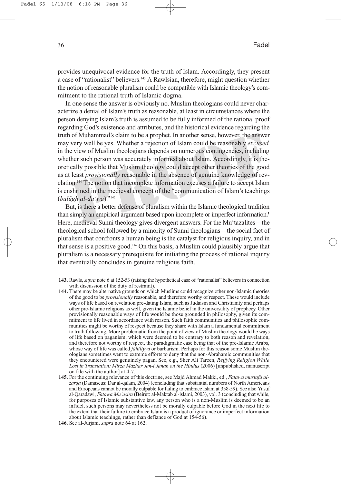provides unequivocal evidence for the truth of Islam. Accordingly, they present a case of "rationalist" believers.<sup>143</sup> A Rawlsian, therefore, might question whether the notion of reasonable pluralism could be compatible with Islamic theology's commitment to the rational truth of Islamic dogma.

In one sense the answer is obviously no. Muslim theologians could never characterize a denial of Islam's truth as reasonable, at least in circumstances where the person denying Islam's truth is assumed to be fully informed of the rational proof regarding God's existence and attributes, and the historical evidence regarding the truth of Muhammad's claim to be a prophet. In another sense, however, the answer may very well be yes. Whether a rejection of Islam could be reasonably *excused* in the view of Muslim theologians depends on numerous contingencies, including whether such person was accurately informed about Islam. Accordingly, it is theoretically possible that Muslim theology could accept other theories of the good as at least *provisionally* reasonable in the absence of genuine knowledge of revelation.144 The notion that incomplete information excuses a failure to accept Islam is enshrined in the medieval concept of the "communication of Islam's teachings (*bulûgh al-da'wa*)."145

But, is there a better defense of pluralism within the Islamic theological tradition than simply an empirical argument based upon incomplete or imperfect information? Here, medieval Sunni theology gives divergent answers. For the Mu'tazalites—the theological school followed by a minority of Sunni theologians—the social fact of pluralism that confronts a human being is the catalyst for religious inquiry, and in that sense is a positive good.146 On this basis, a Muslim could plausibly argue that pluralism is a necessary prerequisite for initiating the process of rational inquiry that eventually concludes in genuine religious faith.

**<sup>143.</sup>** Rawls, *supra* note 6 at 152-53 (raising the hypothetical case of "rationalist" believers in connection with discussion of the duty of restraint).

**<sup>144.</sup>** There may be alternative grounds on which Muslims could recognize other non-Islamic theories of the good to be *provisionally* reasonable, and therefore worthy of respect. These would include ways of life based on revelation pre-dating Islam, such as Judaism and Christianity and perhaps other pre-Islamic religions as well, given the Islamic belief in the universality of prophecy. Other provisionally reasonable ways of life would be those grounded in philosophy, given its commitment to life lived in accordance with reason. Such faith communities and philosophic communities might be worthy of respect because they share with Islam a fundamental commitment to truth following. More problematic from the point of view of Muslim theology would be ways of life based on paganism, which were deemed to be contrary to both reason and revelation, and therefore not worthy of respect, the paradigmatic case being that of the pre-Islamic Arabs, whose way of life was called *jâhiliyya* or barbarism. Perhaps for this reason some Muslim theologians sometimes went to extreme efforts to deny that the non-Abrahamic communities that they encountered were genuinely pagan. See, e.g., Sher Ali Tareen, *Reifying Religion While Lost in Translation: Mirza Mazhar Jan-i Janan on the Hindus* (2006) [unpublished, manuscript on file with the author] at 4-7.

**<sup>145.</sup>** For the continuing relevance of this doctrine, see Majd Ahmad Makki, ed., *Fatawa mustafa alzarqa* (Damascus: Dar al-qalam, 2004) (concluding that substantial numbers of North Americans and Europeans cannot be morally culpable for failing to embrace Islam at 358-59). See also Yusuf al-Qaradawi, *Fatawa Mu'asira* (Beirut: al-Maktab al-islami, 2003), vol. 3 (concluding that while, for purposes of Islamic substantive law, any person who is a non-Muslim is deemed to be an infidel, such persons may nevertheless not be morally culpable before God in the next life to the extent that their failure to embrace Islam is a product of ignorance or imperfect information about Islamic teachings, rather than defiance of God at 154-56).

**<sup>146.</sup>** See al-Jurjani, *supra* note 64 at 162.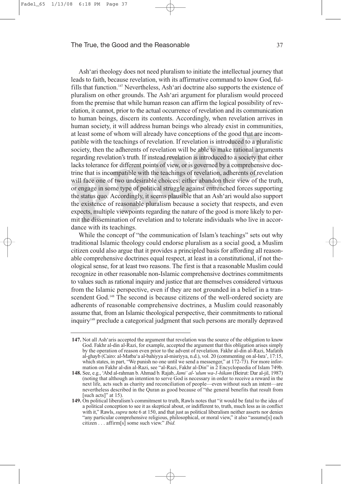Ash'ari theology does not need pluralism to initiate the intellectual journey that leads to faith, because revelation, with its affirmative command to know God, fulfills that function.<sup>147</sup> Nevertheless, Ash'ari doctrine also supports the existence of pluralism on other grounds. The Ash'ari argument for pluralism would proceed from the premise that while human reason can affirm the logical possibility of revelation, it cannot, prior to the actual occurrence of revelation and its communication to human beings, discern its contents. Accordingly, when revelation arrives in human society, it will address human beings who already exist in communities, at least some of whom will already have conceptions of the good that are incompatible with the teachings of revelation. If revelation is introduced to a pluralistic society, then the adherents of revelation will be able to make rational arguments regarding revelation's truth. If instead revelation is introduced to a society that either lacks tolerance for different points of view, or is governed by a comprehensive doctrine that is incompatible with the teachings of revelation, adherents of revelation will face one of two undesirable choices: either abandon their view of the truth, or engage in some type of political struggle against entrenched forces supporting the status quo. Accordingly, it seems plausible that an Ash'ari would also support the existence of reasonable pluralism because a society that respects, and even expects, multiple viewpoints regarding the nature of the good is more likely to permit the dissemination of revelation and to tolerate individuals who live in accordance with its teachings.

While the concept of "the communication of Islam's teachings" sets out why traditional Islamic theology could endorse pluralism as a social good, a Muslim citizen could also argue that it provides a principled basis for affording all reasonable comprehensive doctrines equal respect, at least in a constitutional, if not theological sense, for at least two reasons. The first is that a reasonable Muslim could recognize in other reasonable non-Islamic comprehensive doctrines commitments to values such as rational inquiry and justice that are themselves considered virtuous from the Islamic perspective, even if they are not grounded in a belief in a transcendent God.<sup>148</sup> The second is because citizens of the well-ordered society are adherents of reasonable comprehensive doctrines, a Muslim could reasonably assume that, from an Islamic theological perspective, their commitments to rational inquiry149 preclude a categorical judgment that such persons are morally depraved

**<sup>147.</sup>** Not all Ash'aris accepted the argument that revelation was the source of the obligation to know God. Fakhr al-din al-Razi, for example, accepted the argument that this obligation arises simply by the operation of reason even prior to the advent of revelation. Fakhr al-din al-Razi, Mafatih al-ghayb (Cairo: al-Matba'a al-bahiyya al-misriyya, n.d.), vol. 20 (commenting on al-Isra', 17:15, which states, in part, "We punish no one until we send a messenger," at 172-73). For more information on Fakhr al-din al-Razi, see "al-Razi, Fakhr al-Din" in 2 Encyclopaedia of Islam 749b.

**<sup>148.</sup>** See, e.g., 'Abd al-rahman b. Ahmad b. Rajab, *Jami' al-'ulum wa-1-hikam* (Beirut: Dar al-jil, 1987) (noting that although an intention to serve God is necessary in order to receive a reward in the next life, acts such as charity and reconciliation of people—even without such an intent—are nevertheless described in the Quran as good because of "the general benefits that result from [such acts]" at 15).

**<sup>149.</sup>** On political liberalism's commitment to truth, Rawls notes that "it would be fatal to the idea of a political conception to see it as skeptical about, or indifferent to, truth, much less as in conflict with it," Rawls, *supra* note 6 at 150, and that just as political liberalism neither asserts nor denies "any particular comprehensive religious, philosophical, or moral view," it also "assume[s] each citizen . . . affirm[s] some such view." *Ibid.*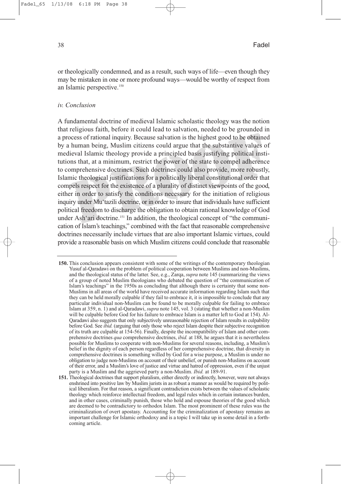or theologically condemned, and as a result, such ways of life—even though they may be mistaken in one or more profound ways—would be worthy of respect from an Islamic perspective.<sup>150</sup>

#### *iv. Conclusion*

A fundamental doctrine of medieval Islamic scholastic theology was the notion that religious faith, before it could lead to salvation, needed to be grounded in a process of rational inquiry. Because salvation is the highest good to be obtained by a human being, Muslim citizens could argue that the substantive values of medieval Islamic theology provide a principled basis justifying political institutions that, at a minimum, restrict the power of the state to compel adherence to comprehensive doctrines. Such doctrines could also provide, more robustly, Islamic theological justifications for a politically liberal constitutional order that compels respect for the existence of a plurality of distinct viewpoints of the good, either in order to satisfy the conditions necessary for the initiation of religious inquiry under Mu'tazili doctrine, or in order to insure that individuals have sufficient political freedom to discharge the obligation to obtain rational knowledge of God under Ash'ari doctrine.151 In addition, the theological concept of "the communication of Islam's teachings," combined with the fact that reasonable comprehensive doctrines necessarily include virtues that are also important Islamic virtues, could provide a reasonable basis on which Muslim citizens could conclude that reasonable

**<sup>150.</sup>** This conclusion appears consistent with some of the writings of the contemporary theologian Yusuf al-Qaradawi on the problem of political cooperation between Muslims and non-Muslims, and the theological status of the latter. See, e.g., Zarqa, *supra* note 145 (summarizing the views of a group of noted Muslim theologians who debated the question of "the communication of Islam's teachings" in the 1950s as concluding that although there is certainty that some non-Muslims in all areas of the world have received accurate information regarding Islam such that they can be held morally culpable if they fail to embrace it, it is impossible to conclude that any particular individual non-Muslim can be found to be morally culpable for failing to embrace Islam at 359, n. 1) and al-Qaradawi, *supra* note 145, vol. 3 (stating that whether a non-Muslim will be culpable before God for his failure to embrace Islam is a matter left to God at 154). Al-Qaradawi also suggests that only subjectively unreasonable rejection of Islam results in culpability before God. See *ibid.* (arguing that only those who reject Islam despite their subjective recognition of its truth are culpable at 154-56). Finally, despite the incompatibility of Islam and other comprehensive doctrines *qua* comprehensive doctrines, *ibid.* at 188, he argues that it is nevertheless possible for Muslims to cooperate with non-Muslims for several reasons, including, a Muslim's belief in the dignity of each person regardless of her comprehensive doctrine, that diversity in comprehensive doctrines is something willed by God for a wise purpose, a Muslim is under no obligation to judge non-Muslims on account of their unbelief, or punish non-Muslims on account of their error, and a Muslim's love of justice and virtue and hatred of oppression, even if the unjust party is a Muslim and the aggrieved party a non-Muslim. *Ibid.* at 189-91.

**<sup>151.</sup>** Theological doctrines that support pluralism, either directly or indirectly, however, were not always enshrined into positive law by Muslim jurists in as robust a manner as would be required by political liberalism. For that reason, a significant contradiction exists between the values of scholastic theology which reinforce intellectual freedom, and legal rules which in certain instances burden, and in other cases, criminally punish, those who hold and espouse theories of the good which are deemed to be contradictory to orthodox Islam. The most prominent of these rules was the criminalization of overt apostasy. Accounting for the criminalization of apostasy remains an important challenge for Islamic orthodoxy and is a topic I will take up in some detail in a forthcoming article.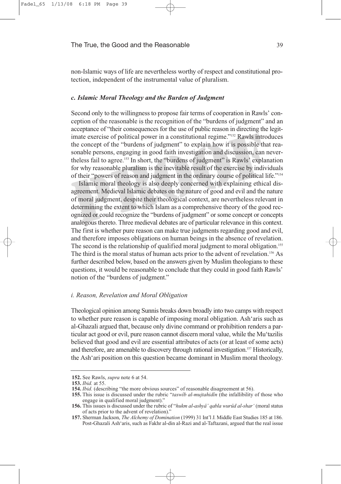non-Islamic ways of life are nevertheless worthy of respect and constitutional protection, independent of the instrumental value of pluralism.

#### *c. Islamic Moral Theology and the Burden of Judgment*

Second only to the willingness to propose fair terms of cooperation in Rawls' conception of the reasonable is the recognition of the "burdens of judgment" and an acceptance of "their consequences for the use of public reason in directing the legitimate exercise of political power in a constitutional regime."152 Rawls introduces the concept of the "burdens of judgment" to explain how it is possible that reasonable persons, engaging in good faith investigation and discussion, can nevertheless fail to agree.153 In short, the "burdens of judgment" is Rawls' explanation for why reasonable pluralism is the inevitable result of the exercise by individuals of their "powers of reason and judgment in the ordinary course of political life."154

Islamic moral theology is also deeply concerned with explaining ethical disagreement. Medieval Islamic debates on the nature of good and evil and the nature of moral judgment, despite their theological context, are nevertheless relevant in determining the extent to which Islam as a comprehensive theory of the good recognized or could recognize the "burdens of judgment" or some concept or concepts analogous thereto. Three medieval debates are of particular relevance in this context. The first is whether pure reason can make true judgments regarding good and evil, and therefore imposes obligations on human beings in the absence of revelation. The second is the relationship of qualified moral judgment to moral obligation.<sup>155</sup> The third is the moral status of human acts prior to the advent of revelation.<sup>156</sup> As further described below, based on the answers given by Muslim theologians to these questions, it would be reasonable to conclude that they could in good faith Rawls' notion of the "burdens of judgment."

#### *i. Reason, Revelation and Moral Obligation*

Theological opinion among Sunnis breaks down broadly into two camps with respect to whether pure reason is capable of imposing moral obligation. Ash'aris such as al-Ghazali argued that, because only divine command or prohibition renders a particular act good or evil, pure reason cannot discern moral value, while the Mu'tazilis believed that good and evil are essential attributes of acts (or at least of some acts) and therefore, are amenable to discovery through rational investigation.157 Historically, the Ash'ari position on this question became dominant in Muslim moral theology.

**<sup>152.</sup>** See Rawls, *supra* note 6 at 54.

**<sup>153.</sup>** *Ibid.* at 55.

**<sup>154.</sup>** *Ibid.* (describing "the more obvious sources" of reasonable disagreement at 56).

**<sup>155.</sup>** This issue is discussed under the rubric "*taswîb al-mujtahidîn* (the infallibility of those who engage in qualified moral judgment)."

**<sup>156.</sup>** This issues is discussed under the rubric of "*hukm al-ashyâ' qabla wurûd al-shar'* (moral status of acts prior to the advent of revelation)."

**<sup>157.</sup>** Sherman Jackson, *The Alchemy of Domination* (1999) 31 Int'l J. Middle East Studies 185 at 186. Post-Ghazali Ash'aris, such as Fakhr al-din al-Razi and al-Taftazani, argued that the real issue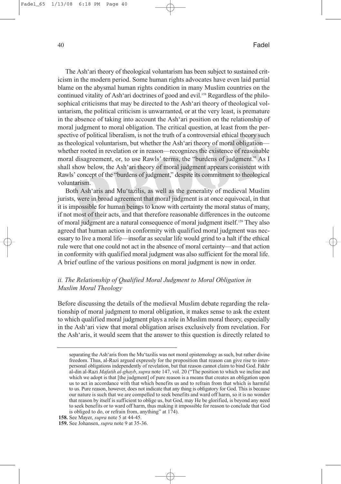The Ash'ari theory of theological voluntarism has been subject to sustained criticism in the modern period. Some human rights advocates have even laid partial blame on the abysmal human rights condition in many Muslim countries on the continued vitality of Ash'ari doctrines of good and evil.<sup>158</sup> Regardless of the philosophical criticisms that may be directed to the Ash'ari theory of theological voluntarism, the political criticism is unwarranted, or at the very least, is premature in the absence of taking into account the Ash'ari position on the relationship of moral judgment to moral obligation. The critical question, at least from the perspective of political liberalism, is not the truth of a controversial ethical theory such as theological voluntarism, but whether the Ash'ari theory of moral obligation whether rooted in revelation or in reason—recognizes the existence of reasonable moral disagreement, or, to use Rawls' terms, the "burdens of judgment." As I shall show below, the Ash'ari theory of moral judgment appears consistent with Rawls' concept of the "burdens of judgment," despite its commitment to theological voluntarism.

Both Ash'aris and Mu'tazilis, as well as the generality of medieval Muslim jurists, were in broad agreement that moral judgment is at once equivocal, in that it is impossible for human beings to know with certainty the moral status of many, if not most of their acts, and that therefore reasonable differences in the outcome of moral judgment are a natural consequence of moral judgment itself.159 They also agreed that human action in conformity with qualified moral judgment was necessary to live a moral life—insofar as secular life would grind to a halt if the ethical rule were that one could not act in the absence of moral certainty—and that action in conformity with qualified moral judgment was also sufficient for the moral life. A brief outline of the various positions on moral judgment is now in order.

# *ii. The Relationship of Qualified Moral Judgment to Moral Obligation in Muslim Moral Theology*

Before discussing the details of the medieval Muslim debate regarding the relationship of moral judgment to moral obligation, it makes sense to ask the extent to which qualified moral judgment plays a role in Muslim moral theory, especially in the Ash'ari view that moral obligation arises exclusively from revelation. For the Ash'aris, it would seem that the answer to this question is directly related to

separating the Ash'aris from the Mu'tazilis was not moral epistemology as such, but rather divine freedom. Thus, al-Razi argued expressly for the proposition that reason can give rise to interpersonal obligations independently of revelation, but that reason cannot claim to bind God. Fakhr al-din al-Razi *Mafatih al-ghayb*, *supra* note 147, vol. 20 ("The position to which we incline and which we adopt is that [the judgment] of pure reason is a means that creates an obligation upon us to act in accordance with that which benefits us and to refrain from that which is harmful to us. Pure reason, however, does not indicate that any thing is obligatory for God. This is because our nature is such that we are compelled to seek benefits and ward off harm, so it is no wonder that reason by itself is sufficient to oblige us, but God, may He be glorified, is beyond any need to seek benefits or to ward off harm, thus making it impossible for reason to conclude that God is obliged to do, or refrain from, anything" at 174).

**<sup>158.</sup>** See Mayer, *supra* note 5 at 44-45.

**<sup>159.</sup>** See Johansen, *supra* note 9 at 35-36.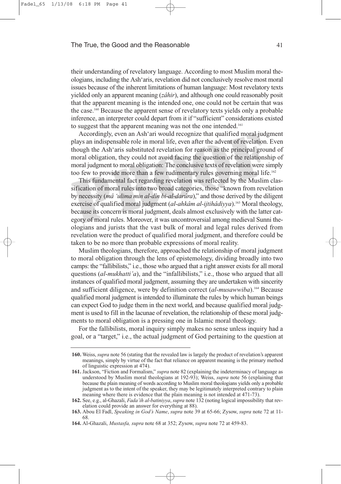their understanding of revelatory language. According to most Muslim moral theologians, including the Ash'aris, revelation did not conclusively resolve most moral issues because of the inherent limitations of human language: Most revelatory texts yielded only an apparent meaning (*zâhir*), and although one could reasonably posit that the apparent meaning is the intended one, one could not be certain that was the case.160 Because the apparent sense of revelatory texts yields only a probable inference, an interpreter could depart from it if "sufficient" considerations existed to suggest that the apparent meaning was not the one intended.<sup>161</sup>

Accordingly, even an Ash'ari would recognize that qualified moral judgment plays an indispensable role in moral life, even after the advent of revelation. Even though the Ash'aris substituted revelation for reason as the principal ground of moral obligation, they could not avoid facing the question of the relationship of moral judgment to moral obligation: The conclusive texts of revelation were simply too few to provide more than a few rudimentary rules governing moral life.<sup>162</sup>

This fundamental fact regarding revelation was reflected by the Muslim classification of moral rules into two broad categories, those "known from revelation by necessity (*mâ 'ulima min al-dîn bi-al-darûra*)," and those derived by the diligent exercise of qualified moral judgment (*al-ahkâm al-ijtihâdiyya*).163 Moral theology, because its concern is moral judgment, deals almost exclusively with the latter category of moral rules. Moreover, it was uncontroversial among medieval Sunni theologians and jurists that the vast bulk of moral and legal rules derived from revelation were the product of qualified moral judgment, and therefore could be taken to be no more than probable expressions of moral reality.

Muslim theologians, therefore, approached the relationship of moral judgment to moral obligation through the lens of epistemology, dividing broadly into two camps: the "fallibilists," i.e., those who argued that a right answer exists for all moral questions (*al-mukhatti'a*), and the "infallibilists," i.e., those who argued that all instances of qualified moral judgment, assuming they are undertaken with sincerity and sufficient diligence, were by definition correct (*al-musawwiba*).164 Because qualified moral judgment is intended to illuminate the rules by which human beings can expect God to judge them in the next world, and because qualified moral judgment is used to fill in the lacunae of revelation, the relationship of these moral judgments to moral obligation is a pressing one in Islamic moral theology.

For the fallibilists, moral inquiry simply makes no sense unless inquiry had a goal, or a "target," i.e., the actual judgment of God pertaining to the question at

**<sup>160.</sup>** Weiss, *supra* note 56 (stating that the revealed law is largely the product of revelation's apparent meanings, simply by virtue of the fact that reliance on apparent meaning is the primary method of linguistic expression at 474).

**<sup>161.</sup>** Jackson, "Fiction and Formalism," *supra* note 82 (explaining the indeterminacy of language as understood by Muslim moral theologians at 192-93); Weiss, *supra* note 56 (explaining that because the plain meaning of words according to Muslim moral theologians yields only a probable judgment as to the intent of the speaker, they may be legitimately interpreted contrary to plain meaning where there is evidence that the plain meaning is not intended at 471-73).

**<sup>162.</sup>** See, e.g., al-Ghazali, *Fada'ih al-batiniyya*, *supra* note 132 (noting logical impossibility that revelation could provide an answer for everything at 88).

**<sup>163.</sup>** Abou El Fadl, *Speaking in God's Name*, *supra* note 39 at 65-66; Zysow, *supra* note 72 at 11- 68.

**<sup>164.</sup>** Al-Ghazali, *Mustasfa, supra* note 68 at 352; Zysow, *supra* note 72 at 459-83.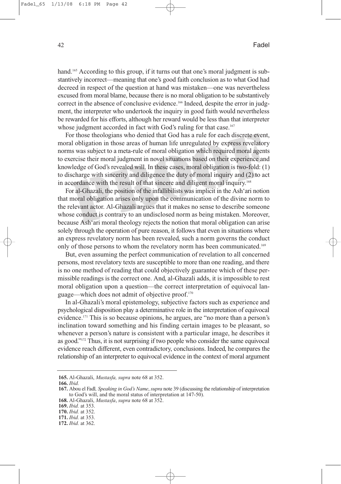hand.<sup>165</sup> According to this group, if it turns out that one's moral judgment is substantively incorrect—meaning that one's good faith conclusion as to what God had decreed in respect of the question at hand was mistaken—one was nevertheless excused from moral blame, because there is no moral obligation to be substantively correct in the absence of conclusive evidence.<sup>166</sup> Indeed, despite the error in judgment, the interpreter who undertook the inquiry in good faith would nevertheless be rewarded for his efforts, although her reward would be less than that interpreter whose judgment accorded in fact with God's ruling for that case.<sup>167</sup>

For those theologians who denied that God has a rule for each discrete event, moral obligation in those areas of human life unregulated by express revelatory norms was subject to a meta-rule of moral obligation which required moral agents to exercise their moral judgment in novel situations based on their experience and knowledge of God's revealed will. In these cases, moral obligation is two-fold: (1) to discharge with sincerity and diligence the duty of moral inquiry and (2) to act in accordance with the result of that sincere and diligent moral inquiry.<sup>168</sup>

For al-Ghazali, the position of the infallibilists was implicit in the Ash'ari notion that moral obligation arises only upon the communication of the divine norm to the relevant actor. Al-Ghazali argues that it makes no sense to describe someone whose conduct is contrary to an undisclosed norm as being mistaken. Moreover, because Ash'ari moral theology rejects the notion that moral obligation can arise solely through the operation of pure reason, it follows that even in situations where an express revelatory norm has been revealed, such a norm governs the conduct only of those persons to whom the revelatory norm has been communicated.<sup>169</sup>

But, even assuming the perfect communication of revelation to all concerned persons, most revelatory texts are susceptible to more than one reading, and there is no one method of reading that could objectively guarantee which of these permissible readings is the correct one. And, al-Ghazali adds, it is impossible to rest moral obligation upon a question—the correct interpretation of equivocal language—which does not admit of objective proof.170

In al-Ghazali's moral epistemology, subjective factors such as experience and psychological disposition play a determinative role in the interpretation of equivocal evidence.<sup>171</sup> This is so because opinions, he argues, are "no more than a person's inclination toward something and his finding certain images to be pleasant, so whenever a person's nature is consistent with a particular image, he describes it as good."172 Thus, it is not surprising if two people who consider the same equivocal evidence reach different, even contradictory, conclusions. Indeed, he compares the relationship of an interpreter to equivocal evidence in the context of moral argument

**<sup>165.</sup>** Al-Ghazali, *Mustasfa, supra* note 68 at 352.

**<sup>166.</sup>** *Ibid.*

**<sup>167.</sup>** Abou el Fadl*, Speaking in God's Name*, *supra* note 39 (discussing the relationship of interpretation to God's will, and the moral status of interpretation at 147-50).

**<sup>168.</sup>** Al-Ghazali, *Mustasfa*, *supra* note 68 at 352.

**<sup>169.</sup>** *Ibid.* at 353.

**<sup>170.</sup>** *Ibid.* at 352.

**<sup>171.</sup>** *Ibid.* at 353.

**<sup>172.</sup>** *Ibid.* at 362.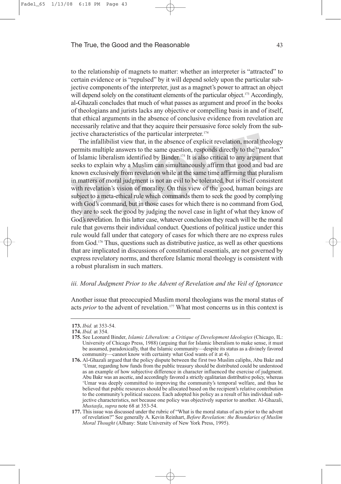to the relationship of magnets to matter: whether an interpreter is "attracted" to certain evidence or is "repulsed" by it will depend solely upon the particular subjective components of the interpreter, just as a magnet's power to attract an object will depend solely on the constituent elements of the particular object.<sup>173</sup> Accordingly, al-Ghazali concludes that much of what passes as argument and proof in the books of theologians and jurists lacks any objective or compelling basis in and of itself, that ethical arguments in the absence of conclusive evidence from revelation are necessarily relative and that they acquire their persuasive force solely from the subjective characteristics of the particular interpreter.174

The infallibilist view that, in the absence of explicit revelation, moral theology permits multiple answers to the same question, responds directly to the "paradox" of Islamic liberalism identified by Binder.175 It is also critical to any argument that seeks to explain why a Muslim can simultaneously affirm that good and bad are known exclusively from revelation while at the same time affirming that pluralism in matters of moral judgment is not an evil to be tolerated, but is itself consistent with revelation's vision of morality. On this view of the good, human beings are subject to a meta-ethical rule which commands them to seek the good by complying with God's command, but in those cases for which there is no command from God, they are to seek the good by judging the novel case in light of what they know of God's revelation. In this latter case, whatever conclusion they reach will be the moral rule that governs their individual conduct. Questions of political justice under this rule would fall under that category of cases for which there are no express rules from God.176 Thus, questions such as distributive justice, as well as other questions that are implicated in discussions of constitutional essentials, are not governed by express revelatory norms, and therefore Islamic moral theology is consistent with a robust pluralism in such matters.

#### *iii. Moral Judgment Prior to the Advent of Revelation and the Veil of Ignorance*

Another issue that preoccupied Muslim moral theologians was the moral status of acts *prior* to the advent of revelation.<sup>177</sup> What most concerns us in this context is

**<sup>173.</sup>** *Ibid.* at 353-54.

**<sup>174.</sup>** *Ibid.* at 354.

**<sup>175.</sup>** See Leonard Binder, *Islamic Liberalism: a Critique of Development Ideologies* (Chicago, IL: University of Chicago Press, 1988) (arguing that for Islamic liberalism to make sense, it must be assumed, paradoxically, that the Islamic community—despite its status as a divinely favored community—cannot know with certainty what God wants of it at 4).

**<sup>176.</sup>** Al-Ghazali argued that the policy dispute between the first two Muslim caliphs, Abu Bakr and 'Umar, regarding how funds from the public treasury should be distributed could be understood as an example of how subjective difference in character influenced the exercise of judgment. Abu Bakr was an ascetic, and accordingly favored a strictly egalitarian distributive policy, whereas 'Umar was deeply committed to improving the community's temporal welfare, and thus he believed that public resources should be allocated based on the recipient's relative contribution to the community's political success. Each adopted his policy as a result of his individual subjective characteristics, not because one policy was objectively superior to another. Al-Ghazali, *Mustasfa*, *supra* note 68 at 353-54.

**<sup>177.</sup>** This issue was discussed under the rubric of "What is the moral status of acts prior to the advent of revelation?" See generally A. Kevin Reinhart, *Before Revelation: the Boundaries of Muslim Moral Thought* (Albany: State University of New York Press, 1995).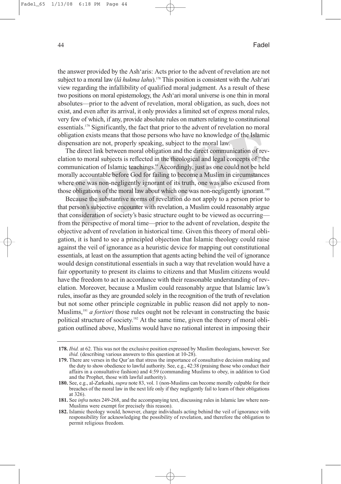the answer provided by the Ash'aris: Acts prior to the advent of revelation are not subject to a moral law (*lâ hukma lahu*).<sup>178</sup> This position is consistent with the Ash'ari view regarding the infallibility of qualified moral judgment. As a result of these two positions on moral epistemology, the Ash'ari moral universe is one thin in moral absolutes—prior to the advent of revelation, moral obligation, as such, does not exist, and even after its arrival, it only provides a limited set of express moral rules, very few of which, if any, provide absolute rules on matters relating to constitutional essentials.179 Significantly, the fact that prior to the advent of revelation no moral obligation exists means that those persons who have no knowledge of the Islamic dispensation are not, properly speaking, subject to the moral law.

The direct link between moral obligation and the direct communication of revelation to moral subjects is reflected in the theological and legal concepts of "the communication of Islamic teachings." Accordingly, just as one could not be held morally accountable before God for failing to become a Muslim in circumstances where one was non-negligently ignorant of its truth, one was also excused from those obligations of the moral law about which one was non-negligently ignorant.<sup>180</sup>

Because the substantive norms of revelation do not apply to a person prior to that person's subjective encounter with revelation, a Muslim could reasonably argue that consideration of society's basic structure ought to be viewed as occurring from the perspective of moral time—prior to the advent of revelation, despite the objective advent of revelation in historical time. Given this theory of moral obligation, it is hard to see a principled objection that Islamic theology could raise against the veil of ignorance as a heuristic device for mapping out constitutional essentials, at least on the assumption that agents acting behind the veil of ignorance would design constitutional essentials in such a way that revelation would have a fair opportunity to present its claims to citizens and that Muslim citizens would have the freedom to act in accordance with their reasonable understanding of revelation. Moreover, because a Muslim could reasonably argue that Islamic law's rules, insofar as they are grounded solely in the recognition of the truth of revelation but not some other principle cognizable in public reason did not apply to non-Muslims,181 *a fortiori* those rules ought not be relevant in constructing the basic political structure of society.<sup>182</sup> At the same time, given the theory of moral obligation outlined above, Muslims would have no rational interest in imposing their

**<sup>178.</sup>** *Ibid.* at 62. This was not the exclusive position expressed by Muslim theologians, however. See *ibid.* (describing various answers to this question at 10-28).

**<sup>179.</sup>** There are verses in the Qur'an that stress the importance of consultative decision making and the duty to show obedience to lawful authority. See, e.g., 42:38 (praising those who conduct their affairs in a consultative fashion) and 4:59 (commanding Muslims to obey, in addition to God and the Prophet, those with lawful authority).

**<sup>180.</sup>** See, e.g., al-Zarkashi, *supra* note 83, vol. 1 (non-Muslims can become morally culpable for their breaches of the moral law in the next life only if they negligently fail to learn of their obligations at 326).

**<sup>181.</sup>** See *infra* notes 249-268, and the accompanying text, discussing rules in Islamic law where non-Muslims were exempt for precisely this reason).

**<sup>182.</sup>** Islamic theology would, however, charge individuals acting behind the veil of ignorance with responsibility for acknowledging the possibility of revelation, and therefore the obligation to permit religious freedom.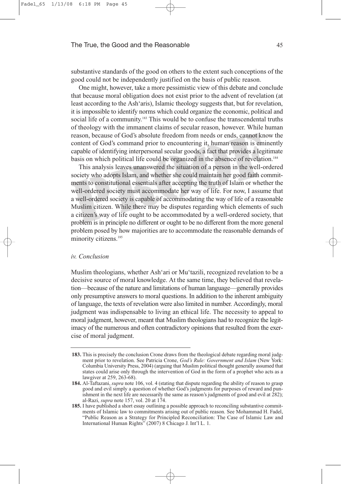substantive standards of the good on others to the extent such conceptions of the good could not be independently justified on the basis of public reason.

One might, however, take a more pessimistic view of this debate and conclude that because moral obligation does not exist prior to the advent of revelation (at least according to the Ash'aris), Islamic theology suggests that, but for revelation, it is impossible to identify norms which could organize the economic, political and social life of a community.<sup>183</sup> This would be to confuse the transcendental truths of theology with the immanent claims of secular reason, however. While human reason, because of God's absolute freedom from needs or ends, cannot know the content of God's command prior to encountering it, human reason is eminently capable of identifying interpersonal secular goods, a fact that provides a legitimate basis on which political life could be organized in the absence of revelation.<sup>184</sup>

This analysis leaves unanswered the situation of a person in the well-ordered society who adopts Islam, and whether she could maintain her good faith commitments to constitutional essentials after accepting the truth of Islam or whether the well-ordered society must accommodate her way of life. For now, I assume that a well-ordered society is capable of accommodating the way of life of a reasonable Muslim citizen. While there may be disputes regarding which elements of such a citizen's way of life ought to be accommodated by a well-ordered society, that problem is in principle no different or ought to be no different from the more general problem posed by how majorities are to accommodate the reasonable demands of minority citizens.<sup>185</sup>

#### *iv. Conclusion*

Muslim theologians, whether Ash'ari or Mu'tazili, recognized revelation to be a decisive source of moral knowledge. At the same time, they believed that revelation—because of the nature and limitations of human language—generally provides only presumptive answers to moral questions. In addition to the inherent ambiguity of language, the texts of revelation were also limited in number. Accordingly, moral judgment was indispensable to living an ethical life. The necessity to appeal to moral judgment, however, meant that Muslim theologians had to recognize the legitimacy of the numerous and often contradictory opinions that resulted from the exercise of moral judgment.

**<sup>183.</sup>** This is precisely the conclusion Crone draws from the theological debate regarding moral judgment prior to revelation. See Patricia Crone, *God's Rule: Government and Islam* (New York: Columbia University Press, 2004) (arguing that Muslim political thought generally assumed that states could arise only through the intervention of God in the form of a prophet who acts as a lawgiver at 259, 263-68).

**<sup>184.</sup>** Al-Taftazani, *supra* note 106, vol. 4 (stating that dispute regarding the ability of reason to grasp good and evil simply a question of whether God's judgments for purposes of reward and punishment in the next life are necessarily the same as reason's judgments of good and evil at 282); al-Razi, *supra* note 157, vol. 20 at 174.

**<sup>185.</sup>** I have published a short essay outlining a possible approach to reconciling substantive commitments of Islamic law to commitments arising out of public reason. See Mohammad H. Fadel, "Public Reason as a Strategy for Principled Reconciliation: The Case of Islamic Law and International Human Rights" (2007) 8 Chicago J. Int'l L. 1.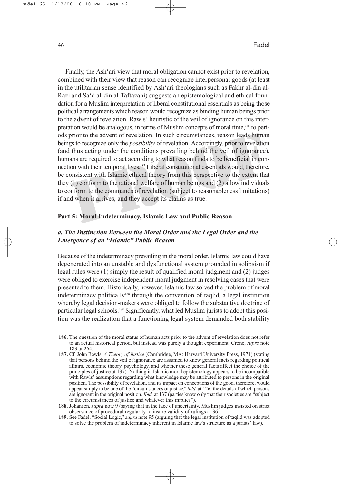Finally, the Ash'ari view that moral obligation cannot exist prior to revelation, combined with their view that reason can recognize interpersonal goods (at least in the utilitarian sense identified by Ash'ari theologians such as Fakhr al-din al-Razi and Sa'd al-din al-Taftazani) suggests an epistemological and ethical foundation for a Muslim interpretation of liberal constitutional essentials as being those political arrangements which reason would recognize as binding human beings prior to the advent of revelation. Rawls' heuristic of the veil of ignorance on this interpretation would be analogous, in terms of Muslim concepts of moral time,<sup>186</sup> to periods prior to the advent of revelation. In such circumstances, reason leads human beings to recognize only the *possibility* of revelation. Accordingly, prior to revelation (and thus acting under the conditions prevailing behind the veil of ignorance), humans are required to act according to what reason finds to be beneficial in connection with their temporal lives.187 Liberal constitutional essentials would, therefore, be consistent with Islamic ethical theory from this perspective to the extent that they (1) conform to the rational welfare of human beings and (2) allow individuals to conform to the commands of revelation (subject to reasonableness limitations) if and when it arrives, and they accept its claims as true.

# **Part 5: Moral Indeterminacy, Islamic Law and Public Reason**

# *a. The Distinction Between the Moral Order and the Legal Order and the Emergence of an "Islamic" Public Reason*

Because of the indeterminacy prevailing in the moral order, Islamic law could have degenerated into an unstable and dysfunctional system grounded in solipsism if legal rules were (1) simply the result of qualified moral judgment and (2) judges were obliged to exercise independent moral judgment in resolving cases that were presented to them. Historically, however, Islamic law solved the problem of moral indeterminacy politically<sup>188</sup> through the convention of taqlid, a legal institution whereby legal decision-makers were obliged to follow the substantive doctrine of particular legal schools.189 Significantly, what led Muslim jurists to adopt this position was the realization that a functioning legal system demanded both stability

**<sup>186.</sup>** The question of the moral status of human acts prior to the advent of revelation does not refer to an actual historical period, but instead was purely a thought experiment. Crone, *supra* note 183 at 264.

**<sup>187.</sup>** Cf. John Rawls, *A Theory of Justice* (Cambridge, MA: Harvard University Press, 1971) (stating that persons behind the veil of ignorance are assumed to know general facts regarding political affairs, economic theory, psychology, and whether these general facts affect the choice of the principles of justice at 137). Nothing in Islamic moral epistemology appears to be incompatible with Rawls' assumptions regarding what knowledge may be attributed to persons in the original position. The possibility of revelation, and its impact on conceptions of the good, therefore, would appear simply to be one of the "circumstances of justice," *ibid.* at 126, the details of which persons are ignorant in the original position. *Ibid.* at 137 (parties know only that their societies are "subject to the circumstances of justice and whatever this implies").

**<sup>188.</sup>** Johansen, *supra* note 9 (saying that in the face of uncertainty, Muslim judges insisted on strict observance of procedural regularity to insure validity of rulings at 36).

**<sup>189.</sup>** See Fadel, "Social Logic," *supra* note 95 (arguing that the legal institution of taqlid was adopted to solve the problem of indeterminacy inherent in Islamic law's structure as a jurists' law).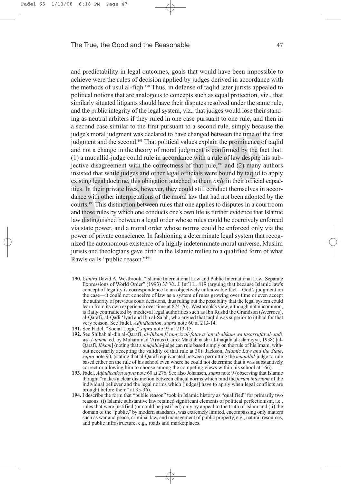and predictability in legal outcomes, goals that would have been impossible to achieve were the rules of decision applied by judges derived in accordance with the methods of usul al-fiqh.<sup>190</sup> Thus, in defense of taqlid later jurists appealed to political notions that are analogous to concepts such as equal protection, viz., that similarly situated litigants should have their disputes resolved under the same rule, and the public integrity of the legal system, viz., that judges would lose their standing as neutral arbiters if they ruled in one case pursuant to one rule, and then in a second case similar to the first pursuant to a second rule, simply because the judge's moral judgment was declared to have changed between the time of the first judgment and the second.<sup>191</sup> That political values explain the prominence of taqlid and not a change in the theory of moral judgment is confirmed by the fact that: (1) a muqallid-judge could rule in accordance with a rule of law despite his subjective disagreement with the correctness of that rule,<sup>192</sup> and (2) many authors insisted that while judges and other legal officials were bound by taqlid to apply existing legal doctrine, this obligation attached to them *only* in their official capacities. In their private lives, however, they could still conduct themselves in accordance with other interpretations of the moral law that had not been adopted by the courts.193 This distinction between rules that one applies to disputes in a courtroom and those rules by which one conducts one's own life is further evidence that Islamic law distinguished between a legal order whose rules could be coercively enforced via state power, and a moral order whose norms could be enforced only via the power of private conscience. In fashioning a determinate legal system that recognized the autonomous existence of a highly indeterminate moral universe, Muslim jurists and theologians gave birth in the Islamic milieu to a qualified form of what Rawls calls "public reason."194

**<sup>190.</sup>** *Contra* David A. Westbrook, "Islamic International Law and Public International Law: Separate Expressions of World Order" (1993) 33 Va. J. Int'l L. 819 (arguing that because Islamic law's concept of legality is correspondence to an objectively unknowable fact—God's judgment on the case—it could not conceive of law as a system of rules growing over time or even accept the authority of previous court decisions, thus ruling out the possibility that the legal system could learn from its own experience over time at 874-76). Westbrook's view, although not uncommon, is flatly contradicted by medieval legal authorities such as Ibn Rushd the Grandson (Averroes), al-Qarafi, al-Qadi 'Iyad and Ibn al-Salah, who argued that taqlid was superior to ijtihad for that very reason. See Fadel*, Adjudication*, *supra* note 60 at 213-14.

**<sup>191.</sup>** See Fadel, "Social Logic," *supra* note 95 at 213-15.

**<sup>192.</sup>** See Shihab al-din al-Qarafi, *al-Ihkam fi tamyiz al-fatawa 'an al-ahkam wa tasarrufat al-qadi wa-1-imam,* ed. by Muhammad 'Arnus (Cairo: Maktab nashr al-thaqafa al-islamiyya, 1938) [al-Qarafi, *Ihkam*] (noting that a *muqallid*-judge can rule based simply on the rule of his Imam, without necessarily accepting the validity of that rule at 30); Jackson, *Islamic Law and the State*, *supra* note 90, (stating that al-Qarafi equivocated between permitting the *muqallid*-judge to rule based either on the rule of his school even where he could not determine that it was substantively correct or allowing him to choose among the competing views within his school at 166).

**<sup>193.</sup>** Fadel, *Adjudication supra* note 60 at 276. See also Johansen, *supra* note 9 (observing that Islamic thought "makes a clear distinction between ethical norms which bind the *forum internum* of the individual believer and the legal norms which [judges] have to apply when legal conflicts are brought before them" at 35-36).

**<sup>194.</sup>** I describe the form that "public reason" took in Islamic history as "qualified" for primarily two reasons: (i) Islamic substantive law retained significant elements of political perfectionism, i.e., rules that were justified (or could be justified) only by appeal to the truth of Islam and (ii) the domain of the "public," by modern standards, was extremely limited, encompassing only matters such as war and peace, criminal law, and management of public property, e.g., natural resources, and public infrastructure, e.g., roads and marketplaces.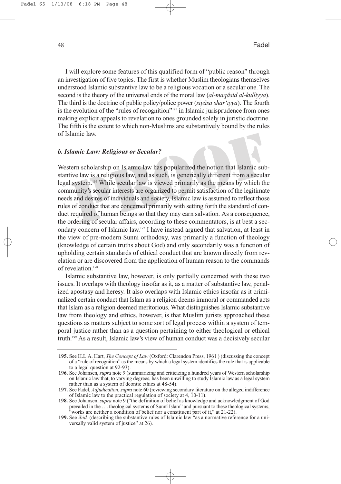I will explore some features of this qualified form of "public reason" through an investigation of five topics. The first is whether Muslim theologians themselves understood Islamic substantive law to be a religious vocation or a secular one. The second is the theory of the universal ends of the moral law (*al-maqâsid al-kulliyya*). The third is the doctrine of public policy/police power (*siyâsa shar'iyya*). The fourth is the evolution of the "rules of recognition"<sup>195</sup> in Islamic jurisprudence from ones making explicit appeals to revelation to ones grounded solely in juristic doctrine. The fifth is the extent to which non-Muslims are substantively bound by the rules of Islamic law.

#### *b. Islamic Law: Religious or Secular?*

Western scholarship on Islamic law has popularized the notion that Islamic substantive law is a religious law, and as such, is generically different from a secular legal system.196 While secular law is viewed primarily as the means by which the community's secular interests are organized to permit satisfaction of the legitimate needs and desires of individuals and society, Islamic law is assumed to reflect those rules of conduct that are concerned primarily with setting forth the standard of conduct required of human beings so that they may earn salvation. As a consequence, the ordering of secular affairs, according to these commentators, is at best a secondary concern of Islamic law. <sup>197</sup> I have instead argued that salvation, at least in the view of pre-modern Sunni orthodoxy, was primarily a function of theology (knowledge of certain truths about God) and only secondarily was a function of upholding certain standards of ethical conduct that are known directly from revelation or are discovered from the application of human reason to the commands of revelation.<sup>198</sup>

Islamic substantive law, however, is only partially concerned with these two issues. It overlaps with theology insofar as it, as a matter of substantive law, penalized apostasy and heresy. It also overlaps with Islamic ethics insofar as it criminalized certain conduct that Islam as a religion deems immoral or commanded acts that Islam as a religion deemed meritorious. What distinguishes Islamic substantive law from theology and ethics, however, is that Muslim jurists approached these questions as matters subject to some sort of legal process within a system of temporal justice rather than as a question pertaining to either theological or ethical truth.199 As a result, Islamic law's view of human conduct was a decisively secular

**<sup>195.</sup>** See H.L.A. Hart, *The Concept of Law* (Oxford: Clarendon Press, 1961 ) (discussing the concept of a "rule of recognition" as the means by which a legal system identifies the rule that is applicable to a legal question at 92-93).

**<sup>196.</sup>** See Johansen, *supra* note 9 (summarizing and criticizing a hundred years of Western scholarship on Islamic law that, to varying degrees, has been unwilling to study Islamic law as a legal system rather than as a system of deontic ethics at 48-54).

**<sup>197.</sup>** See Fadel, *Adjudication*, *supra* note 60 (reviewing secondary literature on the alleged indifference of Islamic law to the practical regulation of society at 4, 10-11).

**<sup>198.</sup>** See Johansen, *supra* note 9 ("the definition of belief as knowledge and acknowledgment of God prevailed in the . . . theological systems of Sunnî Islam" and pursuant to these theological systems, works are neither a condition of belief nor a constituent part of it," at 21-22).

**<sup>199.</sup>** See *ibid.* (describing the substantive rules of Islamic law "as a normative reference for a universally valid system of justice" at 26).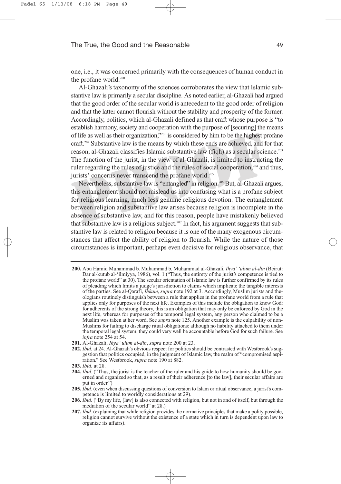one, i.e., it was concerned primarily with the consequences of human conduct in the profane world.<sup>200</sup>

Al-Ghazali's taxonomy of the sciences corroborates the view that Islamic substantive law is primarily a secular discipline. As noted earlier, al-Ghazali had argued that the good order of the secular world is antecedent to the good order of religion and that the latter cannot flourish without the stability and prosperity of the former. Accordingly, politics, which al-Ghazali defined as that craft whose purpose is "to establish harmony, society and cooperation with the purpose of [securing] the means of life as well as their organization,"201 is considered by him to be the highest profane craft.202 Substantive law is the means by which these ends are achieved, and for that reason, al-Ghazali classifies Islamic substantive law (fiqh) as a secular science.<sup>203</sup> The function of the jurist, in the view of al-Ghazali, is limited to instructing the ruler regarding the rules of justice and the rules of social cooperation,<sup>204</sup> and thus, jurists' concerns never transcend the profane world.<sup>205</sup>

Nevertheless, substantive law is "entangled" in religion.206 But, al-Ghazali argues, this entanglement should not mislead us into confusing what is a profane subject for religious learning, much less genuine religious devotion. The entanglement between religion and substantive law arises because religion is incomplete in the absence of substantive law, and for this reason, people have mistakenly believed that substantive law is a religious subject.<sup>207</sup> In fact, his argument suggests that substantive law is related to religion because it is one of the many exogenous circumstances that affect the ability of religion to flourish. While the nature of those circumstances is important, perhaps even decisive for religious observance, that

**203.** *Ibid.* at 28.

**<sup>200.</sup>** Abu Hamid Muhammad b. Muhammad b. Muhammad al-Ghazali, *Ihya' 'ulum al-din* (Beirut: Dar al-kutub al-'ilmiyya, 1986), vol. 1 ("Thus, the entirety of the jurist's competence is tied to the profane world" at 30). The secular orientation of Islamic law is further confirmed by its rules of pleading which limits a judge's jurisdiction to claims which implicate the tangible interests of the parties. See al-Qarafi, *Ihkam*, *supra* note 192 at 3. Accordingly, Muslim jurists and theologians routinely distinguish between a rule that applies in the profane world from a rule that applies only for purposes of the next life. Examples of this include the obligation to know God: for adherents of the strong theory, this is an obligation that may only be enforced by God in the next life, whereas for purposes of the temporal legal system, any person who claimed to be a Muslim was taken at her word. See *supra* note 125. Another example is the culpability of non-Muslims for failing to discharge ritual obligations: although no liability attached to them under the temporal legal system, they could very well be accountable before God for such failure. See *infra* note 254 at 54.

**<sup>201.</sup>** Al-Ghazali, *Ihya' ulum al-din*, *supra* note 200 at 23.

**<sup>202.</sup>** *Ibid.* at 24. Al-Ghazali's obvious respect for politics should be contrasted with Westbrook's suggestion that politics occupied, in the judgment of Islamic law, the realm of "compromised aspiration." See Westbrook, *supra* note 190 at 882.

**<sup>204.</sup>** *Ibid.* ("Thus, the jurist is the teacher of the ruler and his guide to how humanity should be governed and organized so that, as a result of their adherence [to the law], their secular affairs are put in order.")

**<sup>205.</sup>** *Ibid.* (even when discussing questions of conversion to Islam or ritual observance, a jurist's competence is limited to worldly considerations at 29).

**<sup>206.</sup>** *Ibid.* ("By my life, [law] is also connected with religion, but not in and of itself, but through the mediation of the secular world" at 28.)

**<sup>207.</sup>** *Ibid.* (explaining that while religion provides the normative principles that make a polity possible, religion cannot survive without the existence of a state which in turn is dependent upon law to organize its affairs).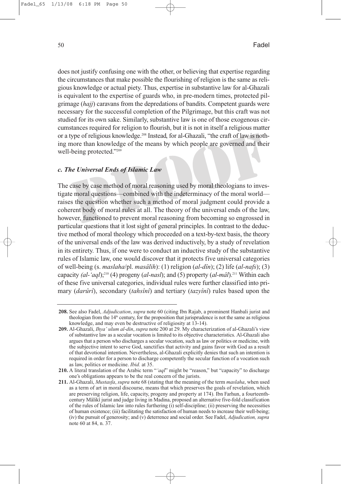does not justify confusing one with the other, or believing that expertise regarding the circumstances that make possible the flourishing of religion is the same as religious knowledge or actual piety. Thus, expertise in substantive law for al-Ghazali is equivalent to the expertise of guards who, in pre-modern times, protected pilgrimage (*hajj*) caravans from the depredations of bandits. Competent guards were necessary for the successful completion of the Pilgrimage, but this craft was not studied for its own sake. Similarly, substantive law is one of those exogenous circumstances required for religion to flourish, but it is not in itself a religious matter or a type of religious knowledge.<sup>208</sup> Instead, for al-Ghazali, "the craft of law is nothing more than knowledge of the means by which people are governed and their well-being protected."209

#### *c. The Universal Ends of Islamic Law*

The case by case method of moral reasoning used by moral theologians to investigate moral questions—combined with the indeterminacy of the moral world raises the question whether such a method of moral judgment could provide a coherent body of moral rules at all. The theory of the universal ends of the law, however, functioned to prevent moral reasoning from becoming so engrossed in particular questions that it lost sight of general principles. In contrast to the deductive method of moral theology which proceeded on a text-by-text basis, the theory of the universal ends of the law was derived inductively, by a study of revelation in its entirety. Thus, if one were to conduct an inductive study of the substantive rules of Islamic law, one would discover that it protects five universal categories of well-being (s. *maslaha*/pl. *masâlih*): (1) religion (*al-dîn*); (2) life (*al-nafs*); (3) capacity *(al-'aql*);210 (4) progeny (*al-nasl*); and (5) property (*al-mâl*).211 Within each of these five universal categories, individual rules were further classified into primary (*darûrî*), secondary (*tahsînî*) and tertiary (*tazyînî*) rules based upon the

**<sup>208.</sup>** See also Fadel, *Adjudication*, *supra* note 60 (citing Ibn Rajab, a prominent Hanbali jurist and theologian from the  $14<sup>th</sup>$  century, for the proposition that jurisprudence is not the same as religious knowledge, and may even be destructive of religiosity at 13-14).

**<sup>209.</sup>** Al-Ghazali, *Ihya' ulum al-din*, *supra* note 200 at 29. My characterization of al-Ghazali's view of substantive law as a secular vocation is limited to its objective characteristics. Al-Ghazali also argues that a person who discharges a secular vocation, such as law or politics or medicine, with the subjective intent to serve God, sanctifies that activity and gains favor with God as a result of that devotional intention. Nevertheless, al-Ghazali explicitly denies that such an intention is required in order for a person to discharge competently the secular function of a vocation such as law, politics or medicine. *Ibid.* at 35.

**<sup>210.</sup>** A literal translation of the Arabic term "*'aql*" might be "reason," but "capacity" to discharge one's obligations appears to be the real concern of the jurists.

**<sup>211.</sup>** Al-Ghazali, *Mustasfa*, *supra* note 68 (stating that the meaning of the term *maslaha*, when used as a term of art in moral discourse, means that which preserves the goals of revelation, which are preserving religion, life, capacity, progeny and property at 174). Ibn Farhun, a fourteenthcentury Mâlikî jurist and judge living in Madina, proposed an alternative five-fold classification of the rules of Islamic law into rules furthering (i) self-discipline; (ii) preserving the necessities of human existence; (iii) facilitating the satisfaction of human needs to increase their well-being; (iv) the pursuit of generosity; and (v) deterrence and social order. See Fadel, *Adjudication, supra* note 60 at 84, n. 37.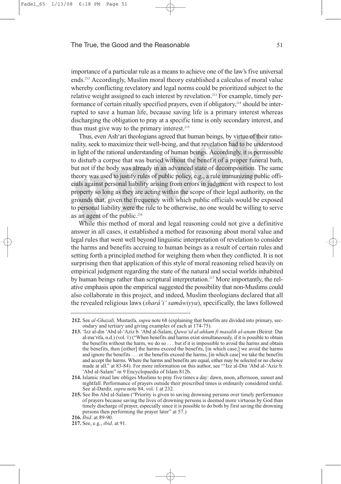importance of a particular rule as a means to achieve one of the law's five universal ends.212 Accordingly, Muslim moral theory established a calculus of moral value whereby conflicting revelatory and legal norms could be prioritized subject to the relative weight assigned to each interest by revelation.<sup>213</sup> For example, timely performance of certain ritually specified prayers, even if obligatory,<sup>214</sup> should be interrupted to save a human life, because saving life is a primary interest whereas discharging the obligation to pray at a specific time is only secondary interest, and thus must give way to the primary interest.<sup>215</sup>

Thus, even Ash'ari theologians agreed that human beings, by virtue of their rationality, seek to maximize their well-being, and that revelation had to be understood in light of the rational understanding of human beings. Accordingly, it is permissible to disturb a corpse that was buried without the benefit of a proper funeral bath, but not if the body was already in an advanced state of decomposition. The same theory was used to justify rules of public policy, e.g., a rule immunizing public officials against personal liability arising from errors in judgment with respect to lost property so long as they are acting within the scope of their legal authority, on the grounds that, given the frequency with which public officials would be exposed to personal liability were the rule to be otherwise, no one would be willing to serve as an agent of the public.<sup>216</sup>

While this method of moral and legal reasoning could not give a definitive answer in all cases, it established a method for reasoning about moral value and legal rules that went well beyond linguistic interpretation of revelation to consider the harms and benefits accruing to human beings as a result of certain rules and setting forth a principled method for weighing them when they conflicted. It is not surprising then that application of this style of moral reasoning relied heavily on empirical judgment regarding the state of the natural and social worlds inhabited by human beings rather than scriptural interpretation.217 More importantly, the relative emphasis upon the empirical suggested the possibility that non-Muslims could also collaborate in this project, and indeed, Muslim theologians declared that all the revealed religious laws (*sharâ'i' samâwiyya*), specifically, the laws followed

**<sup>212.</sup>** See *al-Ghazali,* Mustasfa, *supra* note 68 (explaining that benefits are divided into primary, secondary and tertiary and giving examples of each at 174-75).

**<sup>213.</sup>** 'Izz al-din 'Abd al-'Aziz b. 'Abd al-Salam, *Qawa'id al-ahkam fi masalih al-anam* (Beirut: Dar al-ma'rifa, n.d.) (vol. 1) ("When benefits and harms exist simultaneously, if it is possible to obtain the benefits without the harm, we do so . . . but if it is impossible to avoid the harms and obtain the benefits, then [either] the harms exceed the benefits, [in which case,] we avoid the harms and ignore the benefits . . . or the benefits exceed the harms, [in which case] we take the benefits and accept the harms. Where the harms and benefits are equal, either may be selected or no choice made at all." at 83-84). For more information on this author, see "'Izz al-Din 'Abd al-'Aziz b. 'Abd al-Salam" in 9 Encyclopaedia of Islam 812b.

**<sup>214.</sup>** Islamic ritual law obliges Muslims to pray five times a day: dawn, noon, afternoon, sunset and nightfall. Performance of prayers outside their prescribed times is ordinarily considered sinful. See al-Dardir, *supra* note 84, vol. 1 at 232.

**<sup>215.</sup>** See Ibn Abd al-Salam ("Priority is given to saving drowning persons over timely performance of prayers because saving the lives of drowning persons is deemed more virtuous by God than timely discharge of prayer, especially since it is possible to do both by first saving the drowning persons then performing the prayer later" at 57.)

**<sup>216.</sup>** *Ibid*. at 89-90.

**<sup>217.</sup>** See, e.g., *ibid*. at 91.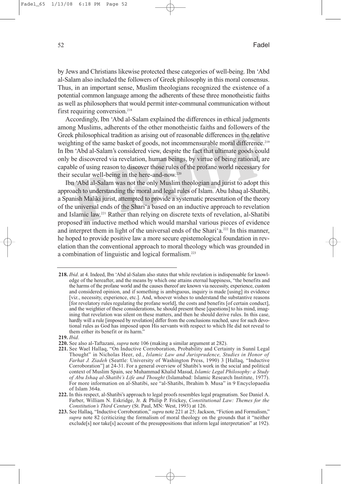by Jews and Christians likewise protected these categories of well-being. Ibn 'Abd al-Salam also included the followers of Greek philosophy in this moral consensus. Thus, in an important sense, Muslim theologians recognized the existence of a potential common language among the adherents of these three monotheistic faiths as well as philosophers that would permit inter-communal communication without first requiring conversion. $218$ 

Accordingly, Ibn 'Abd al-Salam explained the differences in ethical judgments among Muslims, adherents of the other monotheistic faiths and followers of the Greek philosophical tradition as arising out of reasonable differences in the relative weighting of the same basket of goods, not incommensurable moral difference.<sup>219</sup> In Ibn 'Abd al-Salam's considered view, despite the fact that ultimate goods could only be discovered via revelation, human beings, by virtue of being rational, are capable of using reason to discover those rules of the profane world necessary for their secular well-being in the here-and-now.220

Ibn 'Abd al-Salam was not the only Muslim theologian and jurist to adopt this approach to understanding the moral and legal rules of Islam. Abu Ishaq al-Shatibi, a Spanish Maliki jurist, attempted to provide a systematic presentation of the theory of the universal ends of the Shari'a based on an inductive approach to revelation and Islamic law.221 Rather than relying on discrete texts of revelation, al-Shatibi proposed an inductive method which would marshal various pieces of evidence and interpret them in light of the universal ends of the Shari'a.<sup>222</sup> In this manner, he hoped to provide positive law a more secure epistemological foundation in revelation than the conventional approach to moral theology which was grounded in a combination of linguistic and logical formalism.223

**<sup>218.</sup>** *Ibid*. at 4. Indeed, Ibn 'Abd al-Salam also states that while revelation is indispensable for knowledge of the hereafter, and the means by which one attains eternal happiness, "the benefits and the harms of the profane world and the causes thereof are known via necessity, experience, custom and considered opinion, and if something is ambiguous, inquiry is made [using] its evidence [viz., necessity, experience, etc.]. And, whoever wishes to understand the substantive reasons [for revelatory rules regulating the profane world], the costs and benefits [of certain conduct], and the weightier of these considerations, he should present these [questions] to his mind, imagining that revelation was silent on these matters, and then he should derive rules. In this case, hardly will a rule [imposed by revelation] differ from the conclusions reached, save for such devotional rules as God has imposed upon His servants with respect to which He did not reveal to them either its benefit or its harm."

**<sup>219.</sup>** *Ibid*.

**<sup>220.</sup>** See also al-Taftazani, *supra* note 106 (making a similar argument at 282).

**<sup>221.</sup>** See Wael Hallaq, "On Inductive Corroboration, Probability and Certainty in Sunnî Legal Thought" in Nicholas Heer, ed., *Islamic Law and Jurisprudence, Studies in Honor of Farhat J. Ziadeh* (Seattle: University of Washington Press, 1990) 3 [Hallaq, "Inductive Corroboration"] at 24-31. For a general overview of Shatibi's work in the social and political context of Muslim Spain, see Muhammad Khalid Masud, *Islamic Legal Philosophy: a Study of Abu Ishaq al-Shatibi's Life and Thought* (Islamabad: Islamic Research Institute, 1977). For more information on al-Shatibi, see "al-Shatibi, Ibrahim b. Musa" in 9 Encyclopaedia of Islam 364a.

**<sup>222.</sup>** In this respect, al-Shatibi's approach to legal proofs resembles legal pragmatism. See Daniel A. Farber, William N. Eskridge, Jr. & Philip P. Frickey, *Constitutional Law: Themes for the Constitution's Third Century* (St. Paul, MN: West, 1993) at 126.

**<sup>223.</sup>** See Hallaq, "Inductive Corroboration," *supra* note 221 at 25; Jackson, "Fiction and Formalism," *supra* note 82 (criticizing the formalism of moral theology on the grounds that it "neither exclude[s] nor take[s] account of the presuppositions that inform legal interpretation" at 192).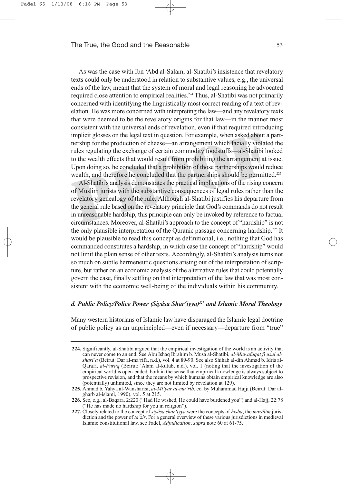As was the case with Ibn 'Abd al-Salam, al-Shatibi's insistence that revelatory texts could only be understood in relation to substantive values, e.g., the universal ends of the law, meant that the system of moral and legal reasoning he advocated required close attention to empirical realities.224 Thus, al-Shatibi was not primarily concerned with identifying the linguistically most correct reading of a text of revelation. He was more concerned with interpreting the law—and any revelatory texts that were deemed to be the revelatory origins for that law—in the manner most consistent with the universal ends of revelation, even if that required introducing implicit glosses on the legal text in question. For example, when asked about a partnership for the production of cheese—an arrangement which facially violated the rules regulating the exchange of certain commodity foodstuffs—al-Shatibi looked to the wealth effects that would result from prohibiting the arrangement at issue. Upon doing so, he concluded that a prohibition of those partnerships would reduce wealth, and therefore he concluded that the partnerships should be permitted.<sup>225</sup>

Al-Shatibi's analysis demonstrates the practical implications of the rising concern of Muslim jurists with the substantive consequences of legal rules rather than the revelatory genealogy of the rule. Although al-Shatibi justifies his departure from the general rule based on the revelatory principle that God's commands do not result in unreasonable hardship, this principle can only be invoked by reference to factual circumstances. Moreover, al-Shatibi's approach to the concept of "hardship" is not the only plausible interpretation of the Quranic passage concerning hardship.<sup>226</sup> It would be plausible to read this concept as definitional, i.e., nothing that God has commanded constitutes a hardship, in which case the concept of "hardship" would not limit the plain sense of other texts. Accordingly, al-Shatibi's analysis turns not so much on subtle hermeneutic questions arising out of the interpretation of scripture, but rather on an economic analysis of the alternative rules that could potentially govern the case, finally settling on that interpretation of the law that was most consistent with the economic well-being of the individuals within his community.

# *d. Public Policy/Police Power (Siyâsa Shar'iyya)227 and Islamic Moral Theology*

Many western historians of Islamic law have disparaged the Islamic legal doctrine of public policy as an unprincipled—even if necessary—departure from "true"

**<sup>224.</sup>** Significantly, al-Shatibi argued that the empirical investigation of the world is an activity that can never come to an end. See Abu Ishaq Ibrahim b. Musa al-Shatibi, *al-Muwafaqat fi usul alshari'a* (Beirut: Dar al-ma'rifa, n.d.), vol. 4 at 89-90. See also Shihab al-din Ahmad b. Idris al-Qarafi, *al-Furuq* (Beirut: 'Alam al-kutub, n.d.), vol. 1 (noting that the investigation of the empirical world is open-ended, both in the sense that empirical knowledge is always subject to prospective revision, and that the means by which humans obtain empirical knowledge are also (potentially) unlimited, since they are not limited by revelation at 129).

**<sup>225.</sup>** Ahmad b. Yahya al-Wansharisi, *al-Mi'yar al-mu'rib*, ed. by Muhammad Hajji (Beirut: Dar algharb al-islami, 1990), vol. 5 at 215.

**<sup>226.</sup>** See, e.g., al-Baqara, 2:220 ("Had He wished, He could have burdened you") and al-Hajj, 22:78 ("He has made no hardship for you in religion").

**<sup>227.</sup>** Closely related to the concept of *siyâsa shar'iyya* were the concepts of *hisba*, the *mazâlim* jurisdiction and the power of *ta'zîr*. For a general overview of these various jurisdictions in medieval Islamic constitutional law, see Fadel, *Adjudication*, *supra* note 60 at 61-75.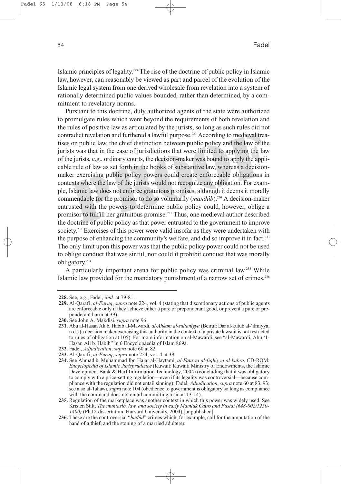Islamic principles of legality.<sup>228</sup> The rise of the doctrine of public policy in Islamic law, however, can reasonably be viewed as part and parcel of the evolution of the Islamic legal system from one derived wholesale from revelation into a system of rationally determined public values bounded, rather than determined, by a commitment to revelatory norms.

Pursuant to this doctrine, duly authorized agents of the state were authorized to promulgate rules which went beyond the requirements of both revelation and the rules of positive law as articulated by the jurists, so long as such rules did not contradict revelation and furthered a lawful purpose.<sup>229</sup> According to medieval treatises on public law, the chief distinction between public policy and the law of the jurists was that in the case of jurisdictions that were limited to applying the law of the jurists, e.g., ordinary courts, the decision-maker was bound to apply the applicable rule of law as set forth in the books of substantive law, whereas a decisionmaker exercising public policy powers could create enforceable obligations in contexts where the law of the jurists would not recognize any obligation. For example, Islamic law does not enforce gratuitous promises, although it deems it morally commendable for the promisor to do so voluntarily (*mandûb*).230 A decision-maker entrusted with the powers to determine public policy could, however, oblige a promisor to fulfill her gratuitous promise.231 Thus, one medieval author described the doctrine of public policy as that power entrusted to the government to improve society.<sup>232</sup> Exercises of this power were valid insofar as they were undertaken with the purpose of enhancing the community's welfare, and did so improve it in fact.<sup>233</sup> The only limit upon this power was that the public policy power could not be used to oblige conduct that was sinful, nor could it prohibit conduct that was morally obligatory.234

A particularly important arena for public policy was criminal law.235 While Islamic law provided for the mandatory punishment of a narrow set of crimes, $236$ 

**<sup>228.</sup>** See, e.g., Fadel, *ibid.* at 79-81.

**<sup>229.</sup>** Al-Qarafi, *al-Furuq*, *supra* note 224, vol. 4 (stating that discretionary actions of public agents are enforceable only if they achieve either a pure or preponderant good, or prevent a pure or preponderant harm at 39).

**<sup>230.</sup>** See John A. Makdisi, *supra* note 96.

**<sup>231.</sup>** Abu al-Hasan Ali b. Habib al-Mawardi, *al-Ahkam al-sultaniyya* (Beirut: Dar al-kutub al-'ilmiyya, n.d.) (a decision maker exercising this authority in the context of a private lawsuit is not restricted to rules of obligation at 105). For more information on al-Mawardi, see "al-Mawardi, Abu '1- Hasan Ali b. Habib" in 6 Encyclopaedia of Islam 869a.

**<sup>232.</sup>** Fadel, *Adjudication*, *supra* note 60 at 82.

**<sup>233.</sup>** Al-Qarafi, *al-Furuq*, *supra* note 224, vol. 4 at 39.

**<sup>234.</sup>** See Ahmad b. Muhammad Ibn Hajar al-Haytami, *al-Fatawa al-fiqhiyya al-kubra*, CD-ROM: *Encyclopedia of Islamic Jurisprudence* (Kuwait: Kuwaiti Ministry of Endowments, the Islamic Development Bank & Harf Information Technology, 2004) (concluding that it was obligatory to comply with a price-setting regulation—even if its legality was controversial—because compliance with the regulation did not entail sinning); Fadel, *Adjudication*, *supra* note 60 at 83, 93; see also al-Tahawi, *supra* note 104 (obedience to government is obligatory so long as compliance with the command does not entail committing a sin at 13-14).

**<sup>235.</sup>** Regulation of the marketplace was another context in which this power was widely used. See Kristen Stilt, *The muhtasib, law, and society in early Mamluk Cairo and Fustat (648-802/1250- 1400)* (Ph.D. dissertation, Harvard University, 2004) [unpublished].

**<sup>236.</sup>** These are the controversial "*hudûd*" crimes which, for example, call for the amputation of the hand of a thief, and the stoning of a married adulterer.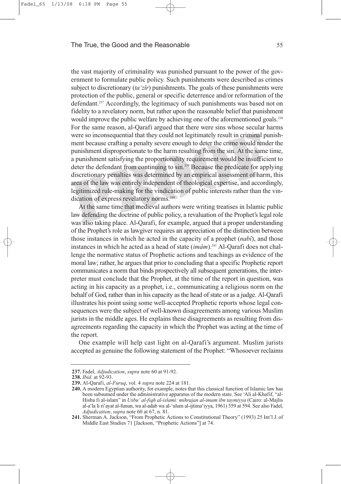the vast majority of criminality was punished pursuant to the power of the government to formulate public policy. Such punishments were described as crimes subject to discretionary (*ta'zîr*) punishments. The goals of these punishments were protection of the public, general or specific deterrence and/or reformation of the defendant.<sup>237</sup> Accordingly, the legitimacy of such punishments was based not on fidelity to a revelatory norm, but rather upon the reasonable belief that punishment would improve the public welfare by achieving one of the aforementioned goals.<sup>238</sup> For the same reason, al-Qarafi argued that there were sins whose secular harms were so inconsequential that they could not legitimately result in criminal punishment because crafting a penalty severe enough to deter the crime would render the punishment disproportionate to the harm resulting from the sin. At the same time, a punishment satisfying the proportionality requirement would be insufficient to deter the defendant from continuing to sin.239 Because the predicate for applying discretionary penalties was determined by an empirical assessment of harm, this area of the law was entirely independent of theological expertise, and accordingly, legitimized rule-making for the vindication of public interests rather than the vindication of express revelatory norms.<sup>240</sup>

At the same time that medieval authors were writing treatises in Islamic public law defending the doctrine of public policy, a revaluation of the Prophet's legal role was also taking place. Al-Qarafi, for example, argued that a proper understanding of the Prophet's role as lawgiver requires an appreciation of the distinction between those instances in which he acted in the capacity of a prophet (*nabî*), and those instances in which he acted as a head of state (*imâm*).<sup>241</sup> Al-Qarafi does not challenge the normative status of Prophetic actions and teachings as evidence of the moral law; rather, he argues that prior to concluding that a specific Prophetic report communicates a norm that binds prospectively all subsequent generations, the interpreter must conclude that the Prophet, at the time of the report in question, was acting in his capacity as a prophet, i.e., communicating a religious norm on the behalf of God, rather than in his capacity as the head of state or as a judge. Al-Qarafi illustrates his point using some well-accepted Prophetic reports whose legal consequences were the subject of well-known disagreements among various Muslim jurists in the middle ages. He explains these disagreements as resulting from disagreements regarding the capacity in which the Prophet was acting at the time of the report.

One example will help cast light on al-Qarafi's argument. Muslim jurists accepted as genuine the following statement of the Prophet: "Whosoever reclaims

**<sup>237.</sup>** Fadel, *Adjudication*, *supra* note 60 at 91-92.

**<sup>238.</sup>** *Ibid*. at 92-93.

**<sup>239.</sup>** Al-Qarafi, *al-Furuq*, vol. 4 *supra* note 224 at 181.

**<sup>240.</sup>** A modern Egyptian authority, for example, notes that this classical function of Islamic law has been subsumed under the administrative apparatus of the modern state. See 'Ali al-Khafif, "al-Hisba fi al-islam" in *Usbu' al-fiqh al-islami: mihrajan al-imam ibn taymiyya* (Cairo: al-Majlis al-a'la li ri'ayat al-funun, wa al-adab wa al-'ulum al-ijtima'iyya, 1961) 559 at 594. See also Fadel, *Adjudication*, *supra* note 60 at 67, n. 81.

**<sup>241.</sup>** Sherman A. Jackson, "From Prophetic Actions to Constitutional Theory" (1993) 25 Int'l J. of Middle East Studies 71 [Jackson, "Prophetic Actions"] at 74.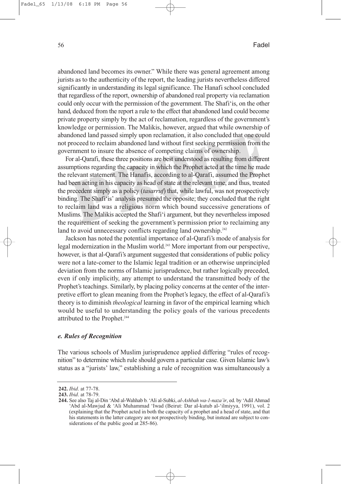abandoned land becomes its owner." While there was general agreement among jurists as to the authenticity of the report, the leading jurists nevertheless differed significantly in understanding its legal significance. The Hanafi school concluded that regardless of the report, ownership of abandoned real property via reclamation could only occur with the permission of the government. The Shafi'is, on the other hand, deduced from the report a rule to the effect that abandoned land could become private property simply by the act of reclamation, regardless of the government's knowledge or permission. The Malikis, however, argued that while ownership of abandoned land passed simply upon reclamation, it also concluded that one could not proceed to reclaim abandoned land without first seeking permission from the government to insure the absence of competing claims of ownership.

For al-Qarafi, these three positions are best understood as resulting from different assumptions regarding the capacity in which the Prophet acted at the time he made the relevant statement. The Hanafis, according to al-Qarafi, assumed the Prophet had been acting in his capacity as head of state at the relevant time, and thus, treated the precedent simply as a policy (*tasarruf*) that, while lawful, was not prospectively binding. The Shafi'is' analysis presumed the opposite; they concluded that the right to reclaim land was a religious norm which bound successive generations of Muslims. The Malikis accepted the Shafi'i argument, but they nevertheless imposed the requirement of seeking the government's permission prior to reclaiming any land to avoid unnecessary conflicts regarding land ownership.<sup>242</sup>

Jackson has noted the potential importance of al-Qarafi's mode of analysis for legal modernization in the Muslim world.<sup>243</sup> More important from our perspective, however, is that al-Qarafi's argument suggested that considerations of public policy were not a late-comer to the Islamic legal tradition or an otherwise unprincipled deviation from the norms of Islamic jurisprudence, but rather logically preceded, even if only implicitly, any attempt to understand the transmitted body of the Prophet's teachings. Similarly, by placing policy concerns at the center of the interpretive effort to glean meaning from the Prophet's legacy, the effect of al-Qarafi's theory is to diminish *theological* learning in favor of the empirical learning which would be useful to understanding the policy goals of the various precedents attributed to the Prophet.244

#### *e. Rules of Recognition*

The various schools of Muslim jurisprudence applied differing "rules of recognition" to determine which rule should govern a particular case. Given Islamic law's status as a "jurists' law," establishing a rule of recognition was simultaneously a

**<sup>242.</sup>** *Ibid*. at 77-78.

**<sup>243.</sup>** *Ibid*. at 78-79.

**<sup>244.</sup>** See also Taj al-Din 'Abd al-Wahhab b. 'Ali al-Subki, *al-Ashbah wa-1-naza'ir*, ed. by 'Adil Ahmad 'Abd al-Mawjud & 'Ali Muhammad 'Iwad (Beirut: Dar al-kutub al-'ilmiyya, 1991), vol. 2 (explaining that the Prophet acted in both the capacity of a prophet and a head of state, and that his statements in the latter category are not prospectively binding, but instead are subject to considerations of the public good at 285-86).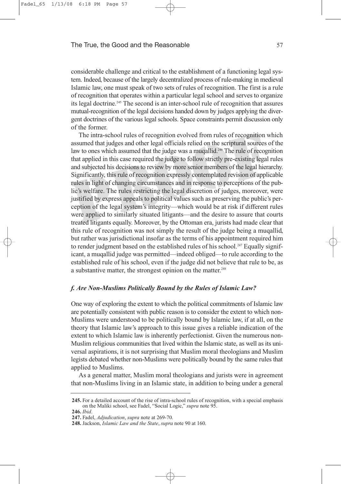considerable challenge and critical to the establishment of a functioning legal system. Indeed, because of the largely decentralized process of rule-making in medieval Islamic law, one must speak of two sets of rules of recognition. The first is a rule of recognition that operates within a particular legal school and serves to organize its legal doctrine.<sup>245</sup> The second is an inter-school rule of recognition that assures mutual-recognition of the legal decisions handed down by judges applying the divergent doctrines of the various legal schools. Space constraints permit discussion only of the former.

The intra-school rules of recognition evolved from rules of recognition which assumed that judges and other legal officials relied on the scriptural sources of the law to ones which assumed that the judge was a muqallid.<sup>246</sup> The rule of recognition that applied in this case required the judge to follow strictly pre-existing legal rules and subjected his decisions to review by more senior members of the legal hierarchy. Significantly, this rule of recognition expressly contemplated revision of applicable rules in light of changing circumstances and in response to perceptions of the public's welfare. The rules restricting the legal discretion of judges, moreover, were justified by express appeals to political values such as preserving the public's perception of the legal system's integrity—which would be at risk if different rules were applied to similarly situated litigants—and the desire to assure that courts treated litigants equally. Moreover, by the Ottoman era, jurists had made clear that this rule of recognition was not simply the result of the judge being a muqallid, but rather was jurisdictional insofar as the terms of his appointment required him to render judgment based on the established rules of his school.<sup>247</sup> Equally significant, a muqallid judge was permitted—indeed obliged—to rule according to the established rule of his school, even if the judge did not believe that rule to be, as a substantive matter, the strongest opinion on the matter.<sup>248</sup>

#### *f. Are Non-Muslims Politically Bound by the Rules of Islamic Law?*

One way of exploring the extent to which the political commitments of Islamic law are potentially consistent with public reason is to consider the extent to which non-Muslims were understood to be politically bound by Islamic law, if at all, on the theory that Islamic law's approach to this issue gives a reliable indication of the extent to which Islamic law is inherently perfectionist. Given the numerous non-Muslim religious communities that lived within the Islamic state, as well as its universal aspirations, it is not surprising that Muslim moral theologians and Muslim legists debated whether non-Muslims were politically bound by the same rules that applied to Muslims.

As a general matter, Muslim moral theologians and jurists were in agreement that non-Muslims living in an Islamic state, in addition to being under a general

**<sup>245.</sup>** For a detailed account of the rise of intra-school rules of recognition, with a special emphasis on the Maliki school, see Fadel, "Social Logic," *supra* note 95.

**<sup>246.</sup>** *Ibid*.

**<sup>247.</sup>** Fadel, *Adjudication*, *supra* note at 269-70.

**<sup>248.</sup>** Jackson, *Islamic Law and the State*, *supra* note 90 at 160.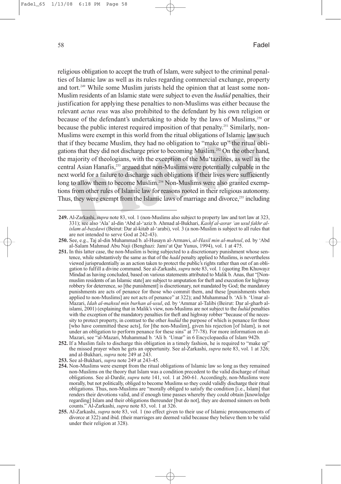religious obligation to accept the truth of Islam, were subject to the criminal penalties of Islamic law as well as its rules regarding commercial exchange, property and tort.<sup>249</sup> While some Muslim jurists held the opinion that at least some non-Muslim residents of an Islamic state were subject to even the *hudûd* penalties, their justification for applying these penalties to non-Muslims was either because the relevant *actus reus* was also prohibited to the defendant by his own religion or because of the defendant's undertaking to abide by the laws of Muslims,<sup>250</sup> or because the public interest required imposition of that penalty.251 Similarly, non-Muslims were exempt in this world from the ritual obligations of Islamic law such that if they became Muslim, they had no obligation to "make up" the ritual obligations that they did not discharge prior to becoming Muslim.252 On the other hand, the majority of theologians, with the exception of the Mu'tazilites, as well as the central Asian Hanafis,<sup>253</sup> argued that non-Muslims were potentially culpable in the next world for a failure to discharge such obligations if their lives were sufficiently long to allow them to become Muslim.<sup>254</sup> Non-Muslims were also granted exemptions from other rules of Islamic law for reasons rooted in their religious autonomy. Thus, they were exempt from the Islamic laws of marriage and divorce,<sup>255</sup> including

**<sup>249.</sup>** Al-Zarkashi, *supra* note 83, vol. 1 (non-Muslims also subject to property law and tort law at 323, 331); see also 'Ala' al-din 'Abd al-'aziz b. Ahmad al-Bukhari, *Kashf al-asrar 'an usul fakhr alislam al-bazdawi* (Beirut: Dar al-kitab al-'arabi), vol. 3 (a non-Muslim is subject to all rules that are not intended to serve God at 242-43).

**<sup>250.</sup>** See, e.g., Taj al-din Muhammad b. al-Husayn al-Armawi, *al-Hasil min al-mahsul*, ed. by 'Abd al-Salam Mahmud Abu Naji (Benghazi: Jami'at Qar Yunus, 1994), vol. 1 at 475.

**<sup>251.</sup>** In this latter case, the non-Muslim is being subjected to a discretionary punishment whose sentence, while substantively the same as that of the *hadd* penalty applied to Muslims, is nevertheless viewed jurisprudentially as an action taken to protect the public's rights rather than out of an obligation to fulfill a divine command. See al-Zarkashi, *supra* note 83, vol. 1 (quoting Ibn Khuwayz Mindad as having concluded, based on various statements attributed to Malik b. Anas, that "[Nonmuslim residents of an Islamic state] are subject to amputation for theft and execution for highway robbery for deterrence, so [the punishment] is discretionary, not mandated by God; the mandatory punishments are acts of penance for those who commit them, and these [punishments when applied to non-Muslims] are not acts of penance" at 322); and Muhammad b. 'Ali b. 'Umar al-Mazari, *Idah al-mahsul min burhan al-usul*, ed. by 'Ammar al-Talibi (Beirut: Dar al-gharb alislami, 2001) (explaining that in Malik's view, non-Muslims are not subject to the *Îudûd* penalties with the exception of the mandatory penalties for theft and highway robber "because of the necessity to protect property, in contrast to the other *hudûd* the purpose of which is penance for those [who have committed these acts], for [the non-Muslim], given his rejection [of Islam], is not under an obligation to perform penance for these sins" at 77-78). For more information on al-Mazari, see "al-Mazari, Muhammad b. 'Ali b. 'Umar" in 6 Encyclopaedia of Islam 942b.

**<sup>252.</sup>** If a Muslim fails to discharge this obligation in a timely fashion, he is required to "make up" the missed prayer when he gets an opportunity. See al-Zarkashi, *supra* note 83, vol. 1 at 326; and al-Bukhari, *supra* note 249 at 243.

**<sup>253.</sup>** See al-Bukhari, *supra* note 249 at 243-45.

**<sup>254.</sup>** Non-Muslims were exempt from the ritual obligations of Islamic law so long as they remained non-Muslims on the theory that Islam was a condition precedent to the valid discharge of ritual obligations. See al-Dardir, *supra* note 141, vol. 1 at 260-61. Accordingly, non-Muslims were morally, but not politically, obliged to become Muslims so they could validly discharge their ritual obligations. Thus, non-Muslims are "morally obliged to satisfy the condition [i.e., Islam] that renders their devotions valid, and if enough time passes whereby they could obtain [knowledge regarding] Islam and their obligations thereunder [but do not], they are deemed sinners on both counts." Al-Zarkashi, *supra* note 83, vol. 1 at 326.

**<sup>255.</sup>** Al-Zarkashi, *supra* note 83, vol. 1 (no effect given to their use of Islamic pronouncements of divorce at 322) and ibid. (their marriages are deemed valid because they believe them to be valid under their religion at 328).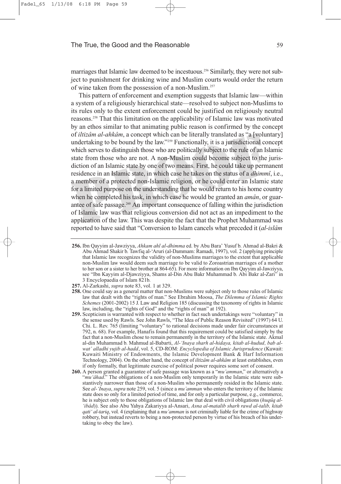marriages that Islamic law deemed to be incestuous.256 Similarly, they were not subject to punishment for drinking wine and Muslim courts would order the return of wine taken from the possession of a non-Muslim.257

This pattern of enforcement and exemption suggests that Islamic law—within a system of a religiously hierarchical state—resolved to subject non-Muslims to its rules only to the extent enforcement could be justified on religiously neutral reasons.258 That this limitation on the applicability of Islamic law was motivated by an ethos similar to that animating public reason is confirmed by the concept of *iltizâm al-ahkâm*, a concept which can be literally translated as "a [voluntary] undertaking to be bound by the law."259 Functionally, it is a jurisdictional concept which serves to distinguish those who are politically subject to the rule of an Islamic state from those who are not. A non-Muslim could become subject to the jurisdiction of an Islamic state by one of two means. First, he could take up permanent residence in an Islamic state, in which case he takes on the status of a *dhimmî*, i.e., a member of a protected non-Islamic religion, or he could enter an Islamic state for a limited purpose on the understanding that he would return to his home country when he completed his task, in which case he would be granted an *amân*, or guarantee of safe passage.260 An important consequence of falling within the jurisdiction of Islamic law was that religious conversion did not act as an impediment to the application of the law. This was despite the fact that the Prophet Muhammad was reported to have said that "Conversion to Islam cancels what preceded it (*al-islâm*

**<sup>256.</sup>** Ibn Qayyim al-Jawziyya, *Ahkam ahl al-dhimma* ed. by Abu Bara' Yusuf b. Ahmad al-Bakri & Abu Ahmad Shakir b. Tawfiq al-'Aruri (al-Dammam: Ramadi, 1997), vol. 2 (applying principle that Islamic law recognizes the validity of non-Muslims marriages to the extent that applicable non-Muslim law would deem such marriage to be valid to Zoroastrian marriages of a mother to her son or a sister to her brother at 864-65). For more information on Ibn Qayyim al-Jawziyya, see "Ibn Kayyim al-Djawziyya, Shams al-Din Abu Bakr Muhammad b. Abi Bakr al-Zari" in 3 Encyclopaedia of Islam 821b.

**<sup>257.</sup>** Al-Zarkashi, *supra* note 83, vol. 1 at 329.

**<sup>258.</sup>** One could say as a general matter that non-Muslims were subject only to those rules of Islamic law that dealt with the "rights of man." See Ebrahim Moosa, *The Dilemma of Islamic Rights Schemes* (2001-2002) 15 J. Law and Religion 185 (discussing the taxonomy of rights in Islamic law, including, the "rights of God" and the "rights of man" at 192).

**<sup>259.</sup>** Scepticism is warranted with respect to whether in fact such undertakings were "voluntary" in the sense used by Rawls. See John Rawls, "The Idea of Public Reason Revisited" (1997) 64 U. Chi. L. Rev. 765 (limiting "voluntary" to rational decisions made under fair circumstances at 792, n. 68). For example, Hanafis found that this requirement could be satisfied simply by the fact that a non-Muslim chose to remain permanently in the territory of the Islamic state. Akmal al-din Muhammad b. Mahmud al-Babarti, *Al-'Inaya sharh al-hidaya, kitab al-hudud, bab alwat' alladhi yujib al-hadd*, vol. 5, CD-ROM: *Encyclopedia of Islamic Jurisprudence* (Kuwait: Kuwaiti Ministry of Endowments, the Islamic Development Bank & Harf Information Technology, 2004). On the other hand, the concept of *iltizâm al-ahkâm* at least establishes, even if only formally, that legitimate exercise of political power requires some sort of consent.

**<sup>260.</sup>** A person granted a guarantee of safe passage was known as a "*mu'amman*," or alternatively a "*mu'âhad*." The obligations of a non-Muslim only temporarily in the Islamic state were substantively narrower than those of a non-Muslim who permanently resided in the Islamic state. See *al-'Inaya*, *supra* note 259, vol. 5 (since a *mu'amman* who enters the territory of the Islamic state does so only for a limited period of time, and for only a particular purpose, e.g., commerce, he is subject only to those obligations of Islamic law that deal with civil obligations (*huqûq al- 'ibâd*)). See also Abu Yahya Zakariyya al-Ansari, *Asna al-matalib sharh rawd al-talib, kitab qati' al-tariq*, vol. 4 (explaining that a *mu'amman* is not criminally liable for the crime of highway robbery, but instead reverts to being a non-protected person by virtue of his breach of his undertaking to obey the law).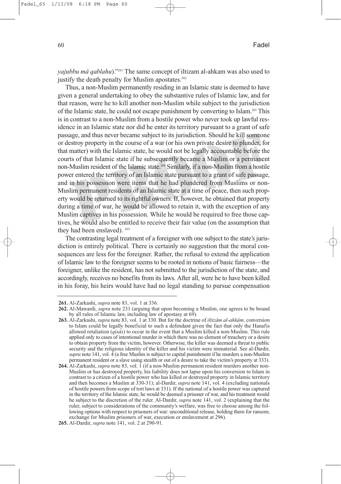*yajubbu mâ qablahu*)."261 The same concept of iltizam al-ahkam was also used to justify the death penalty for Muslim apostates. $262$ 

Thus, a non-Muslim permanently residing in an Islamic state is deemed to have given a general undertaking to obey the substantive rules of Islamic law, and for that reason, were he to kill another non-Muslim while subject to the jurisdiction of the Islamic state, he could not escape punishment by converting to Islam.263 This is in contrast to a non-Muslim from a hostile power who never took up lawful residence in an Islamic state nor did he enter its territory pursuant to a grant of safe passage, and thus never became subject to its jurisdiction. Should he kill someone or destroy property in the course of a war (or his own private desire to plunder, for that matter) with the Islamic state, he would not be legally accountable before the courts of that Islamic state if he subsequently became a Muslim or a permanent non-Muslim resident of the Islamic state.<sup>264</sup> Similarly, if a non-Muslim from a hostile power entered the territory of an Islamic state pursuant to a grant of safe passage, and in his possession were items that he had plundered from Muslims or non-Muslim permanent residents of an Islamic state at a time of peace, then such property would be returned to its rightful owners. If, however, he obtained that property during a time of war, he would be allowed to retain it, with the exception of any Muslim captives in his possession. While he would be required to free those captives, he would also be entitled to receive their fair value (on the assumption that they had been enslaved). <sup>265</sup>

The contrasting legal treatment of a foreigner with one subject to the state's jurisdiction is entirely political. There is certainly no suggestion that the moral consequences are less for the foreigner. Rather, the refusal to extend the application of Islamic law to the foreigner seems to be rooted in notions of basic fairness—the foreigner, unlike the resident, has not submitted to the jurisdiction of the state, and accordingly, receives no benefits from its laws. After all, were he to have been killed in his foray, his heirs would have had no legal standing to pursue compensation

**<sup>261.</sup>** Al-Zarkashi, *supra* note 83, vol. 1 at 336.

**<sup>262.</sup>** Al-Mawardi, *supra* note 231 (arguing that upon becoming a Muslim, one agrees to be bound by all rules of Islamic law, including law of apostasy at 69).

**<sup>263.</sup>** Al-Zarkashi, *supra* note 83, vol. 1 at 330. But for the doctrine of *iltizâm al-ahkâm,* conversion to Islam could be legally beneficial to such a defendant given the fact that only the Hanafis allowed retaliation (*qisâs*) to occur in the event that a Muslim killed a non-Muslim. This rule applied only to cases of intentional murder in which there was no element of treachery or a desire to obtain property from the victim, however. Otherwise, the killer was deemed a threat to public security and the religious identity of the killer and his victim were immaterial. See al-Dardir, *supra* note 141, vol. 4 (a free Muslim is subject to capital punishment if he murders a non-Muslim permanent resident or a slave using stealth or out of a desire to take the victim's property at 333).

**<sup>264.</sup>** Al-Zarkashi, *supra* note 83, vol. 1 (if a non-Muslim permanent resident murders another non-Muslim or has destroyed property, his liability does not lapse upon his conversion to Islam in contrast to a citizen of a hostile power who has killed or destroyed property in Islamic territory and then becomes a Muslim at 330-31); al-Dardir, *supra* note 141, vol. 4 (excluding nationals of hostile powers from scope of tort laws at 331). If the national of a hostile power was captured in the territory of the Islamic state, he would be deemed a prisoner of war, and his treatment would be subject to the discretion of the ruler. Al-Dardir, *supra* note 141, vol. 2 (explaining that the ruler, subject to considerations of the community's welfare, was free to choose among the following options with respect to prisoners of war: unconditional release, holding them for ransom, exchange for Muslim prisoners of war, execution or enslavement at 296).

**<sup>265.</sup>** Al-Dardir, *supra* note 141, vol. 2 at 290-91.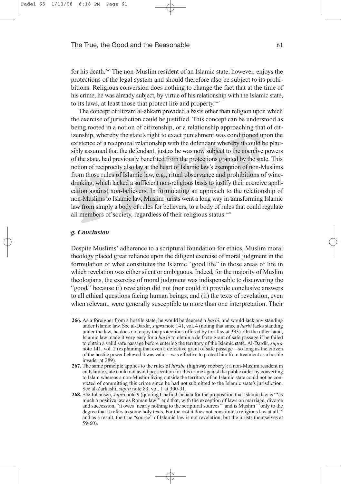for his death.266 The non-Muslim resident of an Islamic state, however, enjoys the protections of the legal system and should therefore also be subject to its prohibitions. Religious conversion does nothing to change the fact that at the time of his crime, he was already subject, by virtue of his relationship with the Islamic state, to its laws, at least those that protect life and property.<sup>267</sup>

The concept of iltizam al-ahkam provided a basis other than religion upon which the exercise of jurisdiction could be justified. This concept can be understood as being rooted in a notion of citizenship, or a relationship approaching that of citizenship, whereby the state's right to exact punishment was conditioned upon the existence of a reciprocal relationship with the defendant whereby it could be plausibly assumed that the defendant, just as he was now subject to the coercive powers of the state, had previously benefited from the protections granted by the state. This notion of reciprocity also lay at the heart of Islamic law's exemption of non-Muslims from those rules of Islamic law, e.g., ritual observance and prohibitions of winedrinking, which lacked a sufficient non-religious basis to justify their coercive application against non-believers. In formulating an approach to the relationship of non-Muslims to Islamic law, Muslim jurists went a long way in transforming Islamic law from simply a body of rules for believers, to a body of rules that could regulate all members of society, regardless of their religious status.<sup>268</sup>

#### *g. Conclusion*

Despite Muslims' adherence to a scriptural foundation for ethics, Muslim moral theology placed great reliance upon the diligent exercise of moral judgment in the formulation of what constitutes the Islamic "good life" in those areas of life in which revelation was either silent or ambiguous. Indeed, for the majority of Muslim theologians, the exercise of moral judgment was indispensable to discovering the "good," because (i) revelation did not (nor could it) provide conclusive answers to all ethical questions facing human beings, and (ii) the texts of revelation, even when relevant, were generally susceptible to more than one interpretation. Their

**<sup>266.</sup>** As a foreigner from a hostile state, he would be deemed a *harbî*, and would lack any standing under Islamic law. See al-Dardîr, *supra* note 141, vol. 4 (noting that since a *harbî* lacks standing under the law, he does not enjoy the protections offered by tort law at 333). On the other hand, Islamic law made it very easy for a *harbî* to obtain a de facto grant of safe passage if he failed to obtain a valid safe passage before entering the territory of the Islamic state. Al-Dardir, *supra* note 141, vol. 2 (explaining that even a defective grant of safe passage—so long as the citizen of the hostile power believed it was valid—was effective to protect him from treatment as a hostile invader at 289).

**<sup>267.</sup>** The same principle applies to the rules of *hirâba* (highway robbery): a non-Muslim resident in an Islamic state could not avoid prosecution for this crime against the public order by converting to Islam whereas a non-Muslim living outside the territory of an Islamic state could not be convicted of committing this crime since he had not submitted to the Islamic state's jurisdiction. See al-Zarkashi, *supra* note 83, vol. 1 at 300-31.

**<sup>268.</sup>** See Johansen, *supra* note 9 (quoting Chafiq Chehata for the proposition that Islamic law is "'as much a positive law as Roman law"" and that, with the exception of laws on marriage, divorce and succession, "it owes 'nearly nothing to the scriptural sources'" and is Muslim "'only to the degree that it refers to some holy texts. For the rest it does not constitute a religious law at all,'" and as a result, the true "source" of Islamic law is not revelation, but the jurists themselves at 59-60).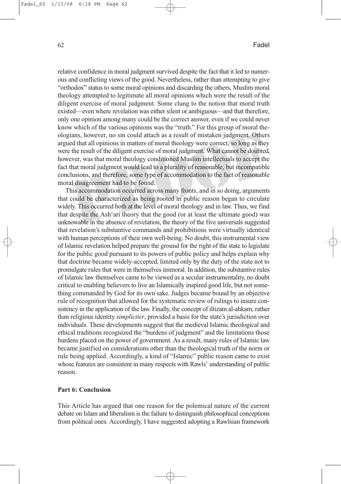relative confidence in moral judgment survived despite the fact that it led to numerous and conflicting views of the good. Nevertheless, rather than attempting to give "orthodox" status to some moral opinions and discarding the others, Muslim moral theology attempted to legitimate all moral opinions which were the result of the diligent exercise of moral judgment. Some clung to the notion that moral truth existed—even where revelation was either silent or ambiguous—and that therefore, only one opinion among many could be the correct answer, even if we could never know which of the various opinions was the "truth." For this group of moral theologians, however, no sin could attach as a result of mistaken judgment. Others argued that all opinions in matters of moral theology were correct, so long as they were the result of the diligent exercise of moral judgment. What cannot be doubted, however, was that moral theology conditioned Muslim intellectuals to accept the fact that moral judgment would lead to a plurality of reasonable, but incompatible conclusions, and therefore, some type of accommodation to the fact of reasonable moral disagreement had to be found.

This accommodation occurred across many fronts, and in so doing, arguments that could be characterized as being rooted in public reason began to circulate widely. This occurred both at the level of moral theology and in law. Thus, we find that despite the Ash'ari theory that the good (or at least the ultimate good) was unknowable in the absence of revelation, the theory of the five universals suggested that revelation's substantive commands and prohibitions were virtually identical with human perceptions of their own well-being. No doubt, this instrumental view of Islamic revelation helped prepare the ground for the right of the state to legislate for the public good pursuant to its powers of public policy and helps explain why that doctrine became widely-accepted, limited only by the duty of the state not to promulgate rules that were in themselves immoral. In addition, the substantive rules of Islamic law themselves came to be viewed as a secular instrumentality, no doubt critical to enabling believers to live an Islamically inspired good life, but not something commanded by God for its own sake. Judges became bound by an objective rule of recognition that allowed for the systematic review of rulings to insure consistency in the application of the law. Finally, the concept of iltizam al-ahkam, rather than religious identity *simpliciter*, provided a basis for the state's jurisdiction over individuals. These developments suggest that the medieval Islamic theological and ethical traditions recognized the "burdens of judgment" and the limitations those burdens placed on the power of government. As a result, many rules of Islamic law became justified on considerations other than the theological truth of the norm or rule being applied. Accordingly, a kind of "Islamic" public reason came to exist whose features are consistent in many respects with Rawls' understanding of public reason.

# **Part 6: Conclusion**

This Article has argued that one reason for the polemical nature of the current debate on Islam and liberalism is the failure to distinguish philosophical conceptions from political ones. Accordingly, I have suggested adopting a Rawlsian framework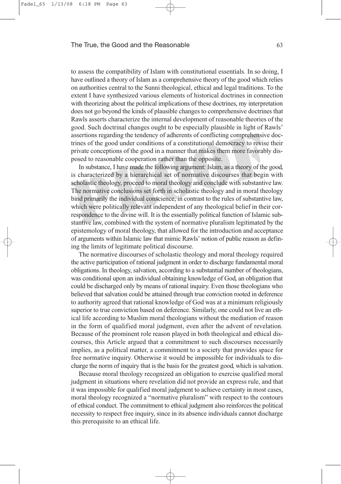to assess the compatibility of Islam with constitutional essentials. In so doing, I have outlined a theory of Islam as a comprehensive theory of the good which relies on authorities central to the Sunni theological, ethical and legal traditions. To the extent I have synthesized various elements of historical doctrines in connection with theorizing about the political implications of these doctrines, my interpretation does not go beyond the kinds of plausible changes to comprehensive doctrines that Rawls asserts characterize the internal development of reasonable theories of the good. Such doctrinal changes ought to be especially plausible in light of Rawls' assertions regarding the tendency of adherents of conflicting comprehensive doctrines of the good under conditions of a constitutional democracy to revise their private conceptions of the good in a manner that makes them more favorably disposed to reasonable cooperation rather than the opposite.

In substance, I have made the following argument: Islam, as a theory of the good, is characterized by a hierarchical set of normative discourses that begin with scholastic theology, proceed to moral theology and conclude with substantive law. The normative conclusions set forth in scholastic theology and in moral theology bind primarily the individual conscience, in contrast to the rules of substantive law, which were politically relevant independent of any theological belief in their correspondence to the divine will. It is the essentially political function of Islamic substantive law, combined with the system of normative pluralism legitimated by the epistemology of moral theology, that allowed for the introduction and acceptance of arguments within Islamic law that mimic Rawls' notion of public reason as defining the limits of legitimate political discourse.

The normative discourses of scholastic theology and moral theology required the active participation of rational judgment in order to discharge fundamental moral obligations. In theology, salvation, according to a substantial number of theologians, was conditional upon an individual obtaining knowledge of God, an obligation that could be discharged only by means of rational inquiry. Even those theologians who believed that salvation could be attained through true conviction rooted in deference to authority agreed that rational knowledge of God was at a minimum religiously superior to true conviction based on deference. Similarly, one could not live an ethical life according to Muslim moral theologians without the mediation of reason in the form of qualified moral judgment, even after the advent of revelation. Because of the prominent role reason played in both theological and ethical discourses, this Article argued that a commitment to such discourses necessarily implies, as a political matter, a commitment to a society that provides space for free normative inquiry. Otherwise it would be impossible for individuals to discharge the norm of inquiry that is the basis for the greatest good, which is salvation.

Because moral theology recognized an obligation to exercise qualified moral judgment in situations where revelation did not provide an express rule, and that it was impossible for qualified moral judgment to achieve certainty in most cases, moral theology recognized a "normative pluralism" with respect to the contours of ethical conduct. The commitment to ethical judgment also reinforces the political necessity to respect free inquiry, since in its absence individuals cannot discharge this prerequisite to an ethical life.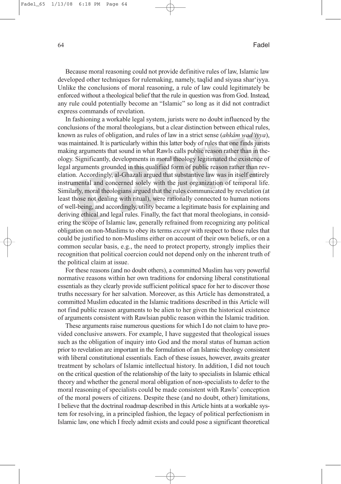Because moral reasoning could not provide definitive rules of law, Islamic law developed other techniques for rulemaking, namely, taqlid and siyasa shar'iyya. Unlike the conclusions of moral reasoning, a rule of law could legitimately be enforced without a theological belief that the rule in question was from God. Instead, any rule could potentially become an "Islamic" so long as it did not contradict express commands of revelation.

In fashioning a workable legal system, jurists were no doubt influenced by the conclusions of the moral theologians, but a clear distinction between ethical rules, known as rules of obligation, and rules of law in a strict sense (*ahkâm wad'iyya*), was maintained. It is particularly within this latter body of rules that one finds jurists making arguments that sound in what Rawls calls public reason rather than in theology. Significantly, developments in moral theology legitimated the existence of legal arguments grounded in this qualified form of public reason rather than revelation. Accordingly, al-Ghazali argued that substantive law was in itself entirely instrumental and concerned solely with the just organization of temporal life. Similarly, moral theologians argued that the rules communicated by revelation (at least those not dealing with ritual), were rationally connected to human notions of well-being, and accordingly, utility became a legitimate basis for explaining and deriving ethical and legal rules. Finally, the fact that moral theologians, in considering the scope of Islamic law, generally refrained from recognizing any political obligation on non-Muslims to obey its terms *except* with respect to those rules that could be justified to non-Muslims either on account of their own beliefs, or on a common secular basis, e.g., the need to protect property, strongly implies their recognition that political coercion could not depend only on the inherent truth of the political claim at issue.

For these reasons (and no doubt others), a committed Muslim has very powerful normative reasons within her own traditions for endorsing liberal constitutional essentials as they clearly provide sufficient political space for her to discover those truths necessary for her salvation. Moreover, as this Article has demonstrated, a committed Muslim educated in the Islamic traditions described in this Article will not find public reason arguments to be alien to her given the historical existence of arguments consistent with Rawlsian public reason within the Islamic tradition.

These arguments raise numerous questions for which I do not claim to have provided conclusive answers. For example, I have suggested that theological issues such as the obligation of inquiry into God and the moral status of human action prior to revelation are important in the formulation of an Islamic theology consistent with liberal constitutional essentials. Each of these issues, however, awaits greater treatment by scholars of Islamic intellectual history. In addition, I did not touch on the critical question of the relationship of the laity to specialists in Islamic ethical theory and whether the general moral obligation of non-specialists to defer to the moral reasoning of specialists could be made consistent with Rawls' conception of the moral powers of citizens. Despite these (and no doubt, other) limitations, I believe that the doctrinal roadmap described in this Article hints at a workable system for resolving, in a principled fashion, the legacy of political perfectionism in Islamic law, one which I freely admit exists and could pose a significant theoretical